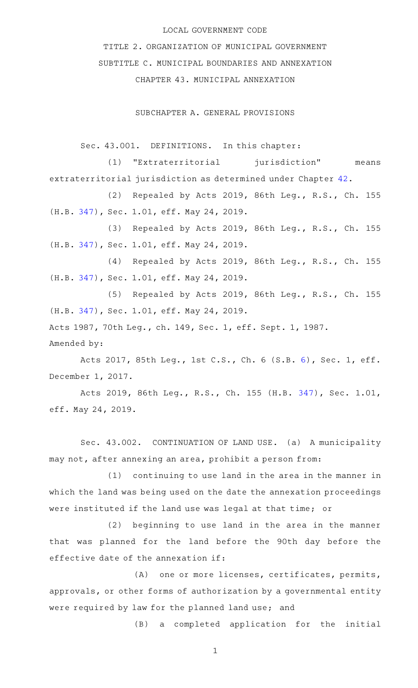#### LOCAL GOVERNMENT CODE

TITLE 2. ORGANIZATION OF MUNICIPAL GOVERNMENT SUBTITLE C. MUNICIPAL BOUNDARIES AND ANNEXATION CHAPTER 43. MUNICIPAL ANNEXATION

SUBCHAPTER A. GENERAL PROVISIONS

Sec. 43.001. DEFINITIONS. In this chapter:

(1) "Extraterritorial jurisdiction" means extraterritorial jurisdiction as determined under Chapter [42.](http://www.statutes.legis.state.tx.us/GetStatute.aspx?Code=LG&Value=42)

(2) Repealed by Acts 2019, 86th Leg., R.S., Ch. 155 (H.B. [347](http://www.legis.state.tx.us/tlodocs/86R/billtext/html/HB00347F.HTM)), Sec. 1.01, eff. May 24, 2019.

(3) Repealed by Acts 2019, 86th Leg., R.S., Ch. 155 (H.B. [347](http://www.legis.state.tx.us/tlodocs/86R/billtext/html/HB00347F.HTM)), Sec. 1.01, eff. May 24, 2019.

(4) Repealed by Acts 2019, 86th Leg., R.S., Ch. 155 (H.B. [347](http://www.legis.state.tx.us/tlodocs/86R/billtext/html/HB00347F.HTM)), Sec. 1.01, eff. May 24, 2019.

(5) Repealed by Acts 2019, 86th Leg., R.S., Ch. 155 (H.B. [347](http://www.legis.state.tx.us/tlodocs/86R/billtext/html/HB00347F.HTM)), Sec. 1.01, eff. May 24, 2019. Acts 1987, 70th Leg., ch. 149, Sec. 1, eff. Sept. 1, 1987.

Amended by:

Acts 2017, 85th Leg., 1st C.S., Ch. 6 (S.B. [6\)](http://www.legis.state.tx.us/tlodocs/851/billtext/html/SB00006F.HTM), Sec. 1, eff. December 1, 2017.

Acts 2019, 86th Leg., R.S., Ch. 155 (H.B. [347](http://www.legis.state.tx.us/tlodocs/86R/billtext/html/HB00347F.HTM)), Sec. 1.01, eff. May 24, 2019.

Sec. 43.002. CONTINUATION OF LAND USE. (a) A municipality may not, after annexing an area, prohibit a person from:

 $(1)$  continuing to use land in the area in the manner in which the land was being used on the date the annexation proceedings were instituted if the land use was legal at that time; or

 $(2)$  beginning to use land in the area in the manner that was planned for the land before the 90th day before the effective date of the annexation if:

(A) one or more licenses, certificates, permits, approvals, or other forms of authorization by a governmental entity were required by law for the planned land use; and

(B) a completed application for the initial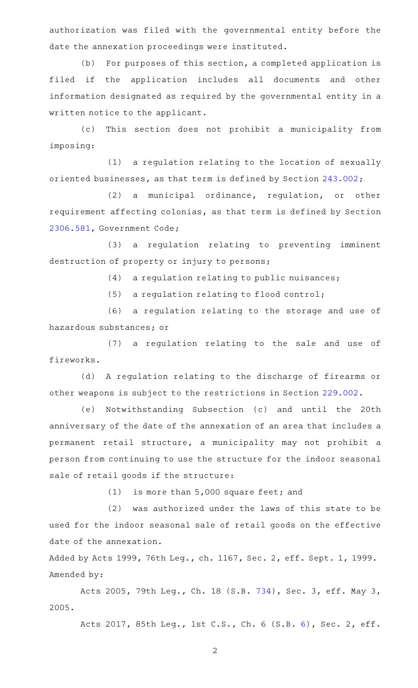authorization was filed with the governmental entity before the date the annexation proceedings were instituted.

(b) For purposes of this section, a completed application is filed if the application includes all documents and other information designated as required by the governmental entity in a written notice to the applicant.

(c) This section does not prohibit a municipality from imposing:

(1) a regulation relating to the location of sexually oriented businesses, as that term is defined by Section [243.002;](http://www.statutes.legis.state.tx.us/GetStatute.aspx?Code=LG&Value=243.002)

 $(2)$  a municipal ordinance, regulation, or other requirement affecting colonias, as that term is defined by Section [2306.581](http://www.statutes.legis.state.tx.us/GetStatute.aspx?Code=GV&Value=2306.581), Government Code;

(3) a regulation relating to preventing imminent destruction of property or injury to persons;

 $(4)$  a regulation relating to public nuisances;

 $(5)$  a regulation relating to flood control;

(6) a regulation relating to the storage and use of hazardous substances; or

(7) a regulation relating to the sale and use of fireworks.

(d) A regulation relating to the discharge of firearms or other weapons is subject to the restrictions in Section [229.002.](http://www.statutes.legis.state.tx.us/GetStatute.aspx?Code=LG&Value=229.002)

(e) Notwithstanding Subsection (c) and until the 20th anniversary of the date of the annexation of an area that includes a permanent retail structure, a municipality may not prohibit a person from continuing to use the structure for the indoor seasonal sale of retail goods if the structure:

 $(1)$  is more than 5,000 square feet; and

(2) was authorized under the laws of this state to be used for the indoor seasonal sale of retail goods on the effective date of the annexation.

Added by Acts 1999, 76th Leg., ch. 1167, Sec. 2, eff. Sept. 1, 1999. Amended by:

Acts 2005, 79th Leg., Ch. 18 (S.B. [734](http://www.legis.state.tx.us/tlodocs/79R/billtext/html/SB00734F.HTM)), Sec. 3, eff. May 3, 2005.

Acts 2017, 85th Leg., 1st C.S., Ch. 6 (S.B. [6\)](http://www.legis.state.tx.us/tlodocs/851/billtext/html/SB00006F.HTM), Sec. 2, eff.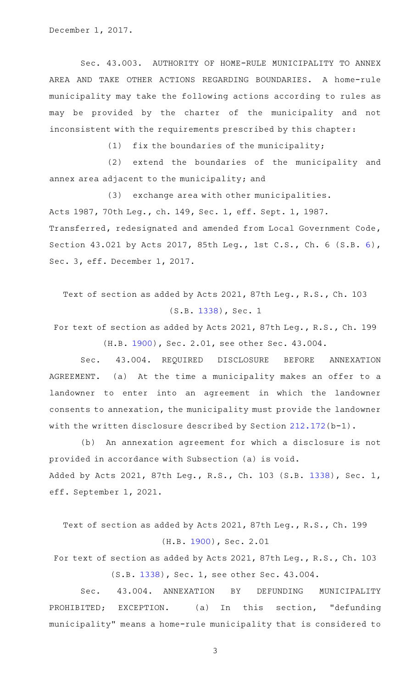December 1, 2017.

Sec. 43.003. AUTHORITY OF HOME-RULE MUNICIPALITY TO ANNEX AREA AND TAKE OTHER ACTIONS REGARDING BOUNDARIES. A home-rule municipality may take the following actions according to rules as may be provided by the charter of the municipality and not inconsistent with the requirements prescribed by this chapter:

(1)  $fix$  the boundaries of the municipality;

(2) extend the boundaries of the municipality and annex area adjacent to the municipality; and

(3) exchange area with other municipalities. Acts 1987, 70th Leg., ch. 149, Sec. 1, eff. Sept. 1, 1987. Transferred, redesignated and amended from Local Government Code, Section 43.021 by Acts 2017, 85th Leg., 1st C.S., Ch. 6 (S.B. [6\)](http://www.legis.state.tx.us/tlodocs/851/billtext/html/SB00006F.HTM), Sec. 3, eff. December 1, 2017.

Text of section as added by Acts 2021, 87th Leg., R.S., Ch. 103 (S.B. [1338\)](http://www.legis.state.tx.us/tlodocs/87R/billtext/html/SB01338F.HTM), Sec. 1

For text of section as added by Acts 2021, 87th Leg., R.S., Ch. 199 (H.B. [1900](http://www.legis.state.tx.us/tlodocs/87R/billtext/html/HB01900F.HTM)), Sec. 2.01, see other Sec. 43.004.

Sec. 43.004. REQUIRED DISCLOSURE BEFORE ANNEXATION AGREEMENT. (a) At the time a municipality makes an offer to a landowner to enter into an agreement in which the landowner consents to annexation, the municipality must provide the landowner with the written disclosure described by Section [212.172](http://www.statutes.legis.state.tx.us/GetStatute.aspx?Code=LG&Value=212.172)(b-1).

(b) An annexation agreement for which a disclosure is not provided in accordance with Subsection (a) is void. Added by Acts 2021, 87th Leg., R.S., Ch. 103 (S.B. [1338](http://www.legis.state.tx.us/tlodocs/87R/billtext/html/SB01338F.HTM)), Sec. 1, eff. September 1, 2021.

Text of section as added by Acts 2021, 87th Leg., R.S., Ch. 199 (H.B. [1900\)](http://www.legis.state.tx.us/tlodocs/87R/billtext/html/HB01900F.HTM), Sec. 2.01

For text of section as added by Acts 2021, 87th Leg., R.S., Ch. 103 (S.B. [1338](http://www.legis.state.tx.us/tlodocs/87R/billtext/html/SB01338F.HTM)), Sec. 1, see other Sec. 43.004.

Sec. 43.004. ANNEXATION BY DEFUNDING MUNICIPALITY PROHIBITED; EXCEPTION. (a) In this section, "defunding municipality" means a home-rule municipality that is considered to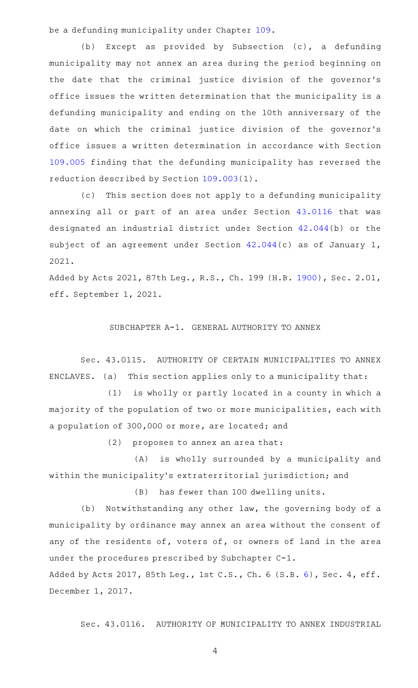be a defunding municipality under Chapter [109.](http://www.statutes.legis.state.tx.us/GetStatute.aspx?Code=LG&Value=109)

(b) Except as provided by Subsection (c), a defunding municipality may not annex an area during the period beginning on the date that the criminal justice division of the governor 's office issues the written determination that the municipality is a defunding municipality and ending on the 10th anniversary of the date on which the criminal justice division of the governor 's office issues a written determination in accordance with Section [109.005](http://www.statutes.legis.state.tx.us/GetStatute.aspx?Code=LG&Value=109.005) finding that the defunding municipality has reversed the reduction described by Section [109.003\(](http://www.statutes.legis.state.tx.us/GetStatute.aspx?Code=LG&Value=109.003)1).

(c) This section does not apply to a defunding municipality annexing all or part of an area under Section [43.0116](http://www.statutes.legis.state.tx.us/GetStatute.aspx?Code=LG&Value=43.0116) that was designated an industrial district under Section [42.044\(](http://www.statutes.legis.state.tx.us/GetStatute.aspx?Code=LG&Value=42.044)b) or the subject of an agreement under Section [42.044\(](http://www.statutes.legis.state.tx.us/GetStatute.aspx?Code=LG&Value=42.044)c) as of January 1, 2021.

Added by Acts 2021, 87th Leg., R.S., Ch. 199 (H.B. [1900](http://www.legis.state.tx.us/tlodocs/87R/billtext/html/HB01900F.HTM)), Sec. 2.01, eff. September 1, 2021.

### SUBCHAPTER A-1. GENERAL AUTHORITY TO ANNEX

Sec. 43.0115. AUTHORITY OF CERTAIN MUNICIPALITIES TO ANNEX ENCLAVES. (a) This section applies only to a municipality that:

(1) is wholly or partly located in a county in which a majority of the population of two or more municipalities, each with a population of 300,000 or more, are located; and

 $(2)$  proposes to annex an area that:

(A) is wholly surrounded by a municipality and within the municipality 's extraterritorial jurisdiction; and

(B) has fewer than 100 dwelling units.

(b) Notwithstanding any other law, the governing body of a municipality by ordinance may annex an area without the consent of any of the residents of, voters of, or owners of land in the area under the procedures prescribed by Subchapter C-1.

Added by Acts 2017, 85th Leg., 1st C.S., Ch. 6 (S.B. [6](http://www.legis.state.tx.us/tlodocs/851/billtext/html/SB00006F.HTM)), Sec. 4, eff. December 1, 2017.

Sec. 43.0116. AUTHORITY OF MUNICIPALITY TO ANNEX INDUSTRIAL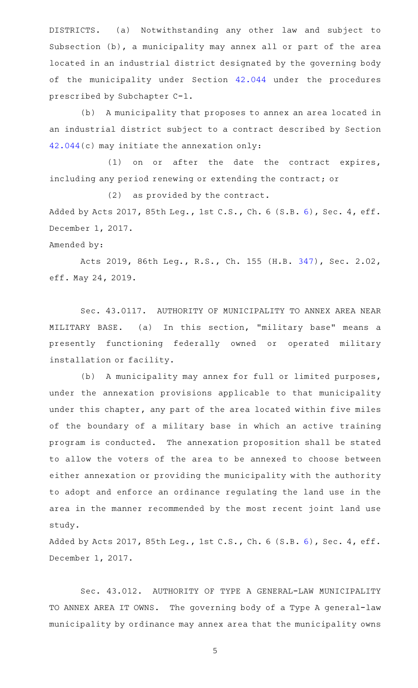DISTRICTS. (a) Notwithstanding any other law and subject to Subsection (b), a municipality may annex all or part of the area located in an industrial district designated by the governing body of the municipality under Section [42.044](http://www.statutes.legis.state.tx.us/GetStatute.aspx?Code=LG&Value=42.044) under the procedures prescribed by Subchapter C-1.

(b) A municipality that proposes to annex an area located in an industrial district subject to a contract described by Section [42.044](http://www.statutes.legis.state.tx.us/GetStatute.aspx?Code=LG&Value=42.044)(c) may initiate the annexation only:

(1) on or after the date the contract expires, including any period renewing or extending the contract; or

 $(2)$  as provided by the contract.

Added by Acts 2017, 85th Leg., 1st C.S., Ch. [6](http://www.legis.state.tx.us/tlodocs/851/billtext/html/SB00006F.HTM) (S.B. 6), Sec. 4, eff. December 1, 2017.

### Amended by:

Acts 2019, 86th Leg., R.S., Ch. 155 (H.B. [347](http://www.legis.state.tx.us/tlodocs/86R/billtext/html/HB00347F.HTM)), Sec. 2.02, eff. May 24, 2019.

Sec. 43.0117. AUTHORITY OF MUNICIPALITY TO ANNEX AREA NEAR MILITARY BASE. (a) In this section, "military base" means a presently functioning federally owned or operated military installation or facility.

(b) A municipality may annex for full or limited purposes, under the annexation provisions applicable to that municipality under this chapter, any part of the area located within five miles of the boundary of a military base in which an active training program is conducted. The annexation proposition shall be stated to allow the voters of the area to be annexed to choose between either annexation or providing the municipality with the authority to adopt and enforce an ordinance regulating the land use in the area in the manner recommended by the most recent joint land use study.

Added by Acts 2017, 85th Leg., 1st C.S., Ch. [6](http://www.legis.state.tx.us/tlodocs/851/billtext/html/SB00006F.HTM) (S.B. 6), Sec. 4, eff. December 1, 2017.

Sec. 43.012. AUTHORITY OF TYPE A GENERAL-LAW MUNICIPALITY TO ANNEX AREA IT OWNS. The governing body of a Type A general-law municipality by ordinance may annex area that the municipality owns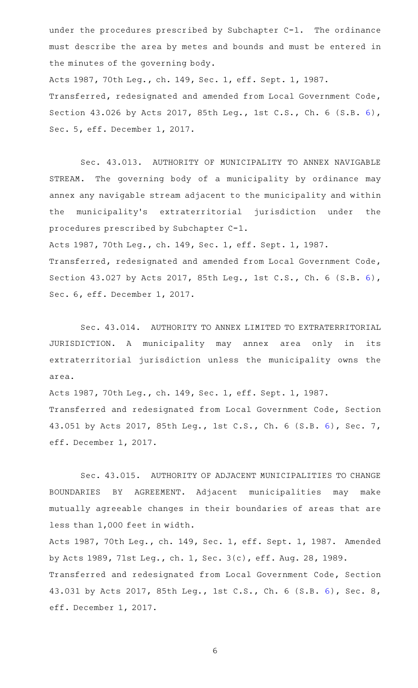under the procedures prescribed by Subchapter  $C-1$ . The ordinance must describe the area by metes and bounds and must be entered in the minutes of the governing body.

Acts 1987, 70th Leg., ch. 149, Sec. 1, eff. Sept. 1, 1987. Transferred, redesignated and amended from Local Government Code, Section 43.026 by Acts 2017, 85th Leg., 1st C.S., Ch. 6 (S.B. [6\)](http://www.legis.state.tx.us/tlodocs/851/billtext/html/SB00006F.HTM), Sec. 5, eff. December 1, 2017.

Sec. 43.013. AUTHORITY OF MUNICIPALITY TO ANNEX NAVIGABLE STREAM. The governing body of a municipality by ordinance may annex any navigable stream adjacent to the municipality and within the municipality's extraterritorial jurisdiction under the procedures prescribed by Subchapter C-1.

Acts 1987, 70th Leg., ch. 149, Sec. 1, eff. Sept. 1, 1987.

Transferred, redesignated and amended from Local Government Code, Section 43.027 by Acts 2017, 85th Leg., 1st C.S., Ch. 6 (S.B. [6\)](http://www.legis.state.tx.us/tlodocs/851/billtext/html/SB00006F.HTM), Sec. 6, eff. December 1, 2017.

Sec. 43.014. AUTHORITY TO ANNEX LIMITED TO EXTRATERRITORIAL JURISDICTION. A municipality may annex area only in its extraterritorial jurisdiction unless the municipality owns the area.

Acts 1987, 70th Leg., ch. 149, Sec. 1, eff. Sept. 1, 1987. Transferred and redesignated from Local Government Code, Section 43.051 by Acts 2017, 85th Leg., 1st C.S., Ch. 6 (S.B. [6](http://www.legis.state.tx.us/tlodocs/851/billtext/html/SB00006F.HTM)), Sec. 7, eff. December 1, 2017.

Sec. 43.015. AUTHORITY OF ADJACENT MUNICIPALITIES TO CHANGE BOUNDARIES BY AGREEMENT. Adjacent municipalities may make mutually agreeable changes in their boundaries of areas that are less than 1,000 feet in width.

Acts 1987, 70th Leg., ch. 149, Sec. 1, eff. Sept. 1, 1987. Amended by Acts 1989, 71st Leg., ch. 1, Sec. 3(c), eff. Aug. 28, 1989. Transferred and redesignated from Local Government Code, Section 43.031 by Acts 2017, 85th Leg., 1st C.S., Ch. 6 (S.B. [6](http://www.legis.state.tx.us/tlodocs/851/billtext/html/SB00006F.HTM)), Sec. 8, eff. December 1, 2017.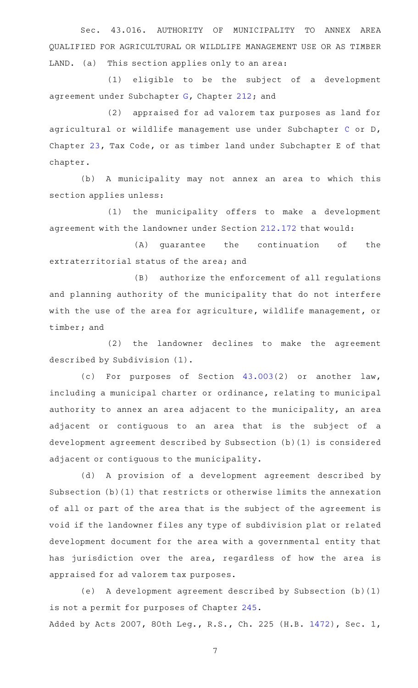Sec. 43.016. AUTHORITY OF MUNICIPALITY TO ANNEX AREA QUALIFIED FOR AGRICULTURAL OR WILDLIFE MANAGEMENT USE OR AS TIMBER LAND. (a) This section applies only to an area:

 $(1)$  eligible to be the subject of a development agreement under Subchapter [G,](http://www.statutes.legis.state.tx.us/GetStatute.aspx?Code=LG&Value=212.171) Chapter [212;](http://www.statutes.legis.state.tx.us/GetStatute.aspx?Code=LG&Value=212) and

(2) appraised for ad valorem tax purposes as land for agricultural or wildlife management use under Subchapter [C](http://www.statutes.legis.state.tx.us/GetStatute.aspx?Code=TX&Value=23.41) or D, Chapter [23](http://www.statutes.legis.state.tx.us/GetStatute.aspx?Code=TX&Value=23), Tax Code, or as timber land under Subchapter E of that chapter.

(b) A municipality may not annex an area to which this section applies unless:

(1) the municipality offers to make a development agreement with the landowner under Section [212.172](http://www.statutes.legis.state.tx.us/GetStatute.aspx?Code=LG&Value=212.172) that would:

(A) guarantee the continuation of the extraterritorial status of the area; and

(B) authorize the enforcement of all regulations and planning authority of the municipality that do not interfere with the use of the area for agriculture, wildlife management, or timber; and

(2) the landowner declines to make the agreement described by Subdivision (1).

(c) For purposes of Section  $43.003(2)$  $43.003(2)$  or another law, including a municipal charter or ordinance, relating to municipal authority to annex an area adjacent to the municipality, an area adjacent or contiguous to an area that is the subject of a development agreement described by Subsection (b)(1) is considered adjacent or contiguous to the municipality.

(d) A provision of a development agreement described by Subsection (b)(1) that restricts or otherwise limits the annexation of all or part of the area that is the subject of the agreement is void if the landowner files any type of subdivision plat or related development document for the area with a governmental entity that has jurisdiction over the area, regardless of how the area is appraised for ad valorem tax purposes.

(e)AAA development agreement described by Subsection (b)(1) is not a permit for purposes of Chapter [245](http://www.statutes.legis.state.tx.us/GetStatute.aspx?Code=LG&Value=245). Added by Acts 2007, 80th Leg., R.S., Ch. 225 (H.B. [1472](http://www.legis.state.tx.us/tlodocs/80R/billtext/html/HB01472F.HTM)), Sec. 1,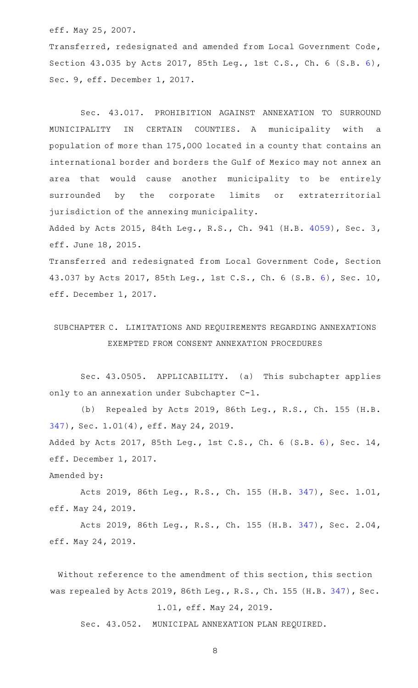eff. May 25, 2007.

Transferred, redesignated and amended from Local Government Code, Section 43.035 by Acts 2017, 85th Leg., 1st C.S., Ch. 6 (S.B. [6\)](http://www.legis.state.tx.us/tlodocs/851/billtext/html/SB00006F.HTM), Sec. 9, eff. December 1, 2017.

Sec. 43.017. PROHIBITION AGAINST ANNEXATION TO SURROUND MUNICIPALITY IN CERTAIN COUNTIES. A municipality with a population of more than 175,000 located in a county that contains an international border and borders the Gulf of Mexico may not annex an area that would cause another municipality to be entirely surrounded by the corporate limits or extraterritorial jurisdiction of the annexing municipality.

Added by Acts 2015, 84th Leg., R.S., Ch. 941 (H.B. [4059](http://www.legis.state.tx.us/tlodocs/84R/billtext/html/HB04059F.HTM)), Sec. 3, eff. June 18, 2015.

Transferred and redesignated from Local Government Code, Section 43.037 by Acts 2017, 85th Leg., 1st C.S., Ch. 6 (S.B. [6\)](http://www.legis.state.tx.us/tlodocs/851/billtext/html/SB00006F.HTM), Sec. 10, eff. December 1, 2017.

## SUBCHAPTER C. LIMITATIONS AND REQUIREMENTS REGARDING ANNEXATIONS EXEMPTED FROM CONSENT ANNEXATION PROCEDURES

Sec. 43.0505. APPLICABILITY. (a) This subchapter applies only to an annexation under Subchapter C-1.

(b) Repealed by Acts 2019, 86th Leg., R.S., Ch. 155 (H.B. [347\)](http://www.legis.state.tx.us/tlodocs/86R/billtext/html/HB00347F.HTM), Sec. 1.01(4), eff. May 24, 2019.

Added by Acts 2017, 85th Leg., 1st C.S., Ch. 6 (S.B. [6\)](http://www.legis.state.tx.us/tlodocs/851/billtext/html/SB00006F.HTM), Sec. 14, eff. December 1, 2017.

Amended by:

Acts 2019, 86th Leg., R.S., Ch. 155 (H.B. [347](http://www.legis.state.tx.us/tlodocs/86R/billtext/html/HB00347F.HTM)), Sec. 1.01, eff. May 24, 2019.

Acts 2019, 86th Leg., R.S., Ch. 155 (H.B. [347](http://www.legis.state.tx.us/tlodocs/86R/billtext/html/HB00347F.HTM)), Sec. 2.04, eff. May 24, 2019.

Without reference to the amendment of this section, this section was repealed by Acts 2019, 86th Leg., R.S., Ch. 155 (H.B. [347](http://www.legis.state.tx.us/tlodocs/86R/billtext/html/HB00347F.HTM)), Sec. 1.01, eff. May 24, 2019.

Sec. 43.052. MUNICIPAL ANNEXATION PLAN REQUIRED.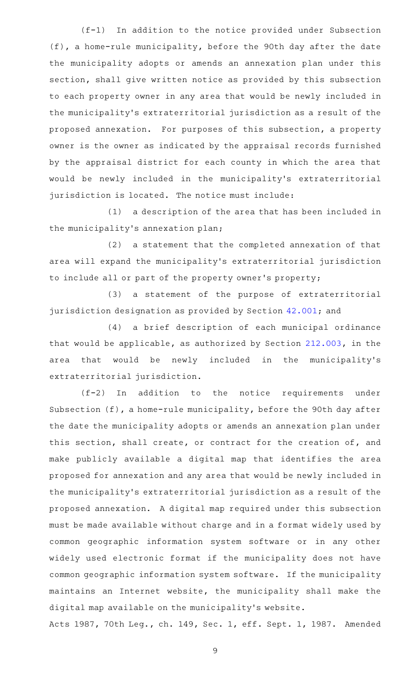(f-1) In addition to the notice provided under Subsection (f), a home-rule municipality, before the 90th day after the date the municipality adopts or amends an annexation plan under this section, shall give written notice as provided by this subsection to each property owner in any area that would be newly included in the municipality 's extraterritorial jurisdiction as a result of the proposed annexation. For purposes of this subsection, a property owner is the owner as indicated by the appraisal records furnished by the appraisal district for each county in which the area that would be newly included in the municipality 's extraterritorial jurisdiction is located. The notice must include:

(1) a description of the area that has been included in the municipality 's annexation plan;

(2) a statement that the completed annexation of that area will expand the municipality 's extraterritorial jurisdiction to include all or part of the property owner 's property;

(3) a statement of the purpose of extraterritorial jurisdiction designation as provided by Section [42.001](http://www.statutes.legis.state.tx.us/GetStatute.aspx?Code=LG&Value=42.001); and

(4) a brief description of each municipal ordinance that would be applicable, as authorized by Section [212.003](http://www.statutes.legis.state.tx.us/GetStatute.aspx?Code=LG&Value=212.003), in the area that would be newly included in the municipality's extraterritorial jurisdiction.

 $(f-2)$  In addition to the notice requirements under Subsection (f), a home-rule municipality, before the 90th day after the date the municipality adopts or amends an annexation plan under this section, shall create, or contract for the creation of, and make publicly available a digital map that identifies the area proposed for annexation and any area that would be newly included in the municipality 's extraterritorial jurisdiction as a result of the proposed annexation. A digital map required under this subsection must be made available without charge and in a format widely used by common geographic information system software or in any other widely used electronic format if the municipality does not have common geographic information system software. If the municipality maintains an Internet website, the municipality shall make the digital map available on the municipality 's website.

Acts 1987, 70th Leg., ch. 149, Sec. 1, eff. Sept. 1, 1987. Amended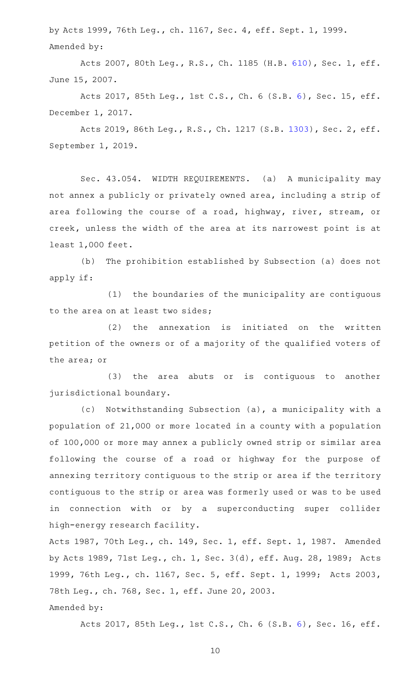by Acts 1999, 76th Leg., ch. 1167, Sec. 4, eff. Sept. 1, 1999. Amended by:

Acts 2007, 80th Leg., R.S., Ch. 1185 (H.B. [610](http://www.legis.state.tx.us/tlodocs/80R/billtext/html/HB00610F.HTM)), Sec. 1, eff. June 15, 2007.

Acts 2017, 85th Leg., 1st C.S., Ch. 6 (S.B. [6](http://www.legis.state.tx.us/tlodocs/851/billtext/html/SB00006F.HTM)), Sec. 15, eff. December 1, 2017.

Acts 2019, 86th Leg., R.S., Ch. 1217 (S.B. [1303](http://www.legis.state.tx.us/tlodocs/86R/billtext/html/SB01303F.HTM)), Sec. 2, eff. September 1, 2019.

Sec. 43.054. WIDTH REQUIREMENTS. (a) A municipality may not annex a publicly or privately owned area, including a strip of area following the course of a road, highway, river, stream, or creek, unless the width of the area at its narrowest point is at least 1,000 feet.

(b) The prohibition established by Subsection (a) does not apply if:

(1) the boundaries of the municipality are contiguous to the area on at least two sides;

 $(2)$  the annexation is initiated on the written petition of the owners or of a majority of the qualified voters of the area; or

(3) the area abuts or is contiguous to another jurisdictional boundary.

(c) Notwithstanding Subsection (a), a municipality with a population of 21,000 or more located in a county with a population of 100,000 or more may annex a publicly owned strip or similar area following the course of a road or highway for the purpose of annexing territory contiguous to the strip or area if the territory contiguous to the strip or area was formerly used or was to be used in connection with or by a superconducting super collider high-energy research facility.

Acts 1987, 70th Leg., ch. 149, Sec. 1, eff. Sept. 1, 1987. Amended by Acts 1989, 71st Leg., ch. 1, Sec. 3(d), eff. Aug. 28, 1989; Acts 1999, 76th Leg., ch. 1167, Sec. 5, eff. Sept. 1, 1999; Acts 2003, 78th Leg., ch. 768, Sec. 1, eff. June 20, 2003. Amended by:

Acts 2017, 85th Leg., 1st C.S., Ch. 6 (S.B. [6](http://www.legis.state.tx.us/tlodocs/851/billtext/html/SB00006F.HTM)), Sec. 16, eff.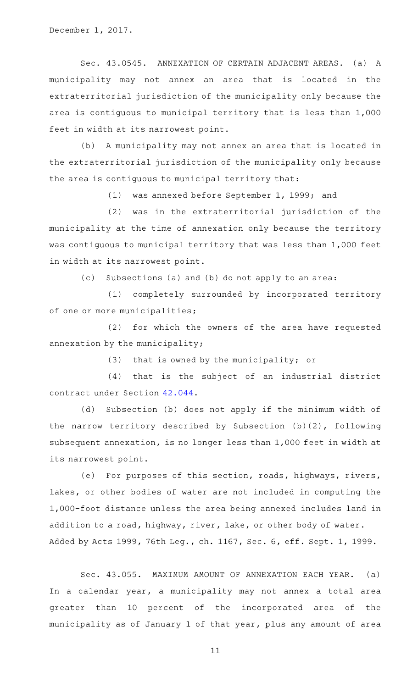December 1, 2017.

Sec. 43.0545. ANNEXATION OF CERTAIN ADJACENT AREAS. (a) A municipality may not annex an area that is located in the extraterritorial jurisdiction of the municipality only because the area is contiguous to municipal territory that is less than 1,000 feet in width at its narrowest point.

(b) A municipality may not annex an area that is located in the extraterritorial jurisdiction of the municipality only because the area is contiguous to municipal territory that:

(1) was annexed before September 1, 1999; and

(2) was in the extraterritorial jurisdiction of the municipality at the time of annexation only because the territory was contiguous to municipal territory that was less than 1,000 feet in width at its narrowest point.

(c) Subsections (a) and (b) do not apply to an area:

(1) completely surrounded by incorporated territory of one or more municipalities;

(2) for which the owners of the area have requested annexation by the municipality;

(3) that is owned by the municipality; or

(4) that is the subject of an industrial district contract under Section [42.044](http://www.statutes.legis.state.tx.us/GetStatute.aspx?Code=LG&Value=42.044).

(d) Subsection (b) does not apply if the minimum width of the narrow territory described by Subsection (b)(2), following subsequent annexation, is no longer less than 1,000 feet in width at its narrowest point.

(e) For purposes of this section, roads, highways, rivers, lakes, or other bodies of water are not included in computing the 1,000-foot distance unless the area being annexed includes land in addition to a road, highway, river, lake, or other body of water. Added by Acts 1999, 76th Leg., ch. 1167, Sec. 6, eff. Sept. 1, 1999.

Sec. 43.055. MAXIMUM AMOUNT OF ANNEXATION EACH YEAR. (a) In a calendar year, a municipality may not annex a total area greater than 10 percent of the incorporated area of the municipality as of January 1 of that year, plus any amount of area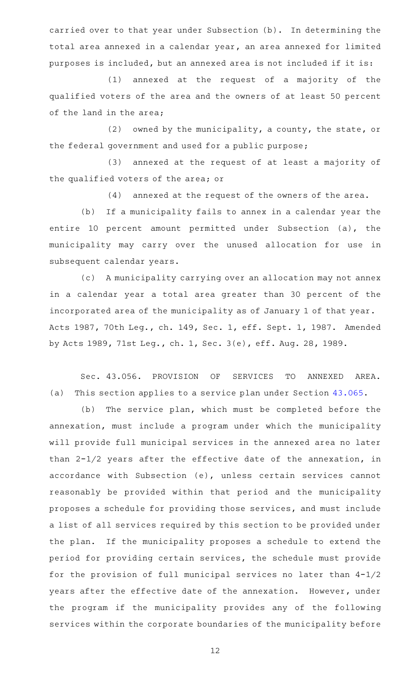carried over to that year under Subsection (b). In determining the total area annexed in a calendar year, an area annexed for limited purposes is included, but an annexed area is not included if it is:

(1) annexed at the request of a majority of the qualified voters of the area and the owners of at least 50 percent of the land in the area;

(2) owned by the municipality, a county, the state, or the federal government and used for a public purpose;

(3) annexed at the request of at least a majority of the qualified voters of the area; or

 $(4)$  annexed at the request of the owners of the area.

(b) If a municipality fails to annex in a calendar year the entire 10 percent amount permitted under Subsection (a), the municipality may carry over the unused allocation for use in subsequent calendar years.

(c) A municipality carrying over an allocation may not annex in a calendar year a total area greater than 30 percent of the incorporated area of the municipality as of January 1 of that year. Acts 1987, 70th Leg., ch. 149, Sec. 1, eff. Sept. 1, 1987. Amended by Acts 1989, 71st Leg., ch. 1, Sec. 3(e), eff. Aug. 28, 1989.

Sec. 43.056. PROVISION OF SERVICES TO ANNEXED AREA. (a) This section applies to a service plan under Section [43.065](http://www.statutes.legis.state.tx.us/GetStatute.aspx?Code=LG&Value=43.065).

(b) The service plan, which must be completed before the annexation, must include a program under which the municipality will provide full municipal services in the annexed area no later than 2-1/2 years after the effective date of the annexation, in accordance with Subsection (e), unless certain services cannot reasonably be provided within that period and the municipality proposes a schedule for providing those services, and must include a list of all services required by this section to be provided under the plan. If the municipality proposes a schedule to extend the period for providing certain services, the schedule must provide for the provision of full municipal services no later than 4-1/2 years after the effective date of the annexation. However, under the program if the municipality provides any of the following services within the corporate boundaries of the municipality before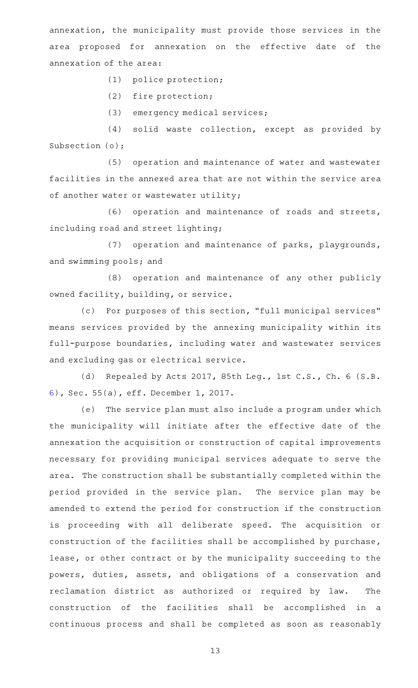annexation, the municipality must provide those services in the area proposed for annexation on the effective date of the annexation of the area:

(1) police protection;

(2) fire protection;

(3) emergency medical services;

(4) solid waste collection, except as provided by Subsection (o);

(5) operation and maintenance of water and wastewater facilities in the annexed area that are not within the service area of another water or wastewater utility;

(6) operation and maintenance of roads and streets, including road and street lighting;

(7) operation and maintenance of parks, playgrounds, and swimming pools; and

(8) operation and maintenance of any other publicly owned facility, building, or service.

(c) For purposes of this section, "full municipal services" means services provided by the annexing municipality within its full-purpose boundaries, including water and wastewater services and excluding gas or electrical service.

(d) Repealed by Acts 2017, 85th Leg., 1st C.S., Ch. 6 (S.B. [6\)](http://www.legis.state.tx.us/tlodocs/851/billtext/html/SB00006F.HTM), Sec. 55(a), eff. December 1, 2017.

(e) The service plan must also include a program under which the municipality will initiate after the effective date of the annexation the acquisition or construction of capital improvements necessary for providing municipal services adequate to serve the area. The construction shall be substantially completed within the period provided in the service plan. The service plan may be amended to extend the period for construction if the construction is proceeding with all deliberate speed. The acquisition or construction of the facilities shall be accomplished by purchase, lease, or other contract or by the municipality succeeding to the powers, duties, assets, and obligations of a conservation and reclamation district as authorized or required by law. The construction of the facilities shall be accomplished in a continuous process and shall be completed as soon as reasonably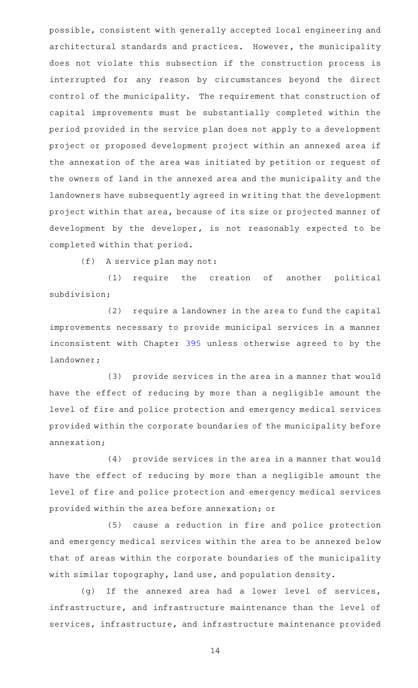possible, consistent with generally accepted local engineering and architectural standards and practices. However, the municipality does not violate this subsection if the construction process is interrupted for any reason by circumstances beyond the direct control of the municipality. The requirement that construction of capital improvements must be substantially completed within the period provided in the service plan does not apply to a development project or proposed development project within an annexed area if the annexation of the area was initiated by petition or request of the owners of land in the annexed area and the municipality and the landowners have subsequently agreed in writing that the development project within that area, because of its size or projected manner of development by the developer, is not reasonably expected to be completed within that period.

 $(f)$  A service plan may not:

(1) require the creation of another political subdivision;

(2) require a landowner in the area to fund the capital improvements necessary to provide municipal services in a manner inconsistent with Chapter [395](http://www.statutes.legis.state.tx.us/GetStatute.aspx?Code=LG&Value=395) unless otherwise agreed to by the landowner;

(3) provide services in the area in a manner that would have the effect of reducing by more than a negligible amount the level of fire and police protection and emergency medical services provided within the corporate boundaries of the municipality before annexation;

(4) provide services in the area in a manner that would have the effect of reducing by more than a negligible amount the level of fire and police protection and emergency medical services provided within the area before annexation; or

(5) cause a reduction in fire and police protection and emergency medical services within the area to be annexed below that of areas within the corporate boundaries of the municipality with similar topography, land use, and population density.

(g) If the annexed area had a lower level of services, infrastructure, and infrastructure maintenance than the level of services, infrastructure, and infrastructure maintenance provided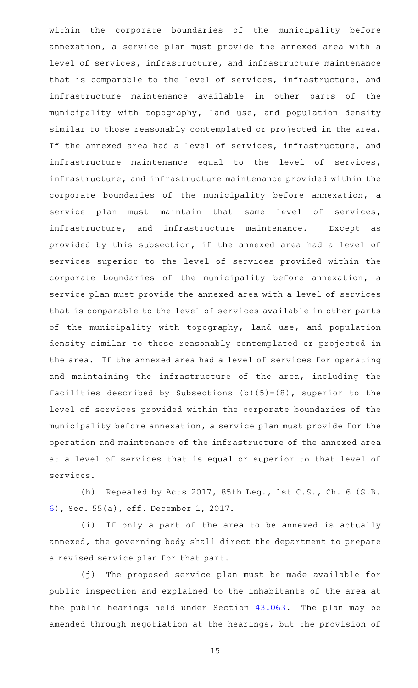within the corporate boundaries of the municipality before annexation, a service plan must provide the annexed area with a level of services, infrastructure, and infrastructure maintenance that is comparable to the level of services, infrastructure, and infrastructure maintenance available in other parts of the municipality with topography, land use, and population density similar to those reasonably contemplated or projected in the area. If the annexed area had a level of services, infrastructure, and infrastructure maintenance equal to the level of services, infrastructure, and infrastructure maintenance provided within the corporate boundaries of the municipality before annexation, a service plan must maintain that same level of services, infrastructure, and infrastructure maintenance. Except as provided by this subsection, if the annexed area had a level of services superior to the level of services provided within the corporate boundaries of the municipality before annexation, a service plan must provide the annexed area with a level of services that is comparable to the level of services available in other parts of the municipality with topography, land use, and population density similar to those reasonably contemplated or projected in the area. If the annexed area had a level of services for operating and maintaining the infrastructure of the area, including the facilities described by Subsections  $(b)(5)-(8)$ , superior to the level of services provided within the corporate boundaries of the municipality before annexation, a service plan must provide for the operation and maintenance of the infrastructure of the annexed area at a level of services that is equal or superior to that level of services.

(h) Repealed by Acts 2017, 85th Leg., 1st C.S., Ch. 6 (S.B. [6\)](http://www.legis.state.tx.us/tlodocs/851/billtext/html/SB00006F.HTM), Sec. 55(a), eff. December 1, 2017.

(i) If only a part of the area to be annexed is actually annexed, the governing body shall direct the department to prepare a revised service plan for that part.

(j) The proposed service plan must be made available for public inspection and explained to the inhabitants of the area at the public hearings held under Section [43.063.](http://www.statutes.legis.state.tx.us/GetStatute.aspx?Code=LG&Value=43.063) The plan may be amended through negotiation at the hearings, but the provision of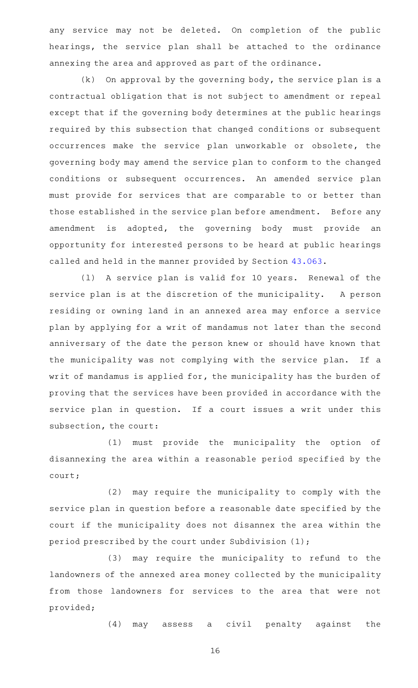any service may not be deleted. On completion of the public hearings, the service plan shall be attached to the ordinance annexing the area and approved as part of the ordinance.

 $(k)$  On approval by the governing body, the service plan is a contractual obligation that is not subject to amendment or repeal except that if the governing body determines at the public hearings required by this subsection that changed conditions or subsequent occurrences make the service plan unworkable or obsolete, the governing body may amend the service plan to conform to the changed conditions or subsequent occurrences. An amended service plan must provide for services that are comparable to or better than those established in the service plan before amendment. Before any amendment is adopted, the governing body must provide an opportunity for interested persons to be heard at public hearings called and held in the manner provided by Section [43.063](http://www.statutes.legis.state.tx.us/GetStatute.aspx?Code=LG&Value=43.063).

(1) A service plan is valid for 10 years. Renewal of the service plan is at the discretion of the municipality. A person residing or owning land in an annexed area may enforce a service plan by applying for a writ of mandamus not later than the second anniversary of the date the person knew or should have known that the municipality was not complying with the service plan. If a writ of mandamus is applied for, the municipality has the burden of proving that the services have been provided in accordance with the service plan in question. If a court issues a writ under this subsection, the court:

(1) must provide the municipality the option of disannexing the area within a reasonable period specified by the court;

(2) may require the municipality to comply with the service plan in question before a reasonable date specified by the court if the municipality does not disannex the area within the period prescribed by the court under Subdivision (1);

(3) may require the municipality to refund to the landowners of the annexed area money collected by the municipality from those landowners for services to the area that were not provided;

(4) may assess a civil penalty against the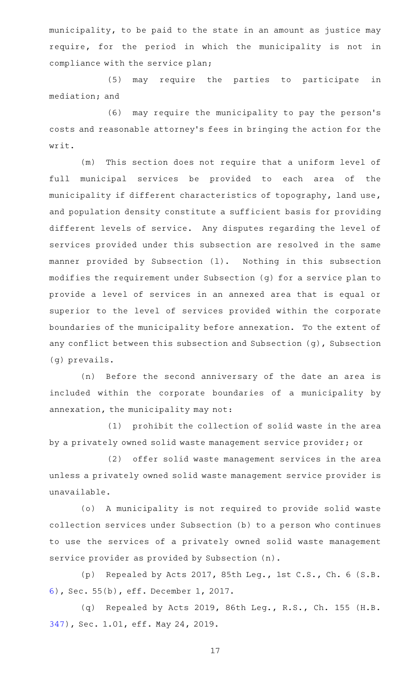municipality, to be paid to the state in an amount as justice may require, for the period in which the municipality is not in compliance with the service plan;

(5) may require the parties to participate in mediation; and

(6) may require the municipality to pay the person's costs and reasonable attorney 's fees in bringing the action for the writ.

(m) This section does not require that a uniform level of full municipal services be provided to each area of the municipality if different characteristics of topography, land use, and population density constitute a sufficient basis for providing different levels of service. Any disputes regarding the level of services provided under this subsection are resolved in the same manner provided by Subsection (l). Nothing in this subsection modifies the requirement under Subsection (g) for a service plan to provide a level of services in an annexed area that is equal or superior to the level of services provided within the corporate boundaries of the municipality before annexation. To the extent of any conflict between this subsection and Subsection (g), Subsection (g) prevails.

(n) Before the second anniversary of the date an area is included within the corporate boundaries of a municipality by annexation, the municipality may not:

(1) prohibit the collection of solid waste in the area by a privately owned solid waste management service provider; or

(2) offer solid waste management services in the area unless a privately owned solid waste management service provider is unavailable.

(o) A municipality is not required to provide solid waste collection services under Subsection (b) to a person who continues to use the services of a privately owned solid waste management service provider as provided by Subsection (n).

(p) Repealed by Acts 2017, 85th Leg., 1st C.S., Ch. 6 (S.B. [6\)](http://www.legis.state.tx.us/tlodocs/851/billtext/html/SB00006F.HTM), Sec. 55(b), eff. December 1, 2017.

(q) Repealed by Acts 2019, 86th Leg., R.S., Ch. 155 (H.B. [347\)](http://www.legis.state.tx.us/tlodocs/86R/billtext/html/HB00347F.HTM), Sec. 1.01, eff. May 24, 2019.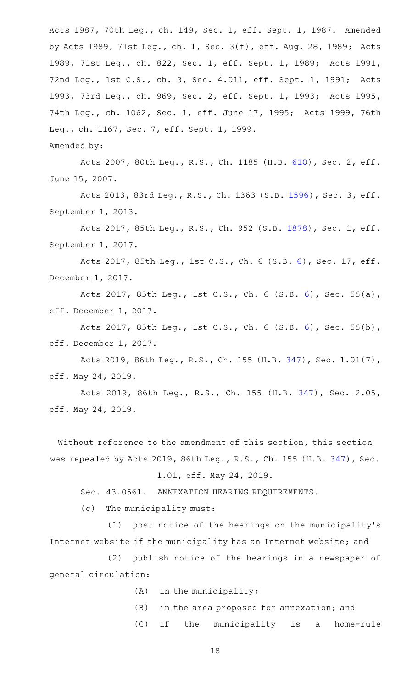Acts 1987, 70th Leg., ch. 149, Sec. 1, eff. Sept. 1, 1987. Amended by Acts 1989, 71st Leg., ch. 1, Sec. 3(f), eff. Aug. 28, 1989; Acts 1989, 71st Leg., ch. 822, Sec. 1, eff. Sept. 1, 1989; Acts 1991, 72nd Leg., 1st C.S., ch. 3, Sec. 4.011, eff. Sept. 1, 1991; Acts 1993, 73rd Leg., ch. 969, Sec. 2, eff. Sept. 1, 1993; Acts 1995, 74th Leg., ch. 1062, Sec. 1, eff. June 17, 1995; Acts 1999, 76th Leg., ch. 1167, Sec. 7, eff. Sept. 1, 1999.

Amended by:

Acts 2007, 80th Leg., R.S., Ch. 1185 (H.B. [610](http://www.legis.state.tx.us/tlodocs/80R/billtext/html/HB00610F.HTM)), Sec. 2, eff. June 15, 2007.

Acts 2013, 83rd Leg., R.S., Ch. 1363 (S.B. [1596](http://www.legis.state.tx.us/tlodocs/83R/billtext/html/SB01596F.HTM)), Sec. 3, eff. September 1, 2013.

Acts 2017, 85th Leg., R.S., Ch. 952 (S.B. [1878](http://www.legis.state.tx.us/tlodocs/85R/billtext/html/SB01878F.HTM)), Sec. 1, eff. September 1, 2017.

Acts 2017, 85th Leg., 1st C.S., Ch. 6 (S.B. [6](http://www.legis.state.tx.us/tlodocs/851/billtext/html/SB00006F.HTM)), Sec. 17, eff. December 1, 2017.

Acts 2017, 85th Leg., 1st C.S., Ch. 6 (S.B. [6](http://www.legis.state.tx.us/tlodocs/851/billtext/html/SB00006F.HTM)), Sec. 55(a), eff. December 1, 2017.

Acts 2017, 85th Leg., 1st C.S., Ch. 6 (S.B. [6](http://www.legis.state.tx.us/tlodocs/851/billtext/html/SB00006F.HTM)), Sec. 55(b), eff. December 1, 2017.

Acts 2019, 86th Leg., R.S., Ch. 155 (H.B. [347](http://www.legis.state.tx.us/tlodocs/86R/billtext/html/HB00347F.HTM)), Sec. 1.01(7), eff. May 24, 2019.

Acts 2019, 86th Leg., R.S., Ch. 155 (H.B. [347](http://www.legis.state.tx.us/tlodocs/86R/billtext/html/HB00347F.HTM)), Sec. 2.05, eff. May 24, 2019.

Without reference to the amendment of this section, this section was repealed by Acts 2019, 86th Leg., R.S., Ch. 155 (H.B. [347](http://www.legis.state.tx.us/tlodocs/86R/billtext/html/HB00347F.HTM)), Sec.

### 1.01, eff. May 24, 2019.

Sec. 43.0561. ANNEXATION HEARING REQUIREMENTS.

 $(c)$  The municipality must:

 $(1)$  post notice of the hearings on the municipality's Internet website if the municipality has an Internet website; and

(2) publish notice of the hearings in a newspaper of general circulation:

- $(A)$  in the municipality;
- (B) in the area proposed for annexation; and

(C) if the municipality is a home-rule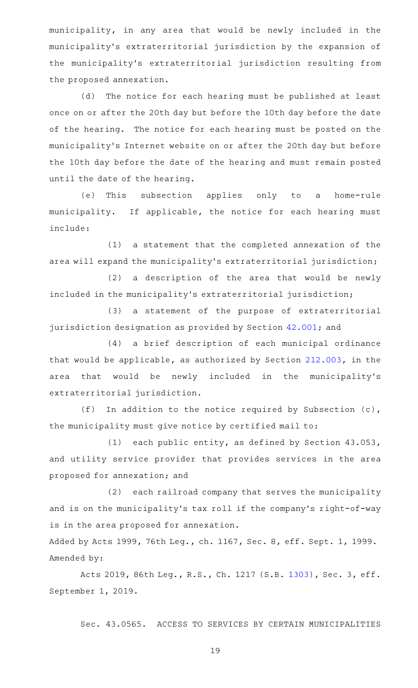municipality, in any area that would be newly included in the municipality 's extraterritorial jurisdiction by the expansion of the municipality 's extraterritorial jurisdiction resulting from the proposed annexation.

(d) The notice for each hearing must be published at least once on or after the 20th day but before the 10th day before the date of the hearing. The notice for each hearing must be posted on the municipality 's Internet website on or after the 20th day but before the 10th day before the date of the hearing and must remain posted until the date of the hearing.

(e) This subsection applies only to a home-rule municipality. If applicable, the notice for each hearing must include:

(1) a statement that the completed annexation of the area will expand the municipality 's extraterritorial jurisdiction;

 $(2)$  a description of the area that would be newly included in the municipality 's extraterritorial jurisdiction;

(3) a statement of the purpose of extraterritorial jurisdiction designation as provided by Section [42.001](http://www.statutes.legis.state.tx.us/GetStatute.aspx?Code=LG&Value=42.001); and

(4) a brief description of each municipal ordinance that would be applicable, as authorized by Section [212.003](http://www.statutes.legis.state.tx.us/GetStatute.aspx?Code=LG&Value=212.003), in the area that would be newly included in the municipality's extraterritorial jurisdiction.

(f) In addition to the notice required by Subsection (c), the municipality must give notice by certified mail to:

(1) each public entity, as defined by Section  $43.053$ , and utility service provider that provides services in the area proposed for annexation; and

(2) each railroad company that serves the municipality and is on the municipality's tax roll if the company's right-of-way is in the area proposed for annexation.

Added by Acts 1999, 76th Leg., ch. 1167, Sec. 8, eff. Sept. 1, 1999. Amended by:

Acts 2019, 86th Leg., R.S., Ch. 1217 (S.B. [1303](http://www.legis.state.tx.us/tlodocs/86R/billtext/html/SB01303F.HTM)), Sec. 3, eff. September 1, 2019.

Sec. 43.0565. ACCESS TO SERVICES BY CERTAIN MUNICIPALITIES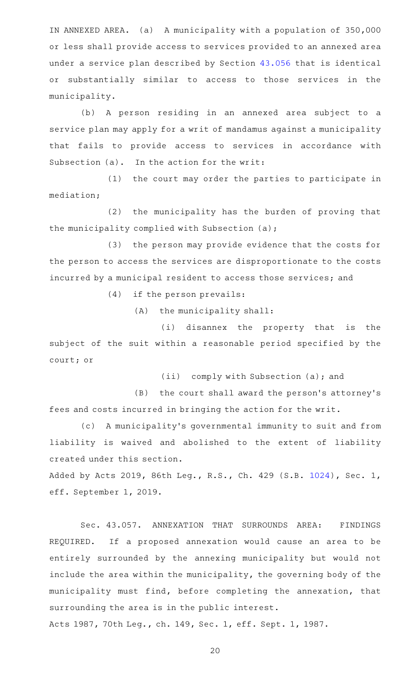IN ANNEXED AREA. (a) A municipality with a population of 350,000 or less shall provide access to services provided to an annexed area under a service plan described by Section [43.056](http://www.statutes.legis.state.tx.us/GetStatute.aspx?Code=LG&Value=43.056) that is identical or substantially similar to access to those services in the municipality.

(b) A person residing in an annexed area subject to a service plan may apply for a writ of mandamus against a municipality that fails to provide access to services in accordance with Subsection  $(a)$ . In the action for the writ:

(1) the court may order the parties to participate in mediation;

(2) the municipality has the burden of proving that the municipality complied with Subsection (a);

(3) the person may provide evidence that the costs for the person to access the services are disproportionate to the costs incurred by a municipal resident to access those services; and

 $(4)$  if the person prevails:

 $(A)$  the municipality shall:

(i) disannex the property that is the subject of the suit within a reasonable period specified by the court; or

(ii) comply with Subsection (a); and

(B) the court shall award the person's attorney's fees and costs incurred in bringing the action for the writ.

(c) A municipality's governmental immunity to suit and from liability is waived and abolished to the extent of liability created under this section.

Added by Acts 2019, 86th Leg., R.S., Ch. 429 (S.B. [1024](http://www.legis.state.tx.us/tlodocs/86R/billtext/html/SB01024F.HTM)), Sec. 1, eff. September 1, 2019.

Sec. 43.057. ANNEXATION THAT SURROUNDS AREA: FINDINGS REQUIRED. If a proposed annexation would cause an area to be entirely surrounded by the annexing municipality but would not include the area within the municipality, the governing body of the municipality must find, before completing the annexation, that surrounding the area is in the public interest.

Acts 1987, 70th Leg., ch. 149, Sec. 1, eff. Sept. 1, 1987.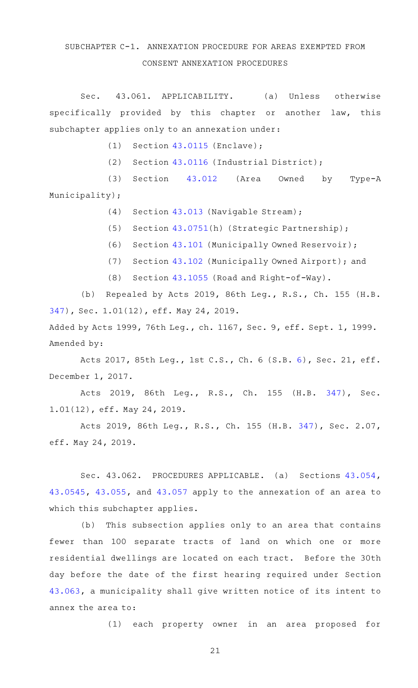### SUBCHAPTER C-1. ANNEXATION PROCEDURE FOR AREAS EXEMPTED FROM CONSENT ANNEXATION PROCEDURES

Sec. 43.061. APPLICABILITY. (a) Unless otherwise specifically provided by this chapter or another law, this subchapter applies only to an annexation under:

 $(1)$  Section [43.0115](http://www.statutes.legis.state.tx.us/GetStatute.aspx?Code=LG&Value=43.0115) (Enclave);

(2) Section  $43.0116$  (Industrial District);

(3) Section [43.012](http://www.statutes.legis.state.tx.us/GetStatute.aspx?Code=LG&Value=43.012) (Area Owned by Type-A Municipality);

(4) Section [43.013](http://www.statutes.legis.state.tx.us/GetStatute.aspx?Code=LG&Value=43.013) (Navigable Stream);

(5) Section [43.0751\(](http://www.statutes.legis.state.tx.us/GetStatute.aspx?Code=LG&Value=43.0751)h) (Strategic Partnership);

(6) Section [43.101](http://www.statutes.legis.state.tx.us/GetStatute.aspx?Code=LG&Value=43.101) (Municipally Owned Reservoir);

(7) Section [43.102](http://www.statutes.legis.state.tx.us/GetStatute.aspx?Code=LG&Value=43.102) (Municipally Owned Airport); and

(8) Section [43.1055](http://www.statutes.legis.state.tx.us/GetStatute.aspx?Code=LG&Value=43.1055) (Road and Right-of-Way).

(b) Repealed by Acts 2019, 86th Leg., R.S., Ch. 155 (H.B. [347\)](http://www.legis.state.tx.us/tlodocs/86R/billtext/html/HB00347F.HTM), Sec. 1.01(12), eff. May 24, 2019.

Added by Acts 1999, 76th Leg., ch. 1167, Sec. 9, eff. Sept. 1, 1999. Amended by:

Acts 2017, 85th Leg., 1st C.S., Ch. 6 (S.B. [6](http://www.legis.state.tx.us/tlodocs/851/billtext/html/SB00006F.HTM)), Sec. 21, eff. December 1, 2017.

Acts 2019, 86th Leg., R.S., Ch. 155 (H.B. [347\)](http://www.legis.state.tx.us/tlodocs/86R/billtext/html/HB00347F.HTM), Sec. 1.01(12), eff. May 24, 2019.

Acts 2019, 86th Leg., R.S., Ch. 155 (H.B. [347](http://www.legis.state.tx.us/tlodocs/86R/billtext/html/HB00347F.HTM)), Sec. 2.07, eff. May 24, 2019.

Sec. 43.062. PROCEDURES APPLICABLE. (a) Sections [43.054](http://www.statutes.legis.state.tx.us/GetStatute.aspx?Code=LG&Value=43.054), [43.0545,](http://www.statutes.legis.state.tx.us/GetStatute.aspx?Code=LG&Value=43.0545) [43.055,](http://www.statutes.legis.state.tx.us/GetStatute.aspx?Code=LG&Value=43.055) and [43.057](http://www.statutes.legis.state.tx.us/GetStatute.aspx?Code=LG&Value=43.057) apply to the annexation of an area to which this subchapter applies.

(b) This subsection applies only to an area that contains fewer than 100 separate tracts of land on which one or more residential dwellings are located on each tract. Before the 30th day before the date of the first hearing required under Section [43.063](http://www.statutes.legis.state.tx.us/GetStatute.aspx?Code=LG&Value=43.063), a municipality shall give written notice of its intent to annex the area to:

(1) each property owner in an area proposed for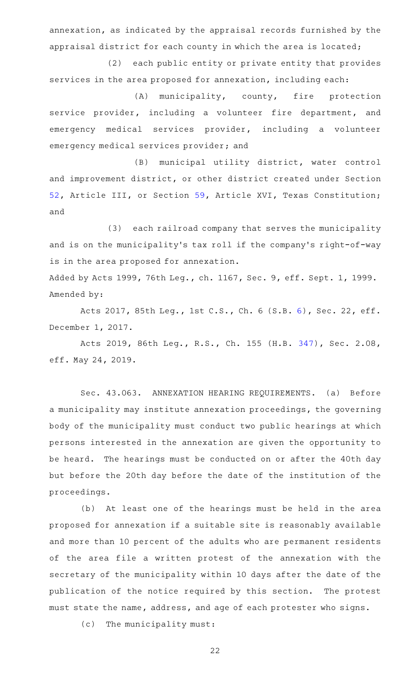annexation, as indicated by the appraisal records furnished by the appraisal district for each county in which the area is located;

(2) each public entity or private entity that provides services in the area proposed for annexation, including each:

 $(A)$  municipality, county, fire protection service provider, including a volunteer fire department, and emergency medical services provider, including a volunteer emergency medical services provider; and

(B) municipal utility district, water control and improvement district, or other district created under Section [52](http://www.statutes.legis.state.tx.us/GetStatute.aspx?Code=CN&Value=3.52), Article III, or Section [59](http://www.statutes.legis.state.tx.us/GetStatute.aspx?Code=CN&Value=16.59), Article XVI, Texas Constitution; and

(3) each railroad company that serves the municipality and is on the municipality 's tax roll if the company 's right-of-way is in the area proposed for annexation.

Added by Acts 1999, 76th Leg., ch. 1167, Sec. 9, eff. Sept. 1, 1999. Amended by:

Acts 2017, 85th Leg., 1st C.S., Ch. 6 (S.B. [6](http://www.legis.state.tx.us/tlodocs/851/billtext/html/SB00006F.HTM)), Sec. 22, eff. December 1, 2017.

Acts 2019, 86th Leg., R.S., Ch. 155 (H.B. [347](http://www.legis.state.tx.us/tlodocs/86R/billtext/html/HB00347F.HTM)), Sec. 2.08, eff. May 24, 2019.

Sec. 43.063. ANNEXATION HEARING REQUIREMENTS. (a) Before a municipality may institute annexation proceedings, the governing body of the municipality must conduct two public hearings at which persons interested in the annexation are given the opportunity to be heard. The hearings must be conducted on or after the 40th day but before the 20th day before the date of the institution of the proceedings.

(b) At least one of the hearings must be held in the area proposed for annexation if a suitable site is reasonably available and more than 10 percent of the adults who are permanent residents of the area file a written protest of the annexation with the secretary of the municipality within 10 days after the date of the publication of the notice required by this section. The protest must state the name, address, and age of each protester who signs.

(c) The municipality must: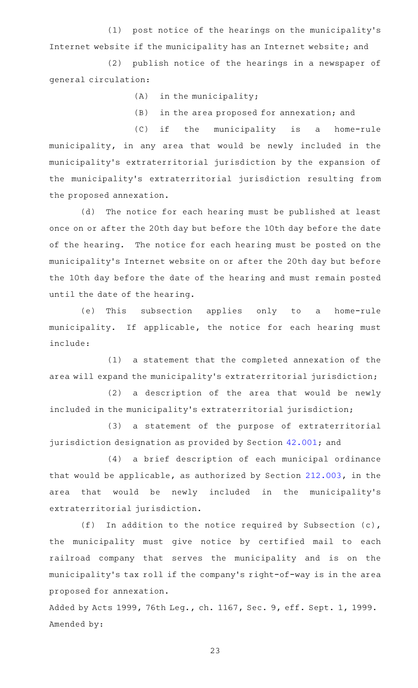(1) post notice of the hearings on the municipality's Internet website if the municipality has an Internet website; and

(2) publish notice of the hearings in a newspaper of general circulation:

 $(A)$  in the municipality;

 $(B)$  in the area proposed for annexation; and

(C) if the municipality is a home-rule municipality, in any area that would be newly included in the municipality 's extraterritorial jurisdiction by the expansion of the municipality 's extraterritorial jurisdiction resulting from the proposed annexation.

(d) The notice for each hearing must be published at least once on or after the 20th day but before the 10th day before the date of the hearing. The notice for each hearing must be posted on the municipality 's Internet website on or after the 20th day but before the 10th day before the date of the hearing and must remain posted until the date of the hearing.

(e) This subsection applies only to a home-rule municipality. If applicable, the notice for each hearing must include:

(1) a statement that the completed annexation of the area will expand the municipality 's extraterritorial jurisdiction;

(2) a description of the area that would be newly included in the municipality 's extraterritorial jurisdiction;

(3) a statement of the purpose of extraterritorial jurisdiction designation as provided by Section [42.001](http://www.statutes.legis.state.tx.us/GetStatute.aspx?Code=LG&Value=42.001); and

(4) a brief description of each municipal ordinance that would be applicable, as authorized by Section [212.003](http://www.statutes.legis.state.tx.us/GetStatute.aspx?Code=LG&Value=212.003), in the area that would be newly included in the municipality's extraterritorial jurisdiction.

(f) In addition to the notice required by Subsection  $(c)$ , the municipality must give notice by certified mail to each railroad company that serves the municipality and is on the municipality 's tax roll if the company 's right-of-way is in the area proposed for annexation.

Added by Acts 1999, 76th Leg., ch. 1167, Sec. 9, eff. Sept. 1, 1999. Amended by: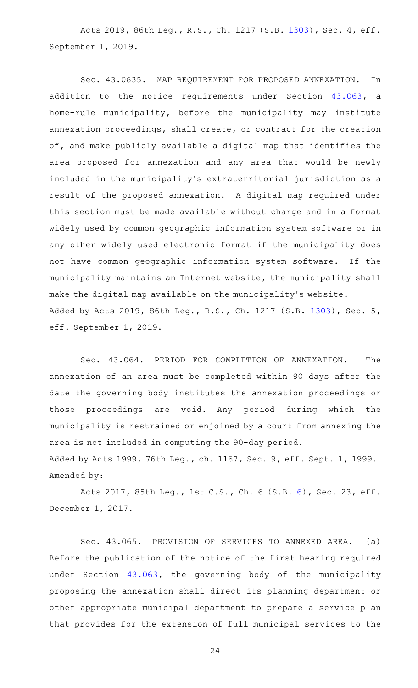Acts 2019, 86th Leg., R.S., Ch. 1217 (S.B. [1303](http://www.legis.state.tx.us/tlodocs/86R/billtext/html/SB01303F.HTM)), Sec. 4, eff. September 1, 2019.

Sec. 43.0635. MAP REQUIREMENT FOR PROPOSED ANNEXATION. In addition to the notice requirements under Section [43.063](http://www.statutes.legis.state.tx.us/GetStatute.aspx?Code=LG&Value=43.063), a home-rule municipality, before the municipality may institute annexation proceedings, shall create, or contract for the creation of, and make publicly available a digital map that identifies the area proposed for annexation and any area that would be newly included in the municipality 's extraterritorial jurisdiction as a result of the proposed annexation. A digital map required under this section must be made available without charge and in a format widely used by common geographic information system software or in any other widely used electronic format if the municipality does not have common geographic information system software. If the municipality maintains an Internet website, the municipality shall make the digital map available on the municipality 's website. Added by Acts 2019, 86th Leg., R.S., Ch. 1217 (S.B. [1303\)](http://www.legis.state.tx.us/tlodocs/86R/billtext/html/SB01303F.HTM), Sec. 5, eff. September 1, 2019.

Sec. 43.064. PERIOD FOR COMPLETION OF ANNEXATION. The annexation of an area must be completed within 90 days after the date the governing body institutes the annexation proceedings or those proceedings are void. Any period during which the municipality is restrained or enjoined by a court from annexing the area is not included in computing the 90-day period. Added by Acts 1999, 76th Leg., ch. 1167, Sec. 9, eff. Sept. 1, 1999. Amended by:

Acts 2017, 85th Leg., 1st C.S., Ch. 6 (S.B. [6](http://www.legis.state.tx.us/tlodocs/851/billtext/html/SB00006F.HTM)), Sec. 23, eff. December 1, 2017.

Sec. 43.065. PROVISION OF SERVICES TO ANNEXED AREA. (a) Before the publication of the notice of the first hearing required under Section [43.063](http://www.statutes.legis.state.tx.us/GetStatute.aspx?Code=LG&Value=43.063), the governing body of the municipality proposing the annexation shall direct its planning department or other appropriate municipal department to prepare a service plan that provides for the extension of full municipal services to the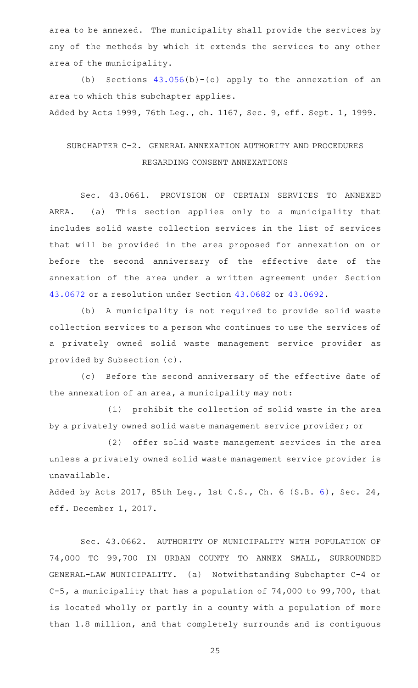area to be annexed. The municipality shall provide the services by any of the methods by which it extends the services to any other area of the municipality.

(b) Sections  $43.056(b)-(o)$  $43.056(b)-(o)$  apply to the annexation of an area to which this subchapter applies.

Added by Acts 1999, 76th Leg., ch. 1167, Sec. 9, eff. Sept. 1, 1999.

## SUBCHAPTER C-2. GENERAL ANNEXATION AUTHORITY AND PROCEDURES REGARDING CONSENT ANNEXATIONS

Sec. 43.0661. PROVISION OF CERTAIN SERVICES TO ANNEXED AREA. (a) This section applies only to a municipality that includes solid waste collection services in the list of services that will be provided in the area proposed for annexation on or before the second anniversary of the effective date of the annexation of the area under a written agreement under Section [43.0672](http://www.statutes.legis.state.tx.us/GetStatute.aspx?Code=LG&Value=43.0672) or a resolution under Section [43.0682](http://www.statutes.legis.state.tx.us/GetStatute.aspx?Code=LG&Value=43.0682) or [43.0692.](http://www.statutes.legis.state.tx.us/GetStatute.aspx?Code=LG&Value=43.0692)

(b) A municipality is not required to provide solid waste collection services to a person who continues to use the services of a privately owned solid waste management service provider as provided by Subsection (c).

(c) Before the second anniversary of the effective date of the annexation of an area, a municipality may not:

(1) prohibit the collection of solid waste in the area by a privately owned solid waste management service provider; or

(2) offer solid waste management services in the area unless a privately owned solid waste management service provider is unavailable.

Added by Acts 2017, 85th Leg., 1st C.S., Ch. 6 (S.B. [6\)](http://www.legis.state.tx.us/tlodocs/851/billtext/html/SB00006F.HTM), Sec. 24, eff. December 1, 2017.

Sec. 43.0662. AUTHORITY OF MUNICIPALITY WITH POPULATION OF 74,000 TO 99,700 IN URBAN COUNTY TO ANNEX SMALL, SURROUNDED GENERAL-LAW MUNICIPALITY. (a) Notwithstanding Subchapter C-4 or C-5, a municipality that has a population of 74,000 to 99,700, that is located wholly or partly in a county with a population of more than 1.8 million, and that completely surrounds and is contiguous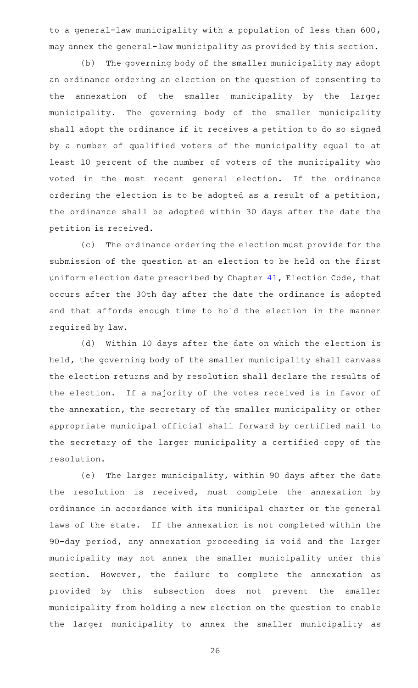to a general-law municipality with a population of less than 600, may annex the general-law municipality as provided by this section.

(b) The governing body of the smaller municipality may adopt an ordinance ordering an election on the question of consenting to the annexation of the smaller municipality by the larger municipality. The governing body of the smaller municipality shall adopt the ordinance if it receives a petition to do so signed by a number of qualified voters of the municipality equal to at least 10 percent of the number of voters of the municipality who voted in the most recent general election. If the ordinance ordering the election is to be adopted as a result of a petition, the ordinance shall be adopted within 30 days after the date the petition is received.

(c) The ordinance ordering the election must provide for the submission of the question at an election to be held on the first uniform election date prescribed by Chapter [41](http://www.statutes.legis.state.tx.us/GetStatute.aspx?Code=EL&Value=41), Election Code, that occurs after the 30th day after the date the ordinance is adopted and that affords enough time to hold the election in the manner required by law.

(d) Within 10 days after the date on which the election is held, the governing body of the smaller municipality shall canvass the election returns and by resolution shall declare the results of the election. If a majority of the votes received is in favor of the annexation, the secretary of the smaller municipality or other appropriate municipal official shall forward by certified mail to the secretary of the larger municipality a certified copy of the resolution.

(e) The larger municipality, within 90 days after the date the resolution is received, must complete the annexation by ordinance in accordance with its municipal charter or the general laws of the state. If the annexation is not completed within the 90-day period, any annexation proceeding is void and the larger municipality may not annex the smaller municipality under this section. However, the failure to complete the annexation as provided by this subsection does not prevent the smaller municipality from holding a new election on the question to enable the larger municipality to annex the smaller municipality as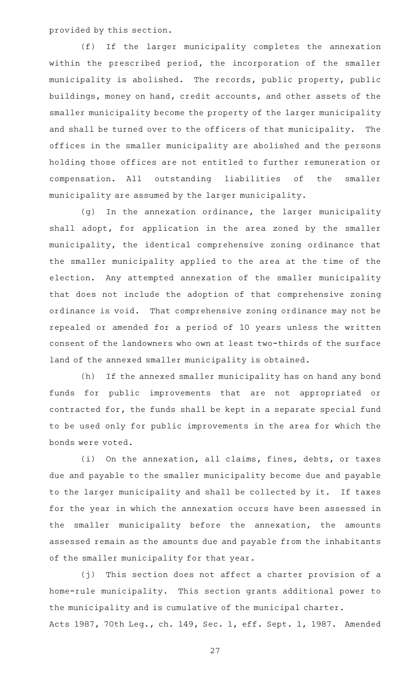provided by this section.

(f) If the larger municipality completes the annexation within the prescribed period, the incorporation of the smaller municipality is abolished. The records, public property, public buildings, money on hand, credit accounts, and other assets of the smaller municipality become the property of the larger municipality and shall be turned over to the officers of that municipality. The offices in the smaller municipality are abolished and the persons holding those offices are not entitled to further remuneration or compensation. All outstanding liabilities of the smaller municipality are assumed by the larger municipality.

(g) In the annexation ordinance, the larger municipality shall adopt, for application in the area zoned by the smaller municipality, the identical comprehensive zoning ordinance that the smaller municipality applied to the area at the time of the election. Any attempted annexation of the smaller municipality that does not include the adoption of that comprehensive zoning ordinance is void. That comprehensive zoning ordinance may not be repealed or amended for a period of 10 years unless the written consent of the landowners who own at least two-thirds of the surface land of the annexed smaller municipality is obtained.

(h) If the annexed smaller municipality has on hand any bond funds for public improvements that are not appropriated or contracted for, the funds shall be kept in a separate special fund to be used only for public improvements in the area for which the bonds were voted.

(i) On the annexation, all claims, fines, debts, or taxes due and payable to the smaller municipality become due and payable to the larger municipality and shall be collected by it. If taxes for the year in which the annexation occurs have been assessed in the smaller municipality before the annexation, the amounts assessed remain as the amounts due and payable from the inhabitants of the smaller municipality for that year.

(j) This section does not affect a charter provision of a home-rule municipality. This section grants additional power to the municipality and is cumulative of the municipal charter. Acts 1987, 70th Leg., ch. 149, Sec. 1, eff. Sept. 1, 1987. Amended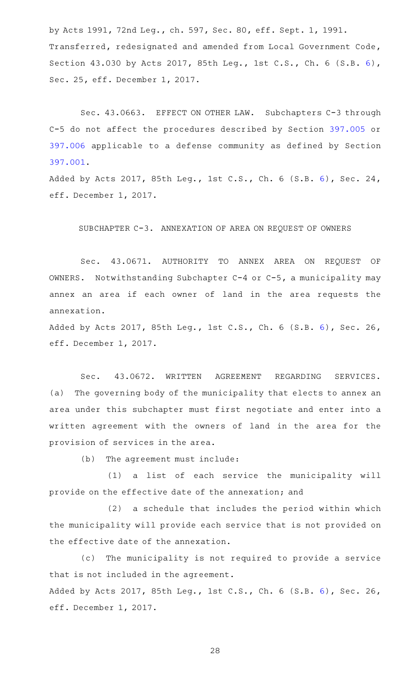by Acts 1991, 72nd Leg., ch. 597, Sec. 80, eff. Sept. 1, 1991. Transferred, redesignated and amended from Local Government Code, Section 43.030 by Acts 2017, 85th Leg., 1st C.S., Ch. 6 (S.B. [6\)](http://www.legis.state.tx.us/tlodocs/851/billtext/html/SB00006F.HTM), Sec. 25, eff. December 1, 2017.

Sec. 43.0663. EFFECT ON OTHER LAW. Subchapters C-3 through C-5 do not affect the procedures described by Section [397.005](http://www.statutes.legis.state.tx.us/GetStatute.aspx?Code=LG&Value=397.005) or [397.006](http://www.statutes.legis.state.tx.us/GetStatute.aspx?Code=LG&Value=397.006) applicable to a defense community as defined by Section [397.001.](http://www.statutes.legis.state.tx.us/GetStatute.aspx?Code=LG&Value=397.001)

Added by Acts 2017, 85th Leg., 1st C.S., Ch. 6 (S.B. [6\)](http://www.legis.state.tx.us/tlodocs/851/billtext/html/SB00006F.HTM), Sec. 24, eff. December 1, 2017.

#### SUBCHAPTER C-3. ANNEXATION OF AREA ON REQUEST OF OWNERS

Sec. 43.0671. AUTHORITY TO ANNEX AREA ON REQUEST OF OWNERS. Notwithstanding Subchapter  $C-4$  or  $C-5$ , a municipality may annex an area if each owner of land in the area requests the annexation.

Added by Acts 2017, 85th Leg., 1st C.S., Ch. 6 (S.B. [6\)](http://www.legis.state.tx.us/tlodocs/851/billtext/html/SB00006F.HTM), Sec. 26, eff. December 1, 2017.

Sec. 43.0672. WRITTEN AGREEMENT REGARDING SERVICES. (a) The governing body of the municipality that elects to annex an area under this subchapter must first negotiate and enter into a written agreement with the owners of land in the area for the provision of services in the area.

(b) The agreement must include:

(1) a list of each service the municipality will provide on the effective date of the annexation; and

(2) a schedule that includes the period within which the municipality will provide each service that is not provided on the effective date of the annexation.

(c) The municipality is not required to provide a service that is not included in the agreement. Added by Acts 2017, 85th Leg., 1st C.S., Ch. 6 (S.B. [6\)](http://www.legis.state.tx.us/tlodocs/851/billtext/html/SB00006F.HTM), Sec. 26, eff. December 1, 2017.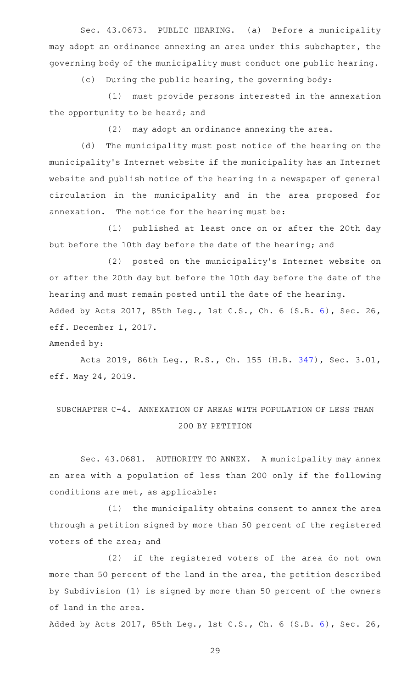Sec. 43.0673. PUBLIC HEARING. (a) Before a municipality may adopt an ordinance annexing an area under this subchapter, the governing body of the municipality must conduct one public hearing.

(c) During the public hearing, the governing body:

(1) must provide persons interested in the annexation the opportunity to be heard; and

 $(2)$  may adopt an ordinance annexing the area.

(d) The municipality must post notice of the hearing on the municipality 's Internet website if the municipality has an Internet website and publish notice of the hearing in a newspaper of general circulation in the municipality and in the area proposed for annexation. The notice for the hearing must be:

(1) published at least once on or after the 20th day but before the 10th day before the date of the hearing; and

(2) posted on the municipality's Internet website on or after the 20th day but before the 10th day before the date of the hearing and must remain posted until the date of the hearing. Added by Acts 2017, 85th Leg., 1st C.S., Ch. 6 (S.B. [6\)](http://www.legis.state.tx.us/tlodocs/851/billtext/html/SB00006F.HTM), Sec. 26, eff. December 1, 2017.

Amended by:

Acts 2019, 86th Leg., R.S., Ch. 155 (H.B. [347](http://www.legis.state.tx.us/tlodocs/86R/billtext/html/HB00347F.HTM)), Sec. 3.01, eff. May 24, 2019.

# SUBCHAPTER C-4. ANNEXATION OF AREAS WITH POPULATION OF LESS THAN 200 BY PETITION

Sec. 43.0681. AUTHORITY TO ANNEX. A municipality may annex an area with a population of less than 200 only if the following conditions are met, as applicable:

(1) the municipality obtains consent to annex the area through a petition signed by more than 50 percent of the registered voters of the area; and

(2) if the registered voters of the area do not own more than 50 percent of the land in the area, the petition described by Subdivision (1) is signed by more than 50 percent of the owners of land in the area.

Added by Acts 2017, 85th Leg., 1st C.S., Ch. 6 (S.B. [6\)](http://www.legis.state.tx.us/tlodocs/851/billtext/html/SB00006F.HTM), Sec. 26,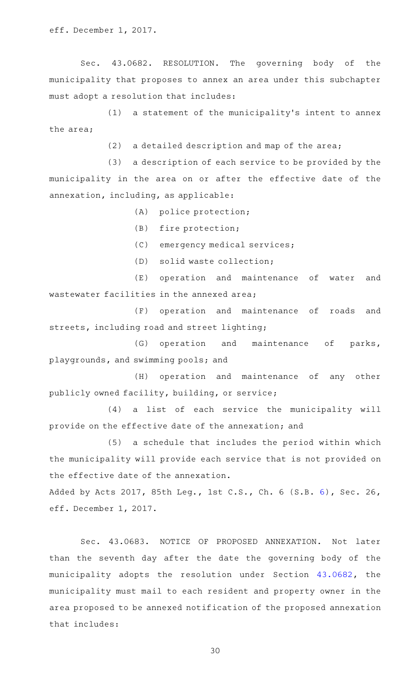Sec. 43.0682. RESOLUTION. The governing body of the municipality that proposes to annex an area under this subchapter must adopt a resolution that includes:

(1) a statement of the municipality's intent to annex the area;

 $(2)$  a detailed description and map of the area;

 $(3)$  a description of each service to be provided by the municipality in the area on or after the effective date of the annexation, including, as applicable:

(A) police protection;

 $(B)$  fire protection;

(C) emergency medical services;

(D) solid waste collection;

(E) operation and maintenance of water and wastewater facilities in the annexed area;

(F) operation and maintenance of roads and streets, including road and street lighting;

(G) operation and maintenance of parks, playgrounds, and swimming pools; and

(H) operation and maintenance of any other publicly owned facility, building, or service;

(4) a list of each service the municipality will provide on the effective date of the annexation; and

(5) a schedule that includes the period within which the municipality will provide each service that is not provided on the effective date of the annexation.

Added by Acts 2017, 85th Leg., 1st C.S., Ch. 6 (S.B. [6\)](http://www.legis.state.tx.us/tlodocs/851/billtext/html/SB00006F.HTM), Sec. 26, eff. December 1, 2017.

Sec. 43.0683. NOTICE OF PROPOSED ANNEXATION. Not later than the seventh day after the date the governing body of the municipality adopts the resolution under Section [43.0682,](http://www.statutes.legis.state.tx.us/GetStatute.aspx?Code=LG&Value=43.0682) the municipality must mail to each resident and property owner in the area proposed to be annexed notification of the proposed annexation that includes: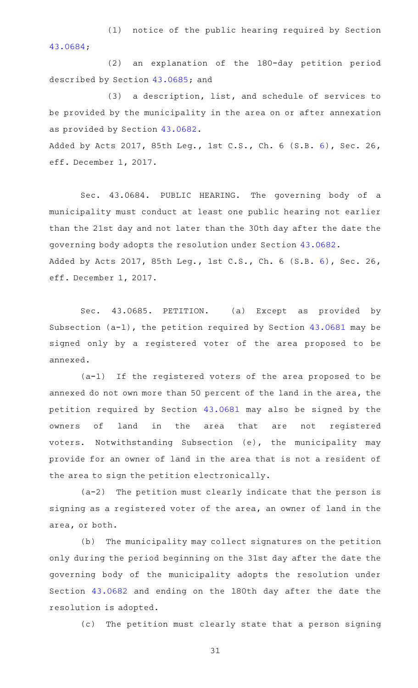(1) notice of the public hearing required by Section [43.0684;](http://www.statutes.legis.state.tx.us/GetStatute.aspx?Code=LG&Value=43.0684)

(2) an explanation of the 180-day petition period described by Section [43.0685;](http://www.statutes.legis.state.tx.us/GetStatute.aspx?Code=LG&Value=43.0685) and

(3) a description, list, and schedule of services to be provided by the municipality in the area on or after annexation as provided by Section [43.0682](http://www.statutes.legis.state.tx.us/GetStatute.aspx?Code=LG&Value=43.0682).

Added by Acts 2017, 85th Leg., 1st C.S., Ch. 6 (S.B. [6\)](http://www.legis.state.tx.us/tlodocs/851/billtext/html/SB00006F.HTM), Sec. 26, eff. December 1, 2017.

Sec. 43.0684. PUBLIC HEARING. The governing body of a municipality must conduct at least one public hearing not earlier than the 21st day and not later than the 30th day after the date the governing body adopts the resolution under Section [43.0682](http://www.statutes.legis.state.tx.us/GetStatute.aspx?Code=LG&Value=43.0682). Added by Acts 2017, 85th Leg., 1st C.S., Ch. 6 (S.B. [6\)](http://www.legis.state.tx.us/tlodocs/851/billtext/html/SB00006F.HTM), Sec. 26, eff. December 1, 2017.

Sec. 43.0685. PETITION. (a) Except as provided by Subsection (a-1), the petition required by Section [43.0681](http://www.statutes.legis.state.tx.us/GetStatute.aspx?Code=LG&Value=43.0681) may be signed only by a registered voter of the area proposed to be annexed.

 $(a-1)$  If the registered voters of the area proposed to be annexed do not own more than 50 percent of the land in the area, the petition required by Section [43.0681](http://www.statutes.legis.state.tx.us/GetStatute.aspx?Code=LG&Value=43.0681) may also be signed by the owners of land in the area that are not registered voters. Notwithstanding Subsection (e), the municipality may provide for an owner of land in the area that is not a resident of the area to sign the petition electronically.

 $(a-2)$  The petition must clearly indicate that the person is signing as a registered voter of the area, an owner of land in the area, or both.

(b) The municipality may collect signatures on the petition only during the period beginning on the 31st day after the date the governing body of the municipality adopts the resolution under Section [43.0682](http://www.statutes.legis.state.tx.us/GetStatute.aspx?Code=LG&Value=43.0682) and ending on the 180th day after the date the resolution is adopted.

(c) The petition must clearly state that a person signing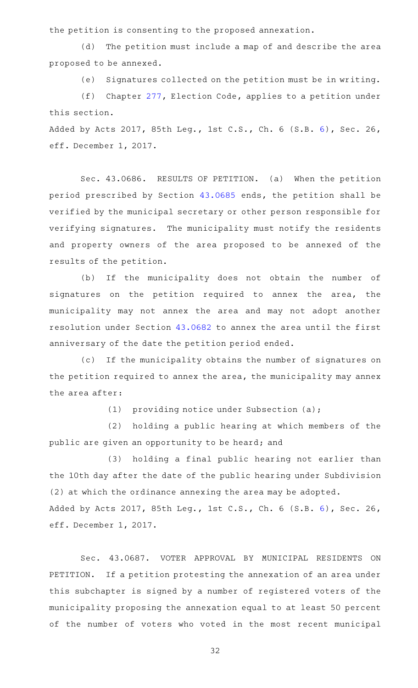the petition is consenting to the proposed annexation.

(d) The petition must include a map of and describe the area proposed to be annexed.

(e) Signatures collected on the petition must be in writing.

(f) Chapter  $277$ , Election Code, applies to a petition under this section.

Added by Acts 2017, 85th Leg., 1st C.S., Ch. 6 (S.B. [6\)](http://www.legis.state.tx.us/tlodocs/851/billtext/html/SB00006F.HTM), Sec. 26, eff. December 1, 2017.

Sec. 43.0686. RESULTS OF PETITION. (a) When the petition period prescribed by Section [43.0685](http://www.statutes.legis.state.tx.us/GetStatute.aspx?Code=LG&Value=43.0685) ends, the petition shall be verified by the municipal secretary or other person responsible for verifying signatures. The municipality must notify the residents and property owners of the area proposed to be annexed of the results of the petition.

(b) If the municipality does not obtain the number of signatures on the petition required to annex the area, the municipality may not annex the area and may not adopt another resolution under Section [43.0682](http://www.statutes.legis.state.tx.us/GetStatute.aspx?Code=LG&Value=43.0682) to annex the area until the first anniversary of the date the petition period ended.

(c) If the municipality obtains the number of signatures on the petition required to annex the area, the municipality may annex the area after:

(1) providing notice under Subsection (a);

(2) holding a public hearing at which members of the public are given an opportunity to be heard; and

(3) holding a final public hearing not earlier than the 10th day after the date of the public hearing under Subdivision (2) at which the ordinance annexing the area may be adopted. Added by Acts 2017, 85th Leg., 1st C.S., Ch. 6 (S.B. [6\)](http://www.legis.state.tx.us/tlodocs/851/billtext/html/SB00006F.HTM), Sec. 26, eff. December 1, 2017.

Sec. 43.0687. VOTER APPROVAL BY MUNICIPAL RESIDENTS ON PETITION. If a petition protesting the annexation of an area under this subchapter is signed by a number of registered voters of the municipality proposing the annexation equal to at least 50 percent of the number of voters who voted in the most recent municipal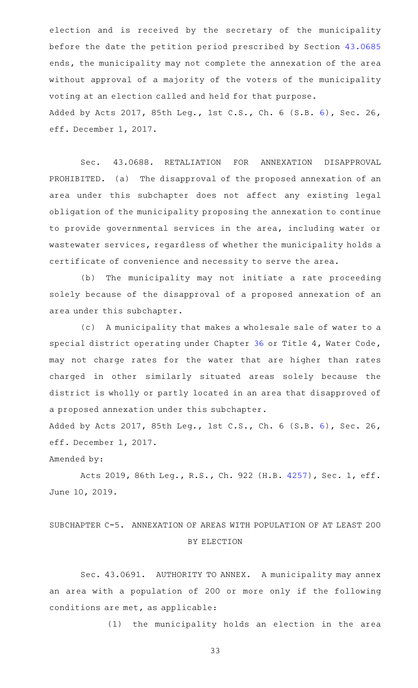election and is received by the secretary of the municipality before the date the petition period prescribed by Section [43.0685](http://www.statutes.legis.state.tx.us/GetStatute.aspx?Code=LG&Value=43.0685) ends, the municipality may not complete the annexation of the area without approval of a majority of the voters of the municipality voting at an election called and held for that purpose. Added by Acts 2017, 85th Leg., 1st C.S., Ch. 6 (S.B. [6\)](http://www.legis.state.tx.us/tlodocs/851/billtext/html/SB00006F.HTM), Sec. 26, eff. December 1, 2017.

Sec. 43.0688. RETALIATION FOR ANNEXATION DISAPPROVAL PROHIBITED. (a) The disapproval of the proposed annexation of an area under this subchapter does not affect any existing legal obligation of the municipality proposing the annexation to continue to provide governmental services in the area, including water or wastewater services, regardless of whether the municipality holds a certificate of convenience and necessity to serve the area.

(b) The municipality may not initiate a rate proceeding solely because of the disapproval of a proposed annexation of an area under this subchapter.

(c) A municipality that makes a wholesale sale of water to a special district operating under Chapter [36](http://www.statutes.legis.state.tx.us/GetStatute.aspx?Code=WA&Value=36) or Title 4, Water Code, may not charge rates for the water that are higher than rates charged in other similarly situated areas solely because the district is wholly or partly located in an area that disapproved of a proposed annexation under this subchapter.

Added by Acts 2017, 85th Leg., 1st C.S., Ch. 6 (S.B. [6\)](http://www.legis.state.tx.us/tlodocs/851/billtext/html/SB00006F.HTM), Sec. 26, eff. December 1, 2017.

Amended by:

Acts 2019, 86th Leg., R.S., Ch. 922 (H.B. [4257](http://www.legis.state.tx.us/tlodocs/86R/billtext/html/HB04257F.HTM)), Sec. 1, eff. June 10, 2019.

## SUBCHAPTER C-5. ANNEXATION OF AREAS WITH POPULATION OF AT LEAST 200 BY ELECTION

Sec. 43.0691. AUTHORITY TO ANNEX. A municipality may annex an area with a population of 200 or more only if the following conditions are met, as applicable:

(1) the municipality holds an election in the area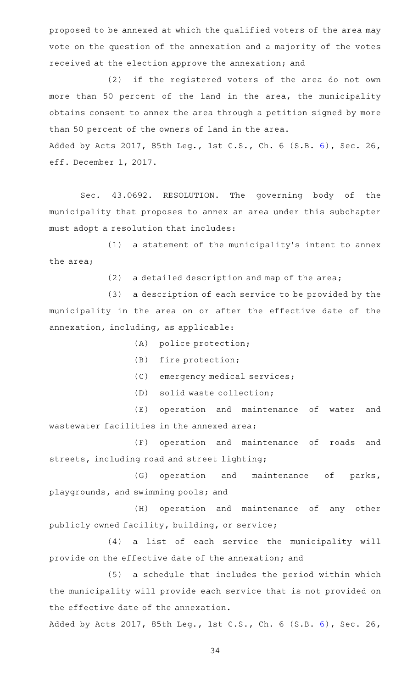proposed to be annexed at which the qualified voters of the area may vote on the question of the annexation and a majority of the votes received at the election approve the annexation; and

(2) if the registered voters of the area do not own more than 50 percent of the land in the area, the municipality obtains consent to annex the area through a petition signed by more than 50 percent of the owners of land in the area.

Added by Acts 2017, 85th Leg., 1st C.S., Ch. 6 (S.B. [6\)](http://www.legis.state.tx.us/tlodocs/851/billtext/html/SB00006F.HTM), Sec. 26, eff. December 1, 2017.

Sec. 43.0692. RESOLUTION. The governing body of the municipality that proposes to annex an area under this subchapter must adopt a resolution that includes:

(1) a statement of the municipality's intent to annex the area;

 $(2)$  a detailed description and map of the area;

(3) a description of each service to be provided by the municipality in the area on or after the effective date of the annexation, including, as applicable:

(A) police protection;

- (B) fire protection;
- (C) emergency medical services;
- (D) solid waste collection;

(E) operation and maintenance of water and wastewater facilities in the annexed area;

(F) operation and maintenance of roads and streets, including road and street lighting;

(G) operation and maintenance of parks, playgrounds, and swimming pools; and

(H) operation and maintenance of any other publicly owned facility, building, or service;

(4) a list of each service the municipality will provide on the effective date of the annexation; and

(5) a schedule that includes the period within which the municipality will provide each service that is not provided on the effective date of the annexation.

Added by Acts 2017, 85th Leg., 1st C.S., Ch. 6 (S.B. [6\)](http://www.legis.state.tx.us/tlodocs/851/billtext/html/SB00006F.HTM), Sec. 26,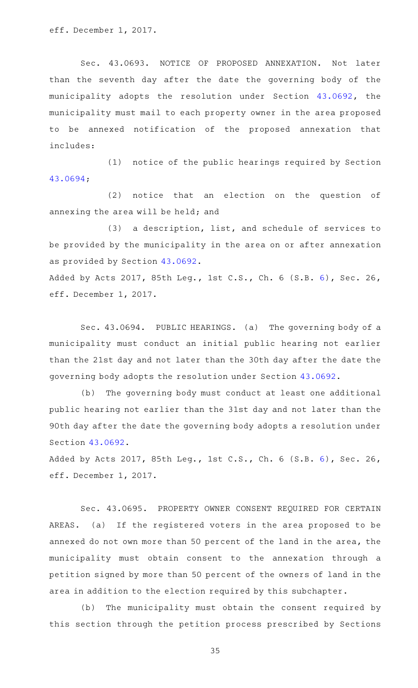eff. December 1, 2017.

Sec. 43.0693. NOTICE OF PROPOSED ANNEXATION. Not later than the seventh day after the date the governing body of the municipality adopts the resolution under Section [43.0692,](http://www.statutes.legis.state.tx.us/GetStatute.aspx?Code=LG&Value=43.0692) the municipality must mail to each property owner in the area proposed to be annexed notification of the proposed annexation that includes:

(1) notice of the public hearings required by Section [43.0694;](http://www.statutes.legis.state.tx.us/GetStatute.aspx?Code=LG&Value=43.0694)

(2) notice that an election on the question of annexing the area will be held; and

(3) a description, list, and schedule of services to be provided by the municipality in the area on or after annexation as provided by Section [43.0692](http://www.statutes.legis.state.tx.us/GetStatute.aspx?Code=LG&Value=43.0692).

Added by Acts 2017, 85th Leg., 1st C.S., Ch. 6 (S.B. [6\)](http://www.legis.state.tx.us/tlodocs/851/billtext/html/SB00006F.HTM), Sec. 26, eff. December 1, 2017.

Sec. 43.0694. PUBLIC HEARINGS. (a) The governing body of a municipality must conduct an initial public hearing not earlier than the 21st day and not later than the 30th day after the date the governing body adopts the resolution under Section [43.0692](http://www.statutes.legis.state.tx.us/GetStatute.aspx?Code=LG&Value=43.0692).

(b) The governing body must conduct at least one additional public hearing not earlier than the 31st day and not later than the 90th day after the date the governing body adopts a resolution under Section [43.0692.](http://www.statutes.legis.state.tx.us/GetStatute.aspx?Code=LG&Value=43.0692)

Added by Acts 2017, 85th Leg., 1st C.S., Ch. 6 (S.B. [6\)](http://www.legis.state.tx.us/tlodocs/851/billtext/html/SB00006F.HTM), Sec. 26, eff. December 1, 2017.

Sec. 43.0695. PROPERTY OWNER CONSENT REQUIRED FOR CERTAIN AREAS. (a) If the registered voters in the area proposed to be annexed do not own more than 50 percent of the land in the area, the municipality must obtain consent to the annexation through a petition signed by more than 50 percent of the owners of land in the area in addition to the election required by this subchapter.

(b) The municipality must obtain the consent required by this section through the petition process prescribed by Sections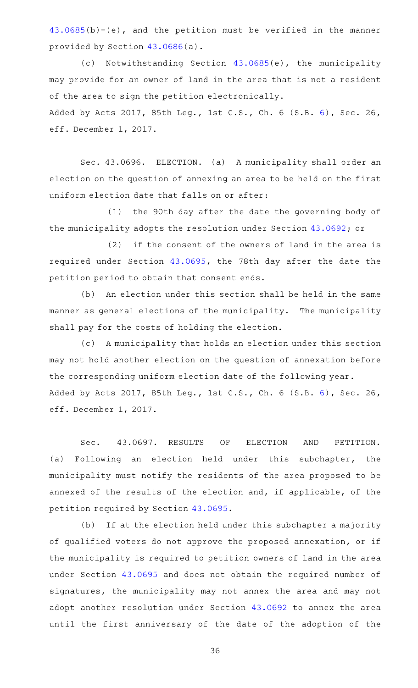[43.0685\(](http://www.statutes.legis.state.tx.us/GetStatute.aspx?Code=LG&Value=43.0685)b)-(e), and the petition must be verified in the manner provided by Section [43.0686](http://www.statutes.legis.state.tx.us/GetStatute.aspx?Code=LG&Value=43.0686)(a).

(c) Notwithstanding Section [43.0685](http://www.statutes.legis.state.tx.us/GetStatute.aspx?Code=LG&Value=43.0685)(e), the municipality may provide for an owner of land in the area that is not a resident of the area to sign the petition electronically. Added by Acts 2017, 85th Leg., 1st C.S., Ch. 6 (S.B. [6\)](http://www.legis.state.tx.us/tlodocs/851/billtext/html/SB00006F.HTM), Sec. 26, eff. December 1, 2017.

Sec. 43.0696. ELECTION. (a) A municipality shall order an election on the question of annexing an area to be held on the first uniform election date that falls on or after:

(1) the 90th day after the date the governing body of the municipality adopts the resolution under Section [43.0692](http://www.statutes.legis.state.tx.us/GetStatute.aspx?Code=LG&Value=43.0692); or

 $(2)$  if the consent of the owners of land in the area is required under Section [43.0695,](http://www.statutes.legis.state.tx.us/GetStatute.aspx?Code=LG&Value=43.0695) the 78th day after the date the petition period to obtain that consent ends.

(b) An election under this section shall be held in the same manner as general elections of the municipality. The municipality shall pay for the costs of holding the election.

(c) A municipality that holds an election under this section may not hold another election on the question of annexation before the corresponding uniform election date of the following year. Added by Acts 2017, 85th Leg., 1st C.S., Ch. 6 (S.B. [6\)](http://www.legis.state.tx.us/tlodocs/851/billtext/html/SB00006F.HTM), Sec. 26, eff. December 1, 2017.

Sec. 43.0697. RESULTS OF ELECTION AND PETITION. (a) Following an election held under this subchapter, the municipality must notify the residents of the area proposed to be annexed of the results of the election and, if applicable, of the petition required by Section [43.0695.](http://www.statutes.legis.state.tx.us/GetStatute.aspx?Code=LG&Value=43.0695)

(b) If at the election held under this subchapter a majority of qualified voters do not approve the proposed annexation, or if the municipality is required to petition owners of land in the area under Section [43.0695](http://www.statutes.legis.state.tx.us/GetStatute.aspx?Code=LG&Value=43.0695) and does not obtain the required number of signatures, the municipality may not annex the area and may not adopt another resolution under Section [43.0692](http://www.statutes.legis.state.tx.us/GetStatute.aspx?Code=LG&Value=43.0692) to annex the area until the first anniversary of the date of the adoption of the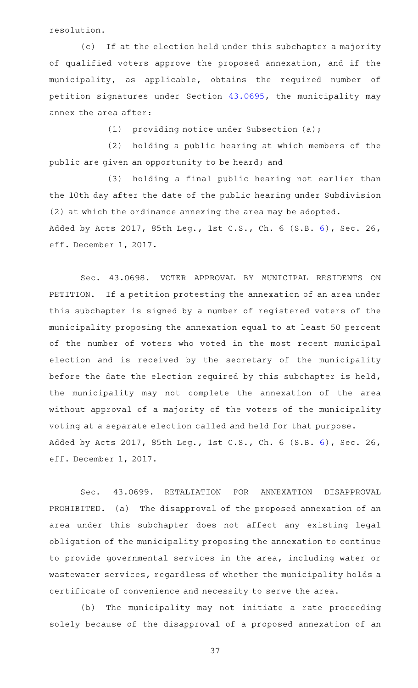resolution.

(c) If at the election held under this subchapter a majority of qualified voters approve the proposed annexation, and if the municipality, as applicable, obtains the required number of petition signatures under Section [43.0695](http://www.statutes.legis.state.tx.us/GetStatute.aspx?Code=LG&Value=43.0695), the municipality may annex the area after:

(1) providing notice under Subsection (a);

(2) holding a public hearing at which members of the public are given an opportunity to be heard; and

(3) holding a final public hearing not earlier than the 10th day after the date of the public hearing under Subdivision (2) at which the ordinance annexing the area may be adopted. Added by Acts 2017, 85th Leg., 1st C.S., Ch. 6 (S.B. [6\)](http://www.legis.state.tx.us/tlodocs/851/billtext/html/SB00006F.HTM), Sec. 26, eff. December 1, 2017.

Sec. 43.0698. VOTER APPROVAL BY MUNICIPAL RESIDENTS ON PETITION. If a petition protesting the annexation of an area under this subchapter is signed by a number of registered voters of the municipality proposing the annexation equal to at least 50 percent of the number of voters who voted in the most recent municipal election and is received by the secretary of the municipality before the date the election required by this subchapter is held, the municipality may not complete the annexation of the area without approval of a majority of the voters of the municipality voting at a separate election called and held for that purpose. Added by Acts 2017, 85th Leg., 1st C.S., Ch. 6 (S.B. [6\)](http://www.legis.state.tx.us/tlodocs/851/billtext/html/SB00006F.HTM), Sec. 26, eff. December 1, 2017.

Sec. 43.0699. RETALIATION FOR ANNEXATION DISAPPROVAL PROHIBITED. (a) The disapproval of the proposed annexation of an area under this subchapter does not affect any existing legal obligation of the municipality proposing the annexation to continue to provide governmental services in the area, including water or wastewater services, regardless of whether the municipality holds a certificate of convenience and necessity to serve the area.

(b) The municipality may not initiate a rate proceeding solely because of the disapproval of a proposed annexation of an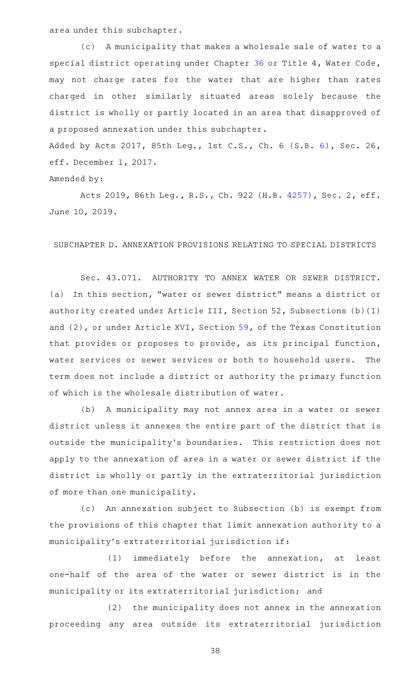area under this subchapter.

(c) A municipality that makes a wholesale sale of water to a special district operating under Chapter [36](http://www.statutes.legis.state.tx.us/GetStatute.aspx?Code=WA&Value=36) or Title 4, Water Code, may not charge rates for the water that are higher than rates charged in other similarly situated areas solely because the district is wholly or partly located in an area that disapproved of a proposed annexation under this subchapter.

Added by Acts 2017, 85th Leg., 1st C.S., Ch. 6 (S.B. [6\)](http://www.legis.state.tx.us/tlodocs/851/billtext/html/SB00006F.HTM), Sec. 26, eff. December 1, 2017.

## Amended by:

Acts 2019, 86th Leg., R.S., Ch. 922 (H.B. [4257](http://www.legis.state.tx.us/tlodocs/86R/billtext/html/HB04257F.HTM)), Sec. 2, eff. June 10, 2019.

## SUBCHAPTER D. ANNEXATION PROVISIONS RELATING TO SPECIAL DISTRICTS

Sec. 43.071. AUTHORITY TO ANNEX WATER OR SEWER DISTRICT. (a) In this section, "water or sewer district" means a district or authority created under Article III, Section 52, Subsections (b)(1) and (2), or under Article XVI, Section [59](http://www.statutes.legis.state.tx.us/GetStatute.aspx?Code=CN&Value=16.59), of the Texas Constitution that provides or proposes to provide, as its principal function, water services or sewer services or both to household users. The term does not include a district or authority the primary function of which is the wholesale distribution of water.

(b) A municipality may not annex area in a water or sewer district unless it annexes the entire part of the district that is outside the municipality 's boundaries. This restriction does not apply to the annexation of area in a water or sewer district if the district is wholly or partly in the extraterritorial jurisdiction of more than one municipality.

(c) An annexation subject to Subsection (b) is exempt from the provisions of this chapter that limit annexation authority to a municipality 's extraterritorial jurisdiction if:

(1) immediately before the annexation, at least one-half of the area of the water or sewer district is in the municipality or its extraterritorial jurisdiction; and

(2) the municipality does not annex in the annexation proceeding any area outside its extraterritorial jurisdiction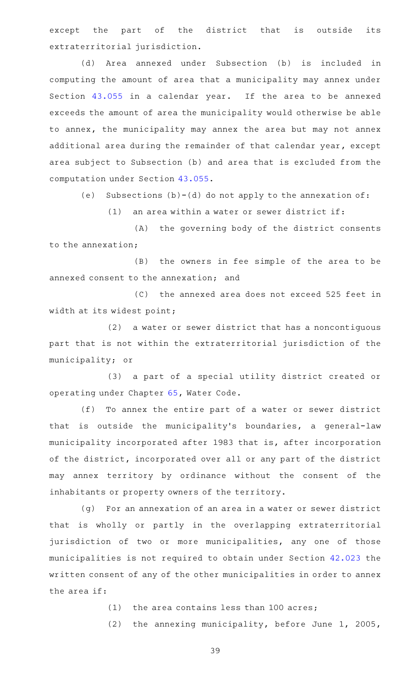except the part of the district that is outside its extraterritorial jurisdiction.

(d) Area annexed under Subsection (b) is included in computing the amount of area that a municipality may annex under Section [43.055](http://www.statutes.legis.state.tx.us/GetStatute.aspx?Code=LG&Value=43.055) in a calendar year. If the area to be annexed exceeds the amount of area the municipality would otherwise be able to annex, the municipality may annex the area but may not annex additional area during the remainder of that calendar year, except area subject to Subsection (b) and area that is excluded from the computation under Section [43.055](http://www.statutes.legis.state.tx.us/GetStatute.aspx?Code=LG&Value=43.055).

(e) Subsections  $(b)-(d)$  do not apply to the annexation of:

 $(1)$  an area within a water or sewer district if:

(A) the governing body of the district consents to the annexation;

(B) the owners in fee simple of the area to be annexed consent to the annexation; and

(C) the annexed area does not exceed 525 feet in width at its widest point;

 $(2)$  a water or sewer district that has a noncontiguous part that is not within the extraterritorial jurisdiction of the municipality; or

(3) a part of a special utility district created or operating under Chapter [65,](http://www.statutes.legis.state.tx.us/GetStatute.aspx?Code=WA&Value=65) Water Code.

(f) To annex the entire part of a water or sewer district that is outside the municipality's boundaries, a general-law municipality incorporated after 1983 that is, after incorporation of the district, incorporated over all or any part of the district may annex territory by ordinance without the consent of the inhabitants or property owners of the territory.

(g) For an annexation of an area in a water or sewer district that is wholly or partly in the overlapping extraterritorial jurisdiction of two or more municipalities, any one of those municipalities is not required to obtain under Section [42.023](http://www.statutes.legis.state.tx.us/GetStatute.aspx?Code=LG&Value=42.023) the written consent of any of the other municipalities in order to annex the area if:

 $(1)$  the area contains less than 100 acres;

(2) the annexing municipality, before June  $1$ , 2005,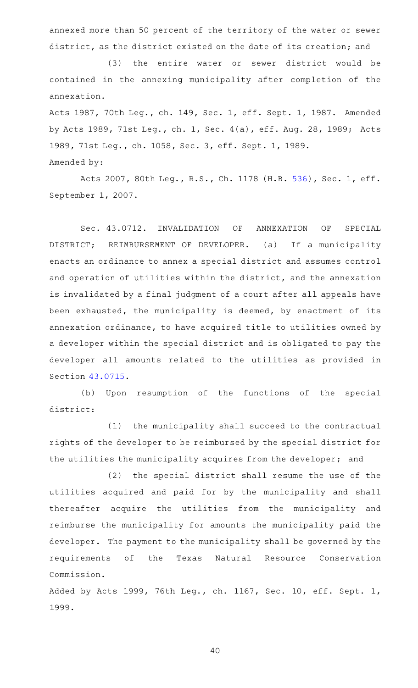annexed more than 50 percent of the territory of the water or sewer district, as the district existed on the date of its creation; and

(3) the entire water or sewer district would be contained in the annexing municipality after completion of the annexation.

Acts 1987, 70th Leg., ch. 149, Sec. 1, eff. Sept. 1, 1987. Amended by Acts 1989, 71st Leg., ch. 1, Sec. 4(a), eff. Aug. 28, 1989; Acts 1989, 71st Leg., ch. 1058, Sec. 3, eff. Sept. 1, 1989. Amended by:

Acts 2007, 80th Leg., R.S., Ch. 1178 (H.B. [536](http://www.legis.state.tx.us/tlodocs/80R/billtext/html/HB00536F.HTM)), Sec. 1, eff. September 1, 2007.

Sec. 43.0712. INVALIDATION OF ANNEXATION OF SPECIAL DISTRICT; REIMBURSEMENT OF DEVELOPER. (a) If a municipality enacts an ordinance to annex a special district and assumes control and operation of utilities within the district, and the annexation is invalidated by a final judgment of a court after all appeals have been exhausted, the municipality is deemed, by enactment of its annexation ordinance, to have acquired title to utilities owned by a developer within the special district and is obligated to pay the developer all amounts related to the utilities as provided in Section [43.0715.](http://www.statutes.legis.state.tx.us/GetStatute.aspx?Code=LG&Value=43.0715)

(b) Upon resumption of the functions of the special district:

(1) the municipality shall succeed to the contractual rights of the developer to be reimbursed by the special district for the utilities the municipality acquires from the developer; and

(2) the special district shall resume the use of the utilities acquired and paid for by the municipality and shall thereafter acquire the utilities from the municipality and reimburse the municipality for amounts the municipality paid the developer. The payment to the municipality shall be governed by the requirements of the Texas Natural Resource Conservation Commission.

Added by Acts 1999, 76th Leg., ch. 1167, Sec. 10, eff. Sept. 1, 1999.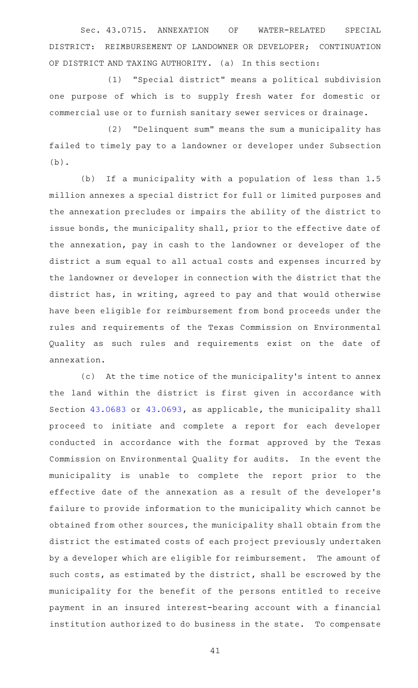Sec. 43.0715. ANNEXATION OF WATER-RELATED SPECIAL DISTRICT: REIMBURSEMENT OF LANDOWNER OR DEVELOPER; CONTINUATION OF DISTRICT AND TAXING AUTHORITY. (a) In this section:

(1) "Special district" means a political subdivision one purpose of which is to supply fresh water for domestic or commercial use or to furnish sanitary sewer services or drainage.

(2) "Delinquent sum" means the sum a municipality has failed to timely pay to a landowner or developer under Subsection (b).

(b) If a municipality with a population of less than 1.5 million annexes a special district for full or limited purposes and the annexation precludes or impairs the ability of the district to issue bonds, the municipality shall, prior to the effective date of the annexation, pay in cash to the landowner or developer of the district a sum equal to all actual costs and expenses incurred by the landowner or developer in connection with the district that the district has, in writing, agreed to pay and that would otherwise have been eligible for reimbursement from bond proceeds under the rules and requirements of the Texas Commission on Environmental Quality as such rules and requirements exist on the date of annexation.

(c) At the time notice of the municipality's intent to annex the land within the district is first given in accordance with Section [43.0683](http://www.statutes.legis.state.tx.us/GetStatute.aspx?Code=LG&Value=43.0683) or [43.0693,](http://www.statutes.legis.state.tx.us/GetStatute.aspx?Code=LG&Value=43.0693) as applicable, the municipality shall proceed to initiate and complete a report for each developer conducted in accordance with the format approved by the Texas Commission on Environmental Quality for audits. In the event the municipality is unable to complete the report prior to the effective date of the annexation as a result of the developer 's failure to provide information to the municipality which cannot be obtained from other sources, the municipality shall obtain from the district the estimated costs of each project previously undertaken by a developer which are eligible for reimbursement. The amount of such costs, as estimated by the district, shall be escrowed by the municipality for the benefit of the persons entitled to receive payment in an insured interest-bearing account with a financial institution authorized to do business in the state. To compensate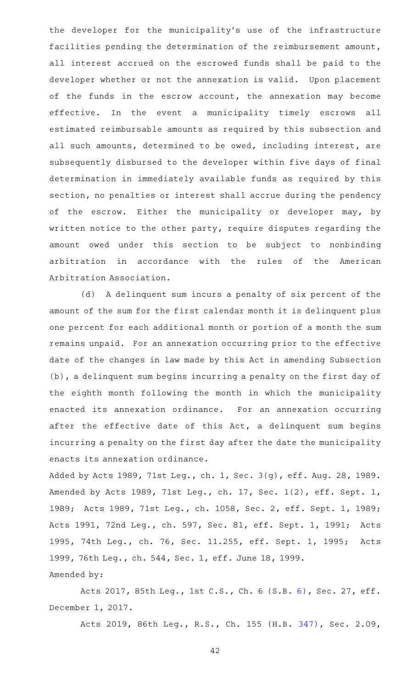the developer for the municipality's use of the infrastructure facilities pending the determination of the reimbursement amount, all interest accrued on the escrowed funds shall be paid to the developer whether or not the annexation is valid. Upon placement of the funds in the escrow account, the annexation may become effective. In the event a municipality timely escrows all estimated reimbursable amounts as required by this subsection and all such amounts, determined to be owed, including interest, are subsequently disbursed to the developer within five days of final determination in immediately available funds as required by this section, no penalties or interest shall accrue during the pendency of the escrow. Either the municipality or developer may, by written notice to the other party, require disputes regarding the amount owed under this section to be subject to nonbinding arbitration in accordance with the rules of the American Arbitration Association.

(d) A delinquent sum incurs a penalty of six percent of the amount of the sum for the first calendar month it is delinquent plus one percent for each additional month or portion of a month the sum remains unpaid. For an annexation occurring prior to the effective date of the changes in law made by this Act in amending Subsection (b), a delinquent sum begins incurring a penalty on the first day of the eighth month following the month in which the municipality enacted its annexation ordinance. For an annexation occurring after the effective date of this Act, a delinquent sum begins incurring a penalty on the first day after the date the municipality enacts its annexation ordinance.

Added by Acts 1989, 71st Leg., ch. 1, Sec. 3(g), eff. Aug. 28, 1989. Amended by Acts 1989, 71st Leg., ch. 17, Sec. 1(2), eff. Sept. 1, 1989; Acts 1989, 71st Leg., ch. 1058, Sec. 2, eff. Sept. 1, 1989; Acts 1991, 72nd Leg., ch. 597, Sec. 81, eff. Sept. 1, 1991; Acts 1995, 74th Leg., ch. 76, Sec. 11.255, eff. Sept. 1, 1995; Acts 1999, 76th Leg., ch. 544, Sec. 1, eff. June 18, 1999. Amended by:

Acts 2017, 85th Leg., 1st C.S., Ch. 6 (S.B. [6](http://www.legis.state.tx.us/tlodocs/851/billtext/html/SB00006F.HTM)), Sec. 27, eff. December 1, 2017.

Acts 2019, 86th Leg., R.S., Ch. 155 (H.B. [347](http://www.legis.state.tx.us/tlodocs/86R/billtext/html/HB00347F.HTM)), Sec. 2.09,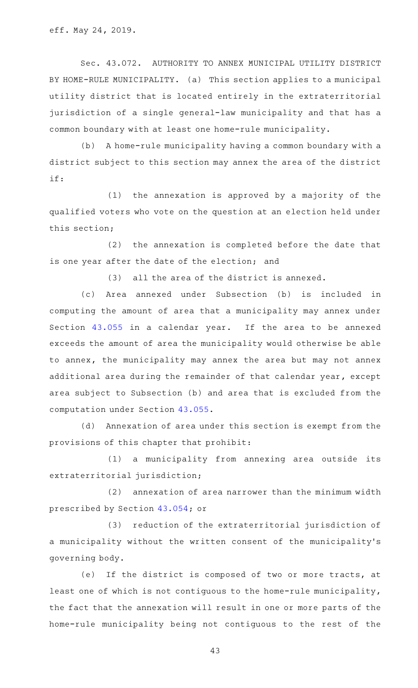Sec. 43.072. AUTHORITY TO ANNEX MUNICIPAL UTILITY DISTRICT BY HOME-RULE MUNICIPALITY. (a) This section applies to a municipal utility district that is located entirely in the extraterritorial jurisdiction of a single general-law municipality and that has a common boundary with at least one home-rule municipality.

(b) A home-rule municipality having a common boundary with a district subject to this section may annex the area of the district if:

 $(1)$  the annexation is approved by a majority of the qualified voters who vote on the question at an election held under this section;

(2) the annexation is completed before the date that is one year after the date of the election; and

 $(3)$  all the area of the district is annexed.

(c) Area annexed under Subsection (b) is included in computing the amount of area that a municipality may annex under Section [43.055](http://www.statutes.legis.state.tx.us/GetStatute.aspx?Code=LG&Value=43.055) in a calendar year. If the area to be annexed exceeds the amount of area the municipality would otherwise be able to annex, the municipality may annex the area but may not annex additional area during the remainder of that calendar year, except area subject to Subsection (b) and area that is excluded from the computation under Section [43.055](http://www.statutes.legis.state.tx.us/GetStatute.aspx?Code=LG&Value=43.055).

(d) Annexation of area under this section is exempt from the provisions of this chapter that prohibit:

(1) a municipality from annexing area outside its extraterritorial jurisdiction;

 $(2)$  annexation of area narrower than the minimum width prescribed by Section [43.054;](http://www.statutes.legis.state.tx.us/GetStatute.aspx?Code=LG&Value=43.054) or

(3) reduction of the extraterritorial jurisdiction of a municipality without the written consent of the municipality 's governing body.

(e) If the district is composed of two or more tracts, at least one of which is not contiguous to the home-rule municipality, the fact that the annexation will result in one or more parts of the home-rule municipality being not contiguous to the rest of the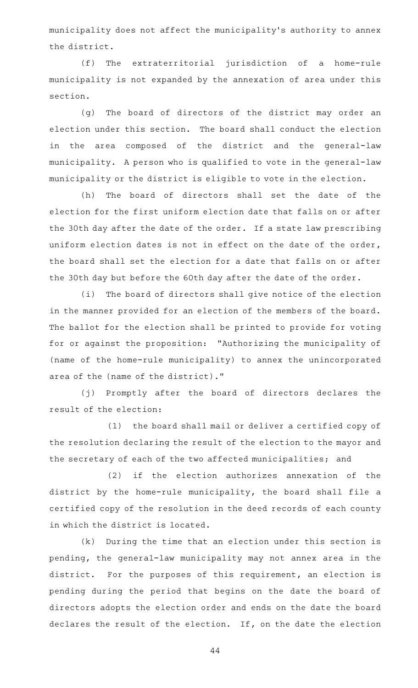municipality does not affect the municipality 's authority to annex the district.

(f) The extraterritorial jurisdiction of a home-rule municipality is not expanded by the annexation of area under this section.

(g) The board of directors of the district may order an election under this section. The board shall conduct the election in the area composed of the district and the general-law municipality. A person who is qualified to vote in the general-law municipality or the district is eligible to vote in the election.

(h) The board of directors shall set the date of the election for the first uniform election date that falls on or after the 30th day after the date of the order. If a state law prescribing uniform election dates is not in effect on the date of the order, the board shall set the election for a date that falls on or after the 30th day but before the 60th day after the date of the order.

(i) The board of directors shall give notice of the election in the manner provided for an election of the members of the board. The ballot for the election shall be printed to provide for voting for or against the proposition: "Authorizing the municipality of (name of the home-rule municipality) to annex the unincorporated area of the (name of the district)."

(j) Promptly after the board of directors declares the result of the election:

(1) the board shall mail or deliver a certified copy of the resolution declaring the result of the election to the mayor and the secretary of each of the two affected municipalities; and

(2) if the election authorizes annexation of the district by the home-rule municipality, the board shall file a certified copy of the resolution in the deed records of each county in which the district is located.

 $(k)$  During the time that an election under this section is pending, the general-law municipality may not annex area in the district. For the purposes of this requirement, an election is pending during the period that begins on the date the board of directors adopts the election order and ends on the date the board declares the result of the election. If, on the date the election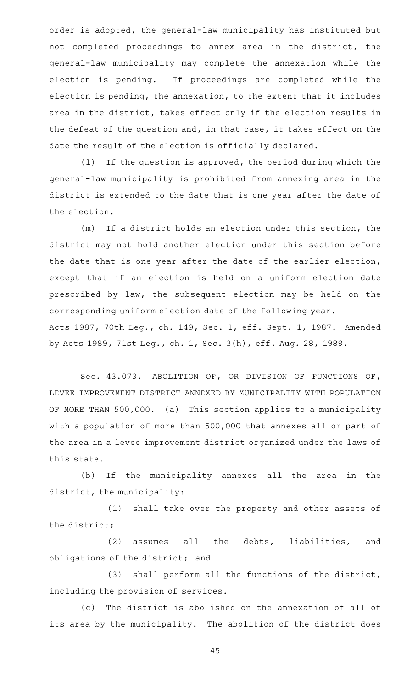order is adopted, the general-law municipality has instituted but not completed proceedings to annex area in the district, the general-law municipality may complete the annexation while the election is pending. If proceedings are completed while the election is pending, the annexation, to the extent that it includes area in the district, takes effect only if the election results in the defeat of the question and, in that case, it takes effect on the date the result of the election is officially declared.

 $(1)$  If the question is approved, the period during which the general-law municipality is prohibited from annexing area in the district is extended to the date that is one year after the date of the election.

(m) If a district holds an election under this section, the district may not hold another election under this section before the date that is one year after the date of the earlier election, except that if an election is held on a uniform election date prescribed by law, the subsequent election may be held on the corresponding uniform election date of the following year. Acts 1987, 70th Leg., ch. 149, Sec. 1, eff. Sept. 1, 1987. Amended by Acts 1989, 71st Leg., ch. 1, Sec. 3(h), eff. Aug. 28, 1989.

Sec. 43.073. ABOLITION OF, OR DIVISION OF FUNCTIONS OF, LEVEE IMPROVEMENT DISTRICT ANNEXED BY MUNICIPALITY WITH POPULATION OF MORE THAN 500,000. (a) This section applies to a municipality with a population of more than 500,000 that annexes all or part of the area in a levee improvement district organized under the laws of this state.

(b) If the municipality annexes all the area in the district, the municipality:

(1) shall take over the property and other assets of the district;

(2) assumes all the debts, liabilities, and obligations of the district; and

(3) shall perform all the functions of the district, including the provision of services.

(c) The district is abolished on the annexation of all of its area by the municipality. The abolition of the district does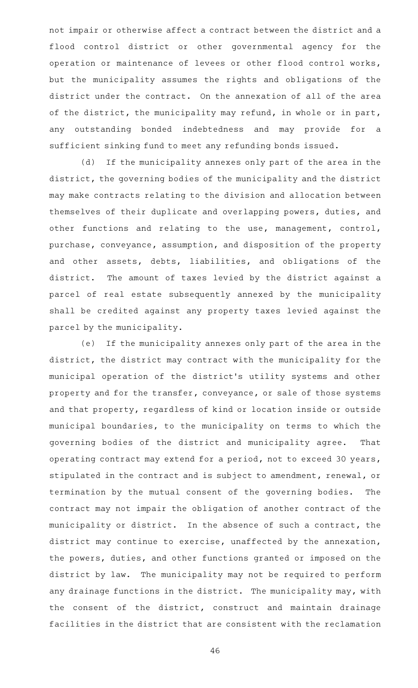not impair or otherwise affect a contract between the district and a flood control district or other governmental agency for the operation or maintenance of levees or other flood control works, but the municipality assumes the rights and obligations of the district under the contract. On the annexation of all of the area of the district, the municipality may refund, in whole or in part, any outstanding bonded indebtedness and may provide for a sufficient sinking fund to meet any refunding bonds issued.

(d) If the municipality annexes only part of the area in the district, the governing bodies of the municipality and the district may make contracts relating to the division and allocation between themselves of their duplicate and overlapping powers, duties, and other functions and relating to the use, management, control, purchase, conveyance, assumption, and disposition of the property and other assets, debts, liabilities, and obligations of the district. The amount of taxes levied by the district against a parcel of real estate subsequently annexed by the municipality shall be credited against any property taxes levied against the parcel by the municipality.

(e) If the municipality annexes only part of the area in the district, the district may contract with the municipality for the municipal operation of the district 's utility systems and other property and for the transfer, conveyance, or sale of those systems and that property, regardless of kind or location inside or outside municipal boundaries, to the municipality on terms to which the governing bodies of the district and municipality agree. That operating contract may extend for a period, not to exceed 30 years, stipulated in the contract and is subject to amendment, renewal, or termination by the mutual consent of the governing bodies. The contract may not impair the obligation of another contract of the municipality or district. In the absence of such a contract, the district may continue to exercise, unaffected by the annexation, the powers, duties, and other functions granted or imposed on the district by law. The municipality may not be required to perform any drainage functions in the district. The municipality may, with the consent of the district, construct and maintain drainage facilities in the district that are consistent with the reclamation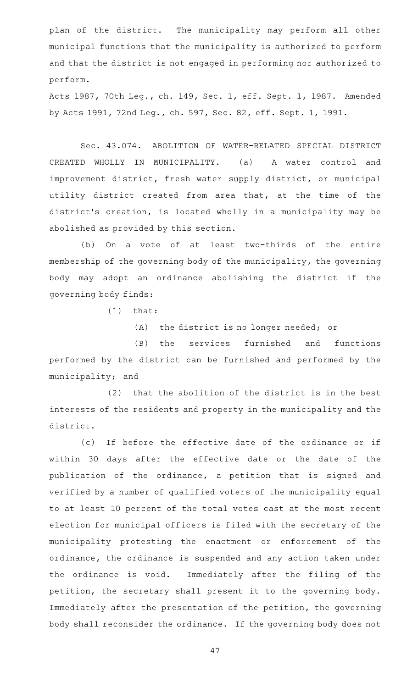plan of the district. The municipality may perform all other municipal functions that the municipality is authorized to perform and that the district is not engaged in performing nor authorized to perform.

Acts 1987, 70th Leg., ch. 149, Sec. 1, eff. Sept. 1, 1987. Amended by Acts 1991, 72nd Leg., ch. 597, Sec. 82, eff. Sept. 1, 1991.

Sec. 43.074. ABOLITION OF WATER-RELATED SPECIAL DISTRICT CREATED WHOLLY IN MUNICIPALITY. (a) A water control and improvement district, fresh water supply district, or municipal utility district created from area that, at the time of the district 's creation, is located wholly in a municipality may be abolished as provided by this section.

(b) On a vote of at least two-thirds of the entire membership of the governing body of the municipality, the governing body may adopt an ordinance abolishing the district if the governing body finds:

 $(1)$  that:

 $(A)$  the district is no longer needed; or

(B) the services furnished and functions performed by the district can be furnished and performed by the municipality; and

 $(2)$  that the abolition of the district is in the best interests of the residents and property in the municipality and the district.

(c) If before the effective date of the ordinance or if within 30 days after the effective date or the date of the publication of the ordinance, a petition that is signed and verified by a number of qualified voters of the municipality equal to at least 10 percent of the total votes cast at the most recent election for municipal officers is filed with the secretary of the municipality protesting the enactment or enforcement of the ordinance, the ordinance is suspended and any action taken under the ordinance is void. Immediately after the filing of the petition, the secretary shall present it to the governing body. Immediately after the presentation of the petition, the governing body shall reconsider the ordinance. If the governing body does not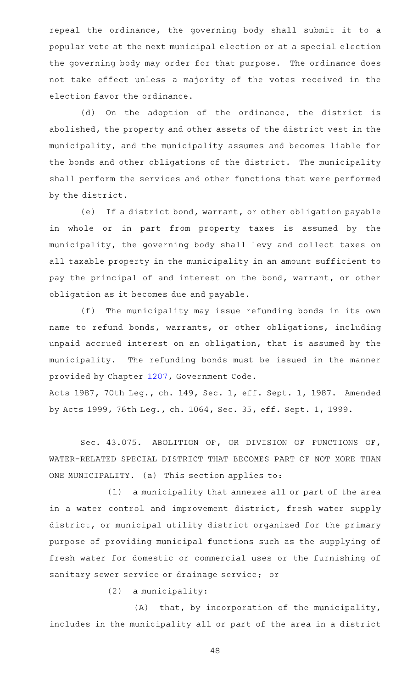repeal the ordinance, the governing body shall submit it to a popular vote at the next municipal election or at a special election the governing body may order for that purpose. The ordinance does not take effect unless a majority of the votes received in the election favor the ordinance.

(d) On the adoption of the ordinance, the district is abolished, the property and other assets of the district vest in the municipality, and the municipality assumes and becomes liable for the bonds and other obligations of the district. The municipality shall perform the services and other functions that were performed by the district.

(e) If a district bond, warrant, or other obligation payable in whole or in part from property taxes is assumed by the municipality, the governing body shall levy and collect taxes on all taxable property in the municipality in an amount sufficient to pay the principal of and interest on the bond, warrant, or other obligation as it becomes due and payable.

(f) The municipality may issue refunding bonds in its own name to refund bonds, warrants, or other obligations, including unpaid accrued interest on an obligation, that is assumed by the municipality. The refunding bonds must be issued in the manner provided by Chapter [1207,](http://www.statutes.legis.state.tx.us/GetStatute.aspx?Code=GV&Value=1207) Government Code.

Acts 1987, 70th Leg., ch. 149, Sec. 1, eff. Sept. 1, 1987. Amended by Acts 1999, 76th Leg., ch. 1064, Sec. 35, eff. Sept. 1, 1999.

Sec. 43.075. ABOLITION OF, OR DIVISION OF FUNCTIONS OF, WATER-RELATED SPECIAL DISTRICT THAT BECOMES PART OF NOT MORE THAN ONE MUNICIPALITY. (a) This section applies to:

(1) a municipality that annexes all or part of the area in a water control and improvement district, fresh water supply district, or municipal utility district organized for the primary purpose of providing municipal functions such as the supplying of fresh water for domestic or commercial uses or the furnishing of sanitary sewer service or drainage service; or

 $(2)$  a municipality:

 $(A)$  that, by incorporation of the municipality, includes in the municipality all or part of the area in a district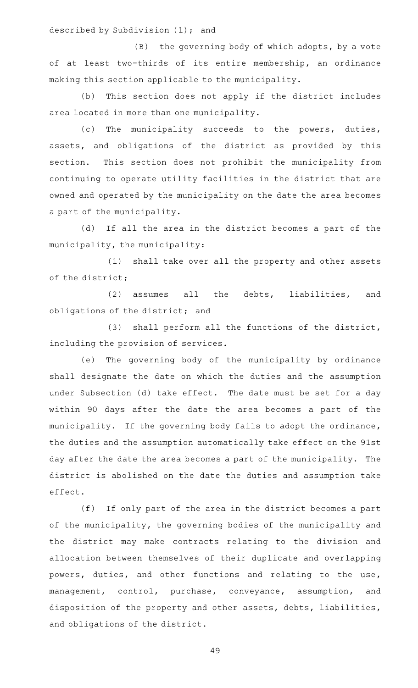described by Subdivision (1); and

 $(B)$  the governing body of which adopts, by a vote of at least two-thirds of its entire membership, an ordinance making this section applicable to the municipality.

(b) This section does not apply if the district includes area located in more than one municipality.

(c) The municipality succeeds to the powers, duties, assets, and obligations of the district as provided by this section. This section does not prohibit the municipality from continuing to operate utility facilities in the district that are owned and operated by the municipality on the date the area becomes a part of the municipality.

(d) If all the area in the district becomes a part of the municipality, the municipality:

(1) shall take over all the property and other assets of the district;

(2) assumes all the debts, liabilities, and obligations of the district; and

(3) shall perform all the functions of the district, including the provision of services.

(e) The governing body of the municipality by ordinance shall designate the date on which the duties and the assumption under Subsection (d) take effect. The date must be set for a day within 90 days after the date the area becomes a part of the municipality. If the governing body fails to adopt the ordinance, the duties and the assumption automatically take effect on the 91st day after the date the area becomes a part of the municipality. The district is abolished on the date the duties and assumption take effect.

(f) If only part of the area in the district becomes a part of the municipality, the governing bodies of the municipality and the district may make contracts relating to the division and allocation between themselves of their duplicate and overlapping powers, duties, and other functions and relating to the use, management, control, purchase, conveyance, assumption, and disposition of the property and other assets, debts, liabilities, and obligations of the district.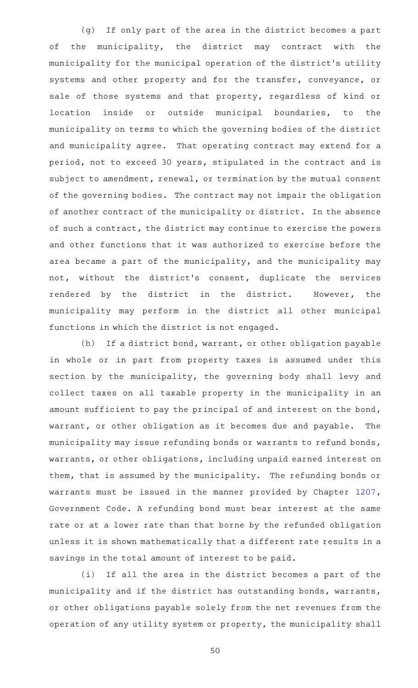(g) If only part of the area in the district becomes a part of the municipality, the district may contract with the municipality for the municipal operation of the district 's utility systems and other property and for the transfer, conveyance, or sale of those systems and that property, regardless of kind or location inside or outside municipal boundaries, to the municipality on terms to which the governing bodies of the district and municipality agree. That operating contract may extend for a period, not to exceed 30 years, stipulated in the contract and is subject to amendment, renewal, or termination by the mutual consent of the governing bodies. The contract may not impair the obligation of another contract of the municipality or district. In the absence of such a contract, the district may continue to exercise the powers and other functions that it was authorized to exercise before the area became a part of the municipality, and the municipality may not, without the district 's consent, duplicate the services rendered by the district in the district. However, the municipality may perform in the district all other municipal functions in which the district is not engaged.

(h) If a district bond, warrant, or other obligation payable in whole or in part from property taxes is assumed under this section by the municipality, the governing body shall levy and collect taxes on all taxable property in the municipality in an amount sufficient to pay the principal of and interest on the bond, warrant, or other obligation as it becomes due and payable. The municipality may issue refunding bonds or warrants to refund bonds, warrants, or other obligations, including unpaid earned interest on them, that is assumed by the municipality. The refunding bonds or warrants must be issued in the manner provided by Chapter [1207](http://www.statutes.legis.state.tx.us/GetStatute.aspx?Code=GV&Value=1207), Government Code. A refunding bond must bear interest at the same rate or at a lower rate than that borne by the refunded obligation unless it is shown mathematically that a different rate results in a savings in the total amount of interest to be paid.

(i) If all the area in the district becomes a part of the municipality and if the district has outstanding bonds, warrants, or other obligations payable solely from the net revenues from the operation of any utility system or property, the municipality shall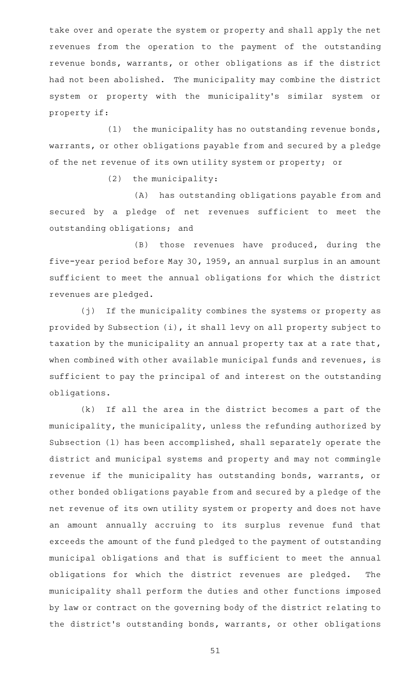take over and operate the system or property and shall apply the net revenues from the operation to the payment of the outstanding revenue bonds, warrants, or other obligations as if the district had not been abolished. The municipality may combine the district system or property with the municipality's similar system or property if:

(1) the municipality has no outstanding revenue bonds, warrants, or other obligations payable from and secured by a pledge of the net revenue of its own utility system or property; or

 $(2)$  the municipality:

(A) has outstanding obligations payable from and secured by a pledge of net revenues sufficient to meet the outstanding obligations; and

(B) those revenues have produced, during the five-year period before May 30, 1959, an annual surplus in an amount sufficient to meet the annual obligations for which the district revenues are pledged.

(j) If the municipality combines the systems or property as provided by Subsection (i), it shall levy on all property subject to taxation by the municipality an annual property tax at a rate that, when combined with other available municipal funds and revenues, is sufficient to pay the principal of and interest on the outstanding obligations.

 $(k)$  If all the area in the district becomes a part of the municipality, the municipality, unless the refunding authorized by Subsection (l) has been accomplished, shall separately operate the district and municipal systems and property and may not commingle revenue if the municipality has outstanding bonds, warrants, or other bonded obligations payable from and secured by a pledge of the net revenue of its own utility system or property and does not have an amount annually accruing to its surplus revenue fund that exceeds the amount of the fund pledged to the payment of outstanding municipal obligations and that is sufficient to meet the annual obligations for which the district revenues are pledged. The municipality shall perform the duties and other functions imposed by law or contract on the governing body of the district relating to the district's outstanding bonds, warrants, or other obligations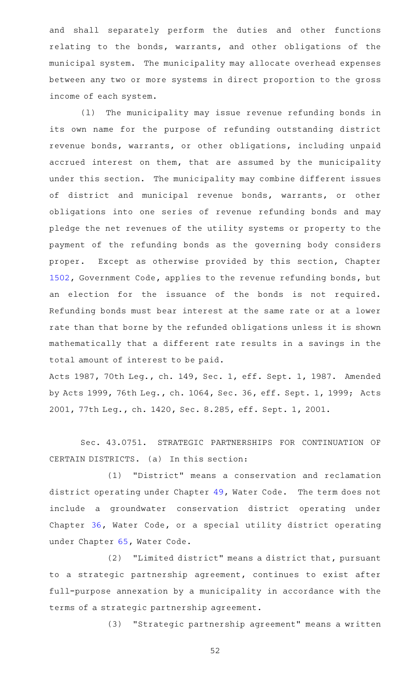and shall separately perform the duties and other functions relating to the bonds, warrants, and other obligations of the municipal system. The municipality may allocate overhead expenses between any two or more systems in direct proportion to the gross income of each system.

(1) The municipality may issue revenue refunding bonds in its own name for the purpose of refunding outstanding district revenue bonds, warrants, or other obligations, including unpaid accrued interest on them, that are assumed by the municipality under this section. The municipality may combine different issues of district and municipal revenue bonds, warrants, or other obligations into one series of revenue refunding bonds and may pledge the net revenues of the utility systems or property to the payment of the refunding bonds as the governing body considers proper. Except as otherwise provided by this section, Chapter [1502](http://www.statutes.legis.state.tx.us/GetStatute.aspx?Code=GV&Value=1502), Government Code, applies to the revenue refunding bonds, but an election for the issuance of the bonds is not required. Refunding bonds must bear interest at the same rate or at a lower rate than that borne by the refunded obligations unless it is shown mathematically that a different rate results in a savings in the total amount of interest to be paid.

Acts 1987, 70th Leg., ch. 149, Sec. 1, eff. Sept. 1, 1987. Amended by Acts 1999, 76th Leg., ch. 1064, Sec. 36, eff. Sept. 1, 1999; Acts 2001, 77th Leg., ch. 1420, Sec. 8.285, eff. Sept. 1, 2001.

Sec. 43.0751. STRATEGIC PARTNERSHIPS FOR CONTINUATION OF CERTAIN DISTRICTS. (a) In this section:

(1) "District" means a conservation and reclamation district operating under Chapter [49,](http://www.statutes.legis.state.tx.us/GetStatute.aspx?Code=WA&Value=49) Water Code. The term does not include a groundwater conservation district operating under Chapter [36,](http://www.statutes.legis.state.tx.us/GetStatute.aspx?Code=WA&Value=36) Water Code, or a special utility district operating under Chapter [65,](http://www.statutes.legis.state.tx.us/GetStatute.aspx?Code=WA&Value=65) Water Code.

(2) "Limited district" means a district that, pursuant to a strategic partnership agreement, continues to exist after full-purpose annexation by a municipality in accordance with the terms of a strategic partnership agreement.

(3) "Strategic partnership agreement" means a written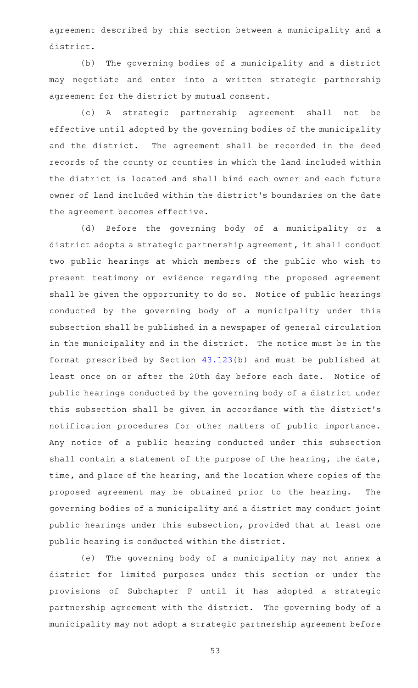agreement described by this section between a municipality and a district.

(b) The governing bodies of a municipality and a district may negotiate and enter into a written strategic partnership agreement for the district by mutual consent.

(c)AAA strategic partnership agreement shall not be effective until adopted by the governing bodies of the municipality and the district. The agreement shall be recorded in the deed records of the county or counties in which the land included within the district is located and shall bind each owner and each future owner of land included within the district 's boundaries on the date the agreement becomes effective.

(d) Before the governing body of a municipality or a district adopts a strategic partnership agreement, it shall conduct two public hearings at which members of the public who wish to present testimony or evidence regarding the proposed agreement shall be given the opportunity to do so. Notice of public hearings conducted by the governing body of a municipality under this subsection shall be published in a newspaper of general circulation in the municipality and in the district. The notice must be in the format prescribed by Section [43.123\(](http://www.statutes.legis.state.tx.us/GetStatute.aspx?Code=LG&Value=43.123)b) and must be published at least once on or after the 20th day before each date. Notice of public hearings conducted by the governing body of a district under this subsection shall be given in accordance with the district 's notification procedures for other matters of public importance. Any notice of a public hearing conducted under this subsection shall contain a statement of the purpose of the hearing, the date, time, and place of the hearing, and the location where copies of the proposed agreement may be obtained prior to the hearing. The governing bodies of a municipality and a district may conduct joint public hearings under this subsection, provided that at least one public hearing is conducted within the district.

(e) The governing body of a municipality may not annex a district for limited purposes under this section or under the provisions of Subchapter F until it has adopted a strategic partnership agreement with the district. The governing body of a municipality may not adopt a strategic partnership agreement before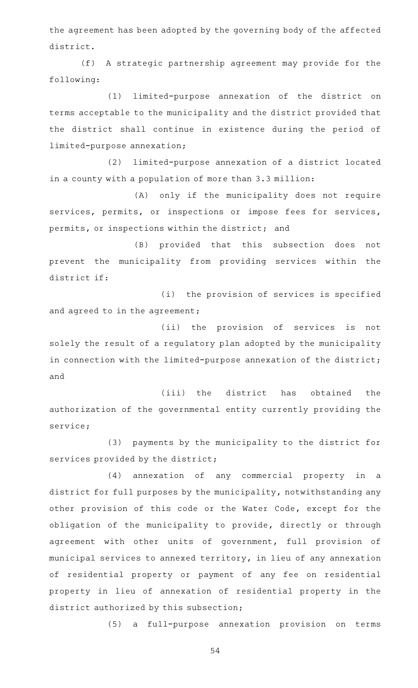the agreement has been adopted by the governing body of the affected district.

(f) A strategic partnership agreement may provide for the following:

(1) limited-purpose annexation of the district on terms acceptable to the municipality and the district provided that the district shall continue in existence during the period of limited-purpose annexation;

(2) limited-purpose annexation of a district located in a county with a population of more than 3.3 million:

(A) only if the municipality does not require services, permits, or inspections or impose fees for services, permits, or inspections within the district; and

(B) provided that this subsection does not prevent the municipality from providing services within the district if:

(i) the provision of services is specified and agreed to in the agreement;

(ii) the provision of services is not solely the result of a regulatory plan adopted by the municipality in connection with the limited-purpose annexation of the district; and

(iii) the district has obtained the authorization of the governmental entity currently providing the service;

(3) payments by the municipality to the district for services provided by the district;

(4) annexation of any commercial property in a district for full purposes by the municipality, notwithstanding any other provision of this code or the Water Code, except for the obligation of the municipality to provide, directly or through agreement with other units of government, full provision of municipal services to annexed territory, in lieu of any annexation of residential property or payment of any fee on residential property in lieu of annexation of residential property in the district authorized by this subsection;

(5) a full-purpose annexation provision on terms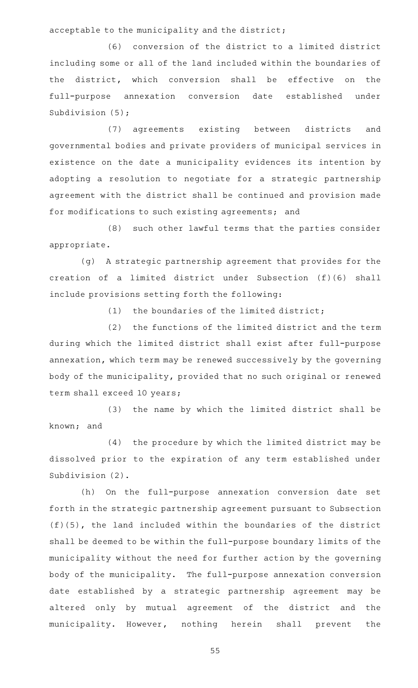acceptable to the municipality and the district;

(6) conversion of the district to a limited district including some or all of the land included within the boundaries of the district, which conversion shall be effective on the full-purpose annexation conversion date established under Subdivision (5);

(7) agreements existing between districts and governmental bodies and private providers of municipal services in existence on the date a municipality evidences its intention by adopting a resolution to negotiate for a strategic partnership agreement with the district shall be continued and provision made for modifications to such existing agreements; and

(8) such other lawful terms that the parties consider appropriate.

(g) A strategic partnership agreement that provides for the creation of a limited district under Subsection (f)(6) shall include provisions setting forth the following:

(1) the boundaries of the limited district;

(2) the functions of the limited district and the term during which the limited district shall exist after full-purpose annexation, which term may be renewed successively by the governing body of the municipality, provided that no such original or renewed term shall exceed 10 years;

(3) the name by which the limited district shall be known; and

(4) the procedure by which the limited district may be dissolved prior to the expiration of any term established under Subdivision (2).

(h) On the full-purpose annexation conversion date set forth in the strategic partnership agreement pursuant to Subsection (f)(5), the land included within the boundaries of the district shall be deemed to be within the full-purpose boundary limits of the municipality without the need for further action by the governing body of the municipality. The full-purpose annexation conversion date established by a strategic partnership agreement may be altered only by mutual agreement of the district and the municipality. However, nothing herein shall prevent the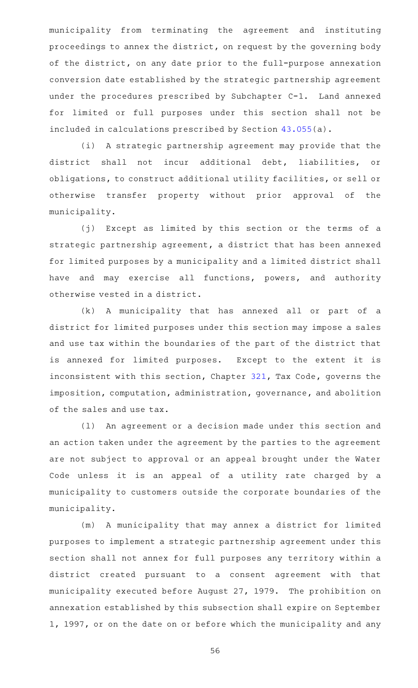municipality from terminating the agreement and instituting proceedings to annex the district, on request by the governing body of the district, on any date prior to the full-purpose annexation conversion date established by the strategic partnership agreement under the procedures prescribed by Subchapter C-1. Land annexed for limited or full purposes under this section shall not be included in calculations prescribed by Section [43.055\(](http://www.statutes.legis.state.tx.us/GetStatute.aspx?Code=LG&Value=43.055)a).

(i) A strategic partnership agreement may provide that the district shall not incur additional debt, liabilities, or obligations, to construct additional utility facilities, or sell or otherwise transfer property without prior approval of the municipality.

(j) Except as limited by this section or the terms of a strategic partnership agreement, a district that has been annexed for limited purposes by a municipality and a limited district shall have and may exercise all functions, powers, and authority otherwise vested in a district.

(k) A municipality that has annexed all or part of a district for limited purposes under this section may impose a sales and use tax within the boundaries of the part of the district that is annexed for limited purposes. Except to the extent it is inconsistent with this section, Chapter [321,](http://www.statutes.legis.state.tx.us/GetStatute.aspx?Code=TX&Value=321) Tax Code, governs the imposition, computation, administration, governance, and abolition of the sales and use tax.

(1) An agreement or a decision made under this section and an action taken under the agreement by the parties to the agreement are not subject to approval or an appeal brought under the Water Code unless it is an appeal of a utility rate charged by a municipality to customers outside the corporate boundaries of the municipality.

(m) A municipality that may annex a district for limited purposes to implement a strategic partnership agreement under this section shall not annex for full purposes any territory within a district created pursuant to a consent agreement with that municipality executed before August 27, 1979. The prohibition on annexation established by this subsection shall expire on September 1, 1997, or on the date on or before which the municipality and any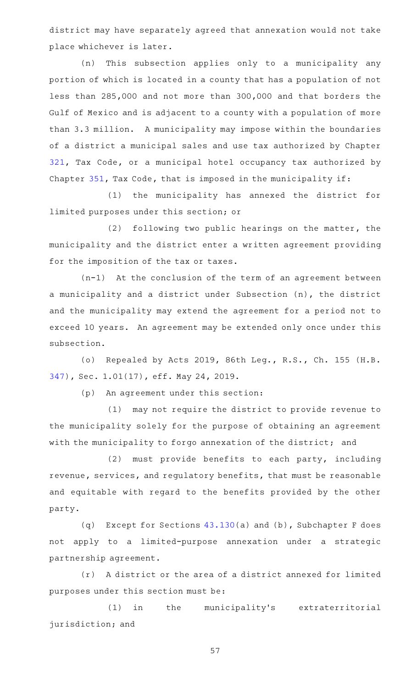district may have separately agreed that annexation would not take place whichever is later.

(n) This subsection applies only to a municipality any portion of which is located in a county that has a population of not less than 285,000 and not more than 300,000 and that borders the Gulf of Mexico and is adjacent to a county with a population of more than 3.3 million. A municipality may impose within the boundaries of a district a municipal sales and use tax authorized by Chapter [321,](http://www.statutes.legis.state.tx.us/GetStatute.aspx?Code=TX&Value=321) Tax Code, or a municipal hotel occupancy tax authorized by Chapter [351,](http://www.statutes.legis.state.tx.us/GetStatute.aspx?Code=TX&Value=351) Tax Code, that is imposed in the municipality if:

(1) the municipality has annexed the district for limited purposes under this section; or

(2) following two public hearings on the matter, the municipality and the district enter a written agreement providing for the imposition of the tax or taxes.

 $(n-1)$  At the conclusion of the term of an agreement between a municipality and a district under Subsection (n), the district and the municipality may extend the agreement for a period not to exceed 10 years. An agreement may be extended only once under this subsection.

(o) Repealed by Acts 2019, 86th Leg., R.S., Ch. 155 (H.B. [347\)](http://www.legis.state.tx.us/tlodocs/86R/billtext/html/HB00347F.HTM), Sec. 1.01(17), eff. May 24, 2019.

(p) An agreement under this section:

(1) may not require the district to provide revenue to the municipality solely for the purpose of obtaining an agreement with the municipality to forgo annexation of the district; and

 $(2)$  must provide benefits to each party, including revenue, services, and regulatory benefits, that must be reasonable and equitable with regard to the benefits provided by the other party.

(q) Except for Sections  $43.130(a)$  $43.130(a)$  and (b), Subchapter F does not apply to a limited-purpose annexation under a strategic partnership agreement.

(r) A district or the area of a district annexed for limited purposes under this section must be:

(1) in the municipality's extraterritorial jurisdiction; and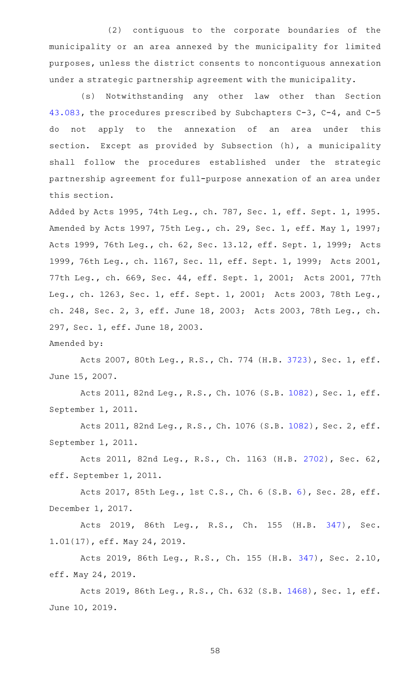(2) contiguous to the corporate boundaries of the municipality or an area annexed by the municipality for limited purposes, unless the district consents to noncontiguous annexation under a strategic partnership agreement with the municipality.

(s) Notwithstanding any other law other than Section [43.083](http://www.statutes.legis.state.tx.us/GetStatute.aspx?Code=LG&Value=43.083), the procedures prescribed by Subchapters C-3, C-4, and C-5 do not apply to the annexation of an area under this section. Except as provided by Subsection (h), a municipality shall follow the procedures established under the strategic partnership agreement for full-purpose annexation of an area under this section.

Added by Acts 1995, 74th Leg., ch. 787, Sec. 1, eff. Sept. 1, 1995. Amended by Acts 1997, 75th Leg., ch. 29, Sec. 1, eff. May 1, 1997; Acts 1999, 76th Leg., ch. 62, Sec. 13.12, eff. Sept. 1, 1999; Acts 1999, 76th Leg., ch. 1167, Sec. 11, eff. Sept. 1, 1999; Acts 2001, 77th Leg., ch. 669, Sec. 44, eff. Sept. 1, 2001; Acts 2001, 77th Leg., ch. 1263, Sec. 1, eff. Sept. 1, 2001; Acts 2003, 78th Leg., ch. 248, Sec. 2, 3, eff. June 18, 2003; Acts 2003, 78th Leg., ch. 297, Sec. 1, eff. June 18, 2003.

Amended by:

Acts 2007, 80th Leg., R.S., Ch. 774 (H.B. [3723](http://www.legis.state.tx.us/tlodocs/80R/billtext/html/HB03723F.HTM)), Sec. 1, eff. June 15, 2007.

Acts 2011, 82nd Leg., R.S., Ch. 1076 (S.B. [1082](http://www.legis.state.tx.us/tlodocs/82R/billtext/html/SB01082F.HTM)), Sec. 1, eff. September 1, 2011.

Acts 2011, 82nd Leg., R.S., Ch. 1076 (S.B. [1082](http://www.legis.state.tx.us/tlodocs/82R/billtext/html/SB01082F.HTM)), Sec. 2, eff. September 1, 2011.

Acts 2011, 82nd Leg., R.S., Ch. 1163 (H.B. [2702](http://www.legis.state.tx.us/tlodocs/82R/billtext/html/HB02702F.HTM)), Sec. 62, eff. September 1, 2011.

Acts 2017, 85th Leg., 1st C.S., Ch. 6 (S.B. [6](http://www.legis.state.tx.us/tlodocs/851/billtext/html/SB00006F.HTM)), Sec. 28, eff. December 1, 2017.

Acts 2019, 86th Leg., R.S., Ch. 155 (H.B. [347\)](http://www.legis.state.tx.us/tlodocs/86R/billtext/html/HB00347F.HTM), Sec. 1.01(17), eff. May 24, 2019.

Acts 2019, 86th Leg., R.S., Ch. 155 (H.B. [347](http://www.legis.state.tx.us/tlodocs/86R/billtext/html/HB00347F.HTM)), Sec. 2.10, eff. May 24, 2019.

Acts 2019, 86th Leg., R.S., Ch. 632 (S.B. [1468](http://www.legis.state.tx.us/tlodocs/86R/billtext/html/SB01468F.HTM)), Sec. 1, eff. June 10, 2019.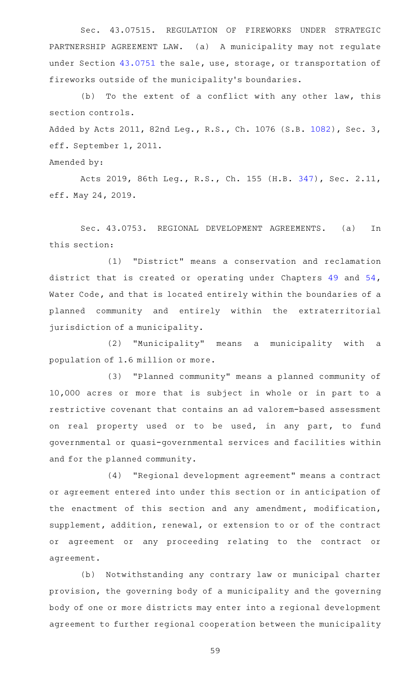Sec. 43.07515. REGULATION OF FIREWORKS UNDER STRATEGIC PARTNERSHIP AGREEMENT LAW. (a) A municipality may not regulate under Section [43.0751](http://www.statutes.legis.state.tx.us/GetStatute.aspx?Code=LG&Value=43.0751) the sale, use, storage, or transportation of fireworks outside of the municipality 's boundaries.

 $(b)$  To the extent of a conflict with any other law, this section controls.

Added by Acts 2011, 82nd Leg., R.S., Ch. 1076 (S.B. [1082\)](http://www.legis.state.tx.us/tlodocs/82R/billtext/html/SB01082F.HTM), Sec. 3, eff. September 1, 2011.

Amended by:

Acts 2019, 86th Leg., R.S., Ch. 155 (H.B. [347](http://www.legis.state.tx.us/tlodocs/86R/billtext/html/HB00347F.HTM)), Sec. 2.11, eff. May 24, 2019.

Sec. 43.0753. REGIONAL DEVELOPMENT AGREEMENTS. (a) In this section:

(1) "District" means a conservation and reclamation district that is created or operating under Chapters [49](http://www.statutes.legis.state.tx.us/GetStatute.aspx?Code=WA&Value=49) and [54](http://www.statutes.legis.state.tx.us/GetStatute.aspx?Code=WA&Value=54), Water Code, and that is located entirely within the boundaries of a planned community and entirely within the extraterritorial jurisdiction of a municipality.

(2) "Municipality" means a municipality with a population of 1.6 million or more.

(3) "Planned community" means a planned community of 10,000 acres or more that is subject in whole or in part to a restrictive covenant that contains an ad valorem-based assessment on real property used or to be used, in any part, to fund governmental or quasi-governmental services and facilities within and for the planned community.

(4) "Regional development agreement" means a contract or agreement entered into under this section or in anticipation of the enactment of this section and any amendment, modification, supplement, addition, renewal, or extension to or of the contract or agreement or any proceeding relating to the contract or agreement.

(b) Notwithstanding any contrary law or municipal charter provision, the governing body of a municipality and the governing body of one or more districts may enter into a regional development agreement to further regional cooperation between the municipality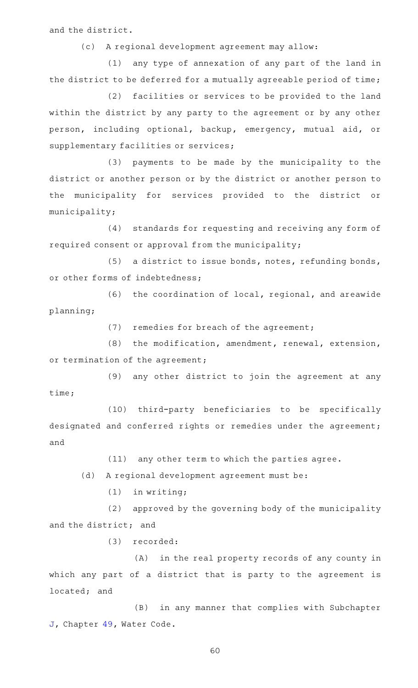and the district.

(c) A regional development agreement may allow:

(1) any type of annexation of any part of the land in the district to be deferred for a mutually agreeable period of time;

(2) facilities or services to be provided to the land within the district by any party to the agreement or by any other person, including optional, backup, emergency, mutual aid, or supplementary facilities or services;

(3) payments to be made by the municipality to the district or another person or by the district or another person to the municipality for services provided to the district or municipality;

(4) standards for requesting and receiving any form of required consent or approval from the municipality;

 $(5)$  a district to issue bonds, notes, refunding bonds, or other forms of indebtedness;

(6) the coordination of local, regional, and areawide planning;

(7) remedies for breach of the agreement;

 $(8)$  the modification, amendment, renewal, extension, or termination of the agreement;

(9) any other district to join the agreement at any time;

(10) third-party beneficiaries to be specifically designated and conferred rights or remedies under the agreement; and

 $(11)$  any other term to which the parties agree.

(d) A regional development agreement must be:

 $(1)$  in writing;

(2) approved by the governing body of the municipality and the district; and

(3) recorded:

(A) in the real property records of any county in which any part of a district that is party to the agreement is located; and

(B) in any manner that complies with Subchapter [J,](http://www.statutes.legis.state.tx.us/GetStatute.aspx?Code=WA&Value=49.301) Chapter [49](http://www.statutes.legis.state.tx.us/GetStatute.aspx?Code=WA&Value=49), Water Code.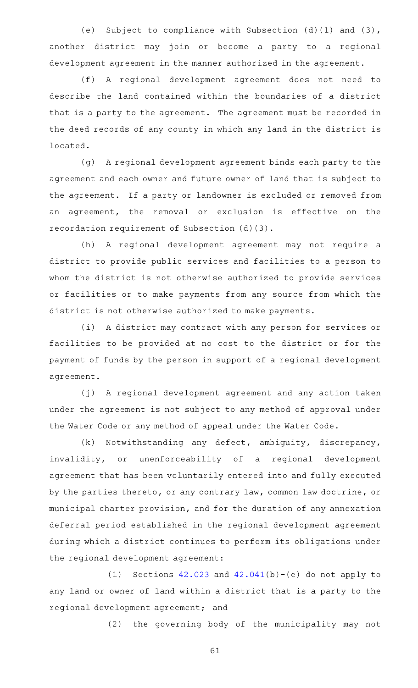(e) Subject to compliance with Subsection  $(d)(1)$  and  $(3)$ , another district may join or become a party to a regional development agreement in the manner authorized in the agreement.

(f)AAA regional development agreement does not need to describe the land contained within the boundaries of a district that is a party to the agreement. The agreement must be recorded in the deed records of any county in which any land in the district is located.

(g) A regional development agreement binds each party to the agreement and each owner and future owner of land that is subject to the agreement. If a party or landowner is excluded or removed from an agreement, the removal or exclusion is effective on the recordation requirement of Subsection (d)(3).

(h) A regional development agreement may not require a district to provide public services and facilities to a person to whom the district is not otherwise authorized to provide services or facilities or to make payments from any source from which the district is not otherwise authorized to make payments.

(i) A district may contract with any person for services or facilities to be provided at no cost to the district or for the payment of funds by the person in support of a regional development agreement.

(j) A regional development agreement and any action taken under the agreement is not subject to any method of approval under the Water Code or any method of appeal under the Water Code.

 $(k)$  Notwithstanding any defect, ambiguity, discrepancy, invalidity, or unenforceability of a regional development agreement that has been voluntarily entered into and fully executed by the parties thereto, or any contrary law, common law doctrine, or municipal charter provision, and for the duration of any annexation deferral period established in the regional development agreement during which a district continues to perform its obligations under the regional development agreement:

(1) Sections  $42.023$  and  $42.041(b)-(e)$  $42.041(b)-(e)$  do not apply to any land or owner of land within a district that is a party to the regional development agreement; and

(2) the governing body of the municipality may not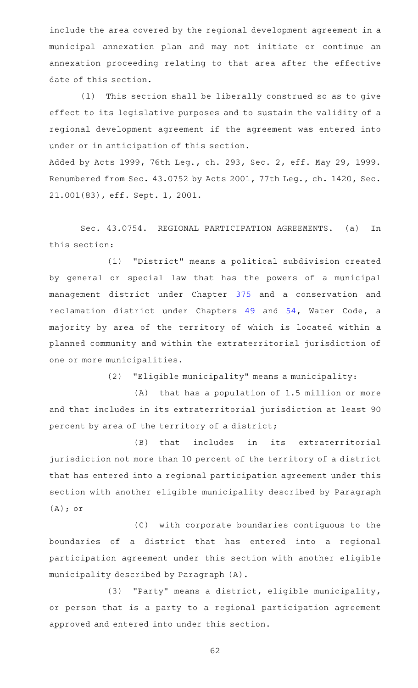include the area covered by the regional development agreement in a municipal annexation plan and may not initiate or continue an annexation proceeding relating to that area after the effective date of this section.

(1) This section shall be liberally construed so as to give effect to its legislative purposes and to sustain the validity of a regional development agreement if the agreement was entered into under or in anticipation of this section.

Added by Acts 1999, 76th Leg., ch. 293, Sec. 2, eff. May 29, 1999. Renumbered from Sec. 43.0752 by Acts 2001, 77th Leg., ch. 1420, Sec. 21.001(83), eff. Sept. 1, 2001.

Sec. 43.0754. REGIONAL PARTICIPATION AGREEMENTS. (a) In this section:

(1) "District" means a political subdivision created by general or special law that has the powers of a municipal management district under Chapter [375](http://www.statutes.legis.state.tx.us/GetStatute.aspx?Code=LG&Value=375) and a conservation and reclamation district under Chapters [49](http://www.statutes.legis.state.tx.us/GetStatute.aspx?Code=WA&Value=49) and [54,](http://www.statutes.legis.state.tx.us/GetStatute.aspx?Code=WA&Value=54) Water Code, a majority by area of the territory of which is located within a planned community and within the extraterritorial jurisdiction of one or more municipalities.

(2) "Eligible municipality" means a municipality:

 $(A)$  that has a population of 1.5 million or more and that includes in its extraterritorial jurisdiction at least 90 percent by area of the territory of a district;

(B) that includes in its extraterritorial jurisdiction not more than 10 percent of the territory of a district that has entered into a regional participation agreement under this section with another eligible municipality described by Paragraph (A); or

(C) with corporate boundaries contiguous to the boundaries of a district that has entered into a regional participation agreement under this section with another eligible municipality described by Paragraph (A).

(3) "Party" means a district, eligible municipality, or person that is a party to a regional participation agreement approved and entered into under this section.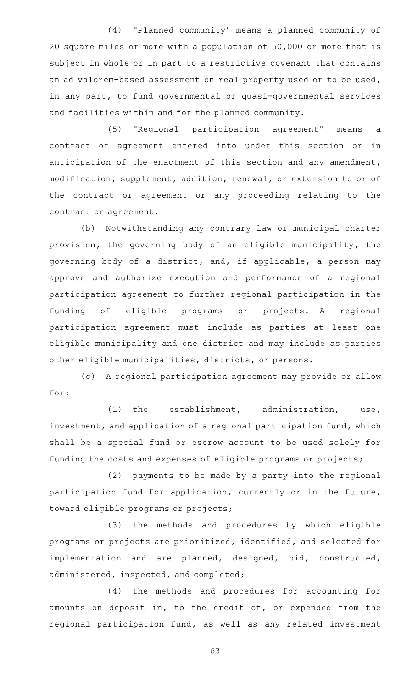(4) "Planned community" means a planned community of 20 square miles or more with a population of 50,000 or more that is subject in whole or in part to a restrictive covenant that contains an ad valorem-based assessment on real property used or to be used, in any part, to fund governmental or quasi-governmental services and facilities within and for the planned community.

(5) "Regional participation agreement" means a contract or agreement entered into under this section or in anticipation of the enactment of this section and any amendment, modification, supplement, addition, renewal, or extension to or of the contract or agreement or any proceeding relating to the contract or agreement.

(b) Notwithstanding any contrary law or municipal charter provision, the governing body of an eligible municipality, the governing body of a district, and, if applicable, a person may approve and authorize execution and performance of a regional participation agreement to further regional participation in the funding of eligible programs or projects. A regional participation agreement must include as parties at least one eligible municipality and one district and may include as parties other eligible municipalities, districts, or persons.

(c) A regional participation agreement may provide or allow for:

(1) the establishment, administration, use, investment, and application of a regional participation fund, which shall be a special fund or escrow account to be used solely for funding the costs and expenses of eligible programs or projects;

(2) payments to be made by a party into the regional participation fund for application, currently or in the future, toward eligible programs or projects;

(3) the methods and procedures by which eligible programs or projects are prioritized, identified, and selected for implementation and are planned, designed, bid, constructed, administered, inspected, and completed;

(4) the methods and procedures for accounting for amounts on deposit in, to the credit of, or expended from the regional participation fund, as well as any related investment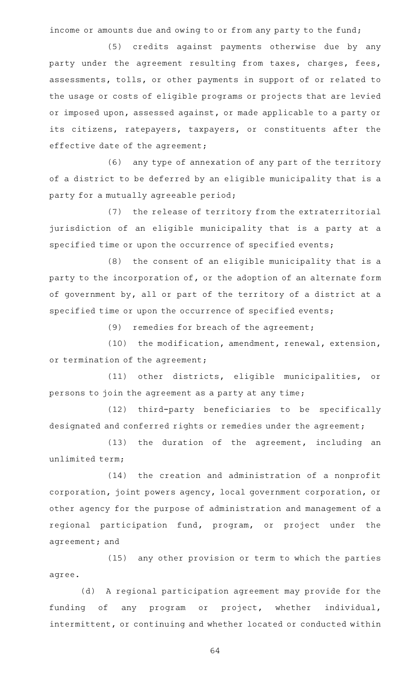income or amounts due and owing to or from any party to the fund;

(5) credits against payments otherwise due by any party under the agreement resulting from taxes, charges, fees, assessments, tolls, or other payments in support of or related to the usage or costs of eligible programs or projects that are levied or imposed upon, assessed against, or made applicable to a party or its citizens, ratepayers, taxpayers, or constituents after the effective date of the agreement;

(6) any type of annexation of any part of the territory of a district to be deferred by an eligible municipality that is a party for a mutually agreeable period;

(7) the release of territory from the extraterritorial jurisdiction of an eligible municipality that is a party at a specified time or upon the occurrence of specified events;

 $(8)$  the consent of an eligible municipality that is a party to the incorporation of, or the adoption of an alternate form of government by, all or part of the territory of a district at a specified time or upon the occurrence of specified events;

(9) remedies for breach of the agreement;

(10) the modification, amendment, renewal, extension, or termination of the agreement;

(11) other districts, eligible municipalities, or persons to join the agreement as a party at any time;

(12) third-party beneficiaries to be specifically designated and conferred rights or remedies under the agreement;

 $(13)$  the duration of the agreement, including an unlimited term;

(14) the creation and administration of a nonprofit corporation, joint powers agency, local government corporation, or other agency for the purpose of administration and management of a regional participation fund, program, or project under the agreement; and

(15) any other provision or term to which the parties agree.

(d) A regional participation agreement may provide for the funding of any program or project, whether individual, intermittent, or continuing and whether located or conducted within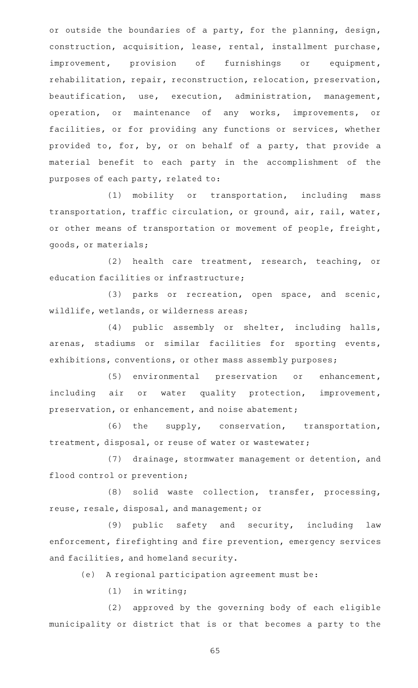or outside the boundaries of a party, for the planning, design, construction, acquisition, lease, rental, installment purchase, improvement, provision of furnishings or equipment, rehabilitation, repair, reconstruction, relocation, preservation, beautification, use, execution, administration, management, operation, or maintenance of any works, improvements, or facilities, or for providing any functions or services, whether provided to, for, by, or on behalf of a party, that provide a material benefit to each party in the accomplishment of the purposes of each party, related to:

(1) mobility or transportation, including mass transportation, traffic circulation, or ground, air, rail, water, or other means of transportation or movement of people, freight, goods, or materials;

(2) health care treatment, research, teaching, or education facilities or infrastructure;

(3) parks or recreation, open space, and scenic, wildlife, wetlands, or wilderness areas;

(4) public assembly or shelter, including halls, arenas, stadiums or similar facilities for sporting events, exhibitions, conventions, or other mass assembly purposes;

(5) environmental preservation or enhancement, including air or water quality protection, improvement, preservation, or enhancement, and noise abatement;

 $(6)$  the supply, conservation, transportation, treatment, disposal, or reuse of water or wastewater;

(7) drainage, stormwater management or detention, and flood control or prevention;

(8) solid waste collection, transfer, processing, reuse, resale, disposal, and management; or

(9) public safety and security, including law enforcement, firefighting and fire prevention, emergency services and facilities, and homeland security.

(e) A regional participation agreement must be:

 $(1)$  in writing;

(2) approved by the governing body of each eligible municipality or district that is or that becomes a party to the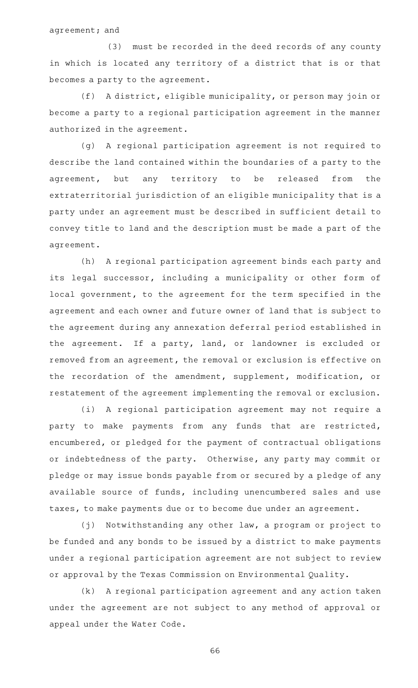agreement; and

(3) must be recorded in the deed records of any county in which is located any territory of a district that is or that becomes a party to the agreement.

(f) A district, eligible municipality, or person may join or become a party to a regional participation agreement in the manner authorized in the agreement.

(g)AAA regional participation agreement is not required to describe the land contained within the boundaries of a party to the agreement, but any territory to be released from the extraterritorial jurisdiction of an eligible municipality that is a party under an agreement must be described in sufficient detail to convey title to land and the description must be made a part of the agreement.

(h) A regional participation agreement binds each party and its legal successor, including a municipality or other form of local government, to the agreement for the term specified in the agreement and each owner and future owner of land that is subject to the agreement during any annexation deferral period established in the agreement. If a party, land, or landowner is excluded or removed from an agreement, the removal or exclusion is effective on the recordation of the amendment, supplement, modification, or restatement of the agreement implementing the removal or exclusion.

(i) A regional participation agreement may not require a party to make payments from any funds that are restricted, encumbered, or pledged for the payment of contractual obligations or indebtedness of the party. Otherwise, any party may commit or pledge or may issue bonds payable from or secured by a pledge of any available source of funds, including unencumbered sales and use taxes, to make payments due or to become due under an agreement.

(j) Notwithstanding any other law, a program or project to be funded and any bonds to be issued by a district to make payments under a regional participation agreement are not subject to review or approval by the Texas Commission on Environmental Quality.

(k) A regional participation agreement and any action taken under the agreement are not subject to any method of approval or appeal under the Water Code.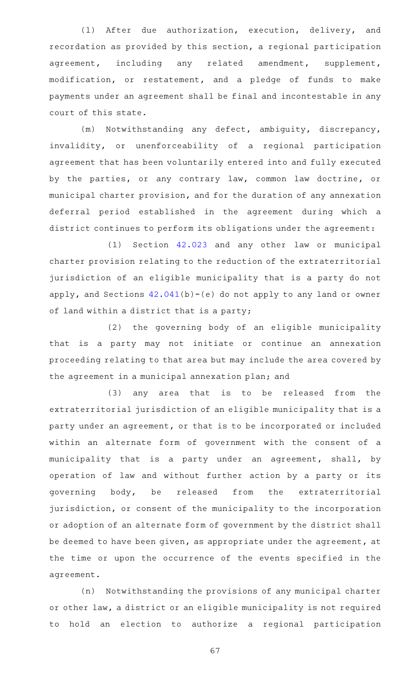(1) After due authorization, execution, delivery, and recordation as provided by this section, a regional participation agreement, including any related amendment, supplement, modification, or restatement, and a pledge of funds to make payments under an agreement shall be final and incontestable in any court of this state.

(m) Notwithstanding any defect, ambiguity, discrepancy, invalidity, or unenforceability of a regional participation agreement that has been voluntarily entered into and fully executed by the parties, or any contrary law, common law doctrine, or municipal charter provision, and for the duration of any annexation deferral period established in the agreement during which a district continues to perform its obligations under the agreement:

(1) Section [42.023](http://www.statutes.legis.state.tx.us/GetStatute.aspx?Code=LG&Value=42.023) and any other law or municipal charter provision relating to the reduction of the extraterritorial jurisdiction of an eligible municipality that is a party do not apply, and Sections  $42.041(b)-(e)$  $42.041(b)-(e)$  do not apply to any land or owner of land within a district that is a party;

(2) the governing body of an eligible municipality that is a party may not initiate or continue an annexation proceeding relating to that area but may include the area covered by the agreement in a municipal annexation plan; and

(3) any area that is to be released from the extraterritorial jurisdiction of an eligible municipality that is a party under an agreement, or that is to be incorporated or included within an alternate form of government with the consent of a municipality that is a party under an agreement, shall, by operation of law and without further action by a party or its governing body, be released from the extraterritorial jurisdiction, or consent of the municipality to the incorporation or adoption of an alternate form of government by the district shall be deemed to have been given, as appropriate under the agreement, at the time or upon the occurrence of the events specified in the agreement.

(n) Notwithstanding the provisions of any municipal charter or other law, a district or an eligible municipality is not required to hold an election to authorize a regional participation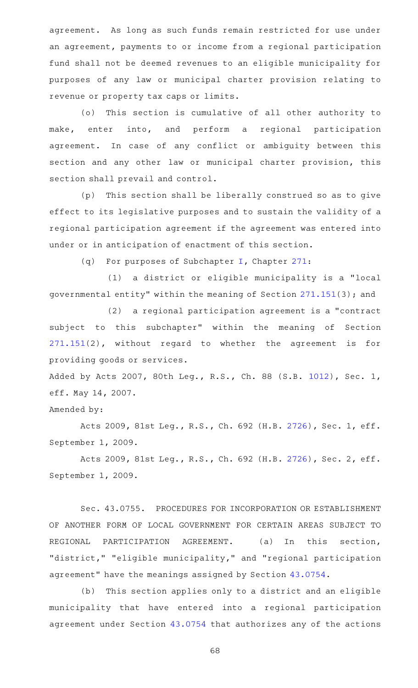agreement. As long as such funds remain restricted for use under an agreement, payments to or income from a regional participation fund shall not be deemed revenues to an eligible municipality for purposes of any law or municipal charter provision relating to revenue or property tax caps or limits.

(o) This section is cumulative of all other authority to make, enter into, and perform a regional participation agreement. In case of any conflict or ambiguity between this section and any other law or municipal charter provision, this section shall prevail and control.

(p) This section shall be liberally construed so as to give effect to its legislative purposes and to sustain the validity of a regional participation agreement if the agreement was entered into under or in anticipation of enactment of this section.

(q) For purposes of Subchapter [I](http://www.statutes.legis.state.tx.us/GetStatute.aspx?Code=LG&Value=271.151), Chapter [271:](http://www.statutes.legis.state.tx.us/GetStatute.aspx?Code=LG&Value=271)

(1) a district or eligible municipality is a "local governmental entity" within the meaning of Section [271.151](http://www.statutes.legis.state.tx.us/GetStatute.aspx?Code=LG&Value=271.151)(3); and

(2) a regional participation agreement is a "contract subject to this subchapter" within the meaning of Section [271.151\(](http://www.statutes.legis.state.tx.us/GetStatute.aspx?Code=LG&Value=271.151)2), without regard to whether the agreement is for providing goods or services.

Added by Acts 2007, 80th Leg., R.S., Ch. 88 (S.B. [1012](http://www.legis.state.tx.us/tlodocs/80R/billtext/html/SB01012F.HTM)), Sec. 1, eff. May 14, 2007.

## Amended by:

Acts 2009, 81st Leg., R.S., Ch. 692 (H.B. [2726](http://www.legis.state.tx.us/tlodocs/81R/billtext/html/HB02726F.HTM)), Sec. 1, eff. September 1, 2009.

Acts 2009, 81st Leg., R.S., Ch. 692 (H.B. [2726](http://www.legis.state.tx.us/tlodocs/81R/billtext/html/HB02726F.HTM)), Sec. 2, eff. September 1, 2009.

Sec. 43.0755. PROCEDURES FOR INCORPORATION OR ESTABLISHMENT OF ANOTHER FORM OF LOCAL GOVERNMENT FOR CERTAIN AREAS SUBJECT TO REGIONAL PARTICIPATION AGREEMENT. (a) In this section, "district," "eligible municipality," and "regional participation agreement" have the meanings assigned by Section [43.0754](http://www.statutes.legis.state.tx.us/GetStatute.aspx?Code=LG&Value=43.0754).

(b) This section applies only to a district and an eligible municipality that have entered into a regional participation agreement under Section [43.0754](http://www.statutes.legis.state.tx.us/GetStatute.aspx?Code=LG&Value=43.0754) that authorizes any of the actions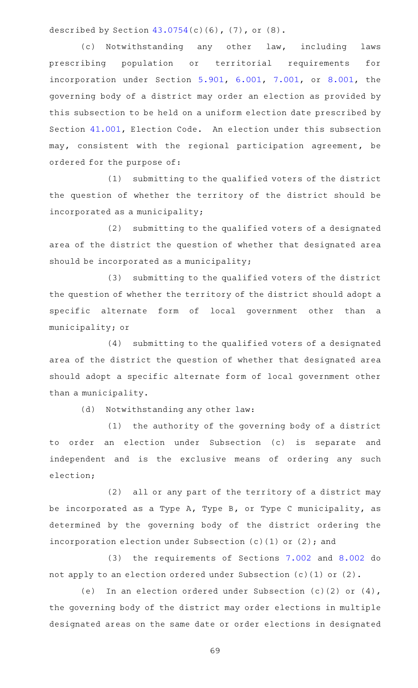described by Section  $43.0754(c)(6)$  $43.0754(c)(6)$ ,  $(7)$ , or  $(8)$ .

(c) Notwithstanding any other law, including laws prescribing population or territorial requirements for incorporation under Section [5.901,](http://www.statutes.legis.state.tx.us/GetStatute.aspx?Code=LG&Value=5.901) [6.001,](http://www.statutes.legis.state.tx.us/GetStatute.aspx?Code=LG&Value=6.001) [7.001,](http://www.statutes.legis.state.tx.us/GetStatute.aspx?Code=LG&Value=7.001) or [8.001,](http://www.statutes.legis.state.tx.us/GetStatute.aspx?Code=LG&Value=8.001) the governing body of a district may order an election as provided by this subsection to be held on a uniform election date prescribed by Section [41.001](http://www.statutes.legis.state.tx.us/GetStatute.aspx?Code=EL&Value=41.001), Election Code. An election under this subsection may, consistent with the regional participation agreement, be ordered for the purpose of:

(1) submitting to the qualified voters of the district the question of whether the territory of the district should be incorporated as a municipality;

(2) submitting to the qualified voters of a designated area of the district the question of whether that designated area should be incorporated as a municipality;

(3) submitting to the qualified voters of the district the question of whether the territory of the district should adopt a specific alternate form of local government other than a municipality; or

(4) submitting to the qualified voters of a designated area of the district the question of whether that designated area should adopt a specific alternate form of local government other than a municipality.

(d) Notwithstanding any other law:

(1) the authority of the governing body of a district to order an election under Subsection (c) is separate and independent and is the exclusive means of ordering any such election;

 $(2)$  all or any part of the territory of a district may be incorporated as a Type A, Type B, or Type C municipality, as determined by the governing body of the district ordering the incorporation election under Subsection (c)(1) or (2); and

(3) the requirements of Sections [7.002](http://www.statutes.legis.state.tx.us/GetStatute.aspx?Code=LG&Value=7.002) and [8.002](http://www.statutes.legis.state.tx.us/GetStatute.aspx?Code=LG&Value=8.002) do not apply to an election ordered under Subsection (c)(1) or (2).

(e) In an election ordered under Subsection (c)(2) or  $(4)$ , the governing body of the district may order elections in multiple designated areas on the same date or order elections in designated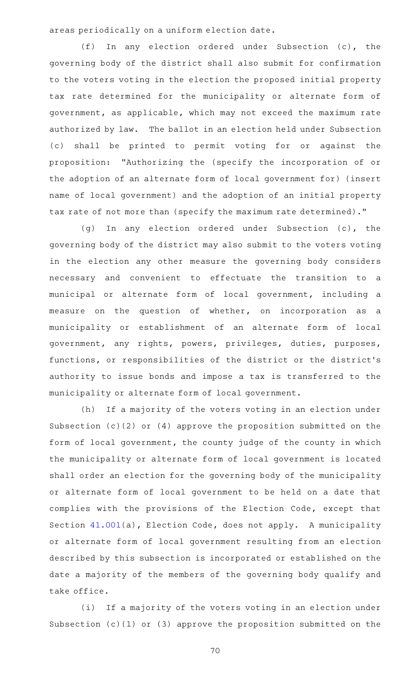areas periodically on a uniform election date.

 $(f)$  In any election ordered under Subsection (c), the governing body of the district shall also submit for confirmation to the voters voting in the election the proposed initial property tax rate determined for the municipality or alternate form of government, as applicable, which may not exceed the maximum rate authorized by law. The ballot in an election held under Subsection (c) shall be printed to permit voting for or against the proposition: "Authorizing the (specify the incorporation of or the adoption of an alternate form of local government for) (insert name of local government) and the adoption of an initial property tax rate of not more than (specify the maximum rate determined)."

(g) In any election ordered under Subsection (c), the governing body of the district may also submit to the voters voting in the election any other measure the governing body considers necessary and convenient to effectuate the transition to a municipal or alternate form of local government, including a measure on the question of whether, on incorporation as a municipality or establishment of an alternate form of local government, any rights, powers, privileges, duties, purposes, functions, or responsibilities of the district or the district 's authority to issue bonds and impose a tax is transferred to the municipality or alternate form of local government.

(h) If a majority of the voters voting in an election under Subsection (c)(2) or (4) approve the proposition submitted on the form of local government, the county judge of the county in which the municipality or alternate form of local government is located shall order an election for the governing body of the municipality or alternate form of local government to be held on a date that complies with the provisions of the Election Code, except that Section  $41.001(a)$  $41.001(a)$ , Election Code, does not apply. A municipality or alternate form of local government resulting from an election described by this subsection is incorporated or established on the date a majority of the members of the governing body qualify and take office.

(i) If a majority of the voters voting in an election under Subsection (c)(1) or (3) approve the proposition submitted on the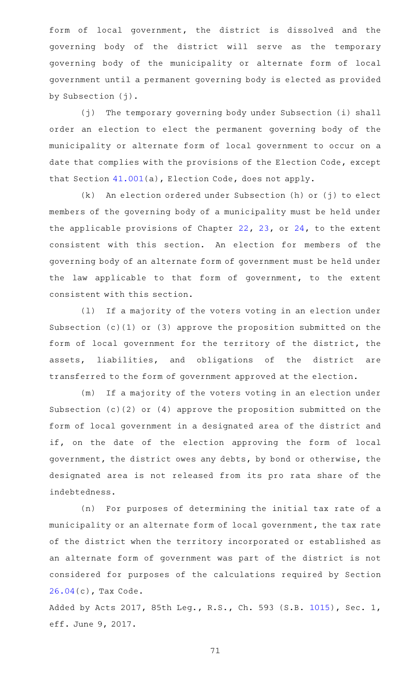form of local government, the district is dissolved and the governing body of the district will serve as the temporary governing body of the municipality or alternate form of local government until a permanent governing body is elected as provided by Subsection (j).

(j) The temporary governing body under Subsection (i) shall order an election to elect the permanent governing body of the municipality or alternate form of local government to occur on a date that complies with the provisions of the Election Code, except that Section [41.001](http://www.statutes.legis.state.tx.us/GetStatute.aspx?Code=EL&Value=41.001)(a), Election Code, does not apply.

 $(k)$  An election ordered under Subsection (h) or (j) to elect members of the governing body of a municipality must be held under the applicable provisions of Chapter [22](http://www.statutes.legis.state.tx.us/GetStatute.aspx?Code=LG&Value=22), [23](http://www.statutes.legis.state.tx.us/GetStatute.aspx?Code=LG&Value=23), or [24](http://www.statutes.legis.state.tx.us/GetStatute.aspx?Code=LG&Value=24), to the extent consistent with this section. An election for members of the governing body of an alternate form of government must be held under the law applicable to that form of government, to the extent consistent with this section.

(1) If a majority of the voters voting in an election under Subsection (c)(1) or (3) approve the proposition submitted on the form of local government for the territory of the district, the assets, liabilities, and obligations of the district are transferred to the form of government approved at the election.

(m) If a majority of the voters voting in an election under Subsection (c)(2) or (4) approve the proposition submitted on the form of local government in a designated area of the district and if, on the date of the election approving the form of local government, the district owes any debts, by bond or otherwise, the designated area is not released from its pro rata share of the indebtedness.

(n) For purposes of determining the initial tax rate of a municipality or an alternate form of local government, the tax rate of the district when the territory incorporated or established as an alternate form of government was part of the district is not considered for purposes of the calculations required by Section [26.04\(](http://www.statutes.legis.state.tx.us/GetStatute.aspx?Code=TX&Value=26.04)c), Tax Code.

Added by Acts 2017, 85th Leg., R.S., Ch. 593 (S.B. [1015](http://www.legis.state.tx.us/tlodocs/85R/billtext/html/SB01015F.HTM)), Sec. 1, eff. June 9, 2017.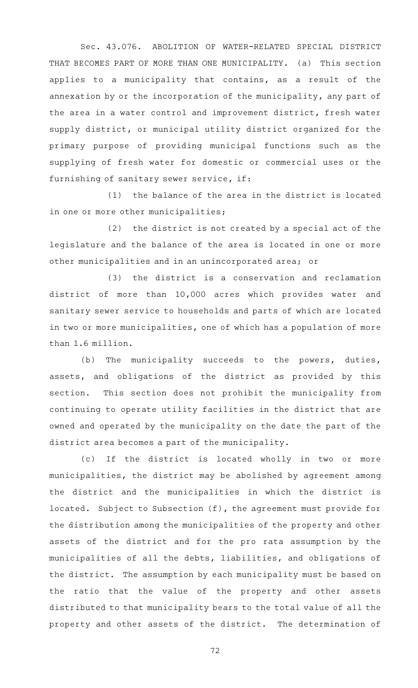Sec. 43.076. ABOLITION OF WATER-RELATED SPECIAL DISTRICT THAT BECOMES PART OF MORE THAN ONE MUNICIPALITY. (a) This section applies to a municipality that contains, as a result of the annexation by or the incorporation of the municipality, any part of the area in a water control and improvement district, fresh water supply district, or municipal utility district organized for the primary purpose of providing municipal functions such as the supplying of fresh water for domestic or commercial uses or the furnishing of sanitary sewer service, if:

 $(1)$  the balance of the area in the district is located in one or more other municipalities;

 $(2)$  the district is not created by a special act of the legislature and the balance of the area is located in one or more other municipalities and in an unincorporated area; or

(3) the district is a conservation and reclamation district of more than 10,000 acres which provides water and sanitary sewer service to households and parts of which are located in two or more municipalities, one of which has a population of more than 1.6 million.

(b) The municipality succeeds to the powers, duties, assets, and obligations of the district as provided by this section. This section does not prohibit the municipality from continuing to operate utility facilities in the district that are owned and operated by the municipality on the date the part of the district area becomes a part of the municipality.

(c) If the district is located wholly in two or more municipalities, the district may be abolished by agreement among the district and the municipalities in which the district is located. Subject to Subsection (f), the agreement must provide for the distribution among the municipalities of the property and other assets of the district and for the pro rata assumption by the municipalities of all the debts, liabilities, and obligations of the district. The assumption by each municipality must be based on the ratio that the value of the property and other assets distributed to that municipality bears to the total value of all the property and other assets of the district. The determination of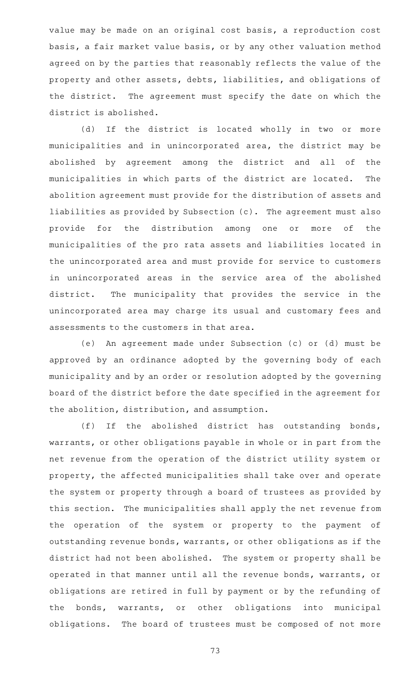value may be made on an original cost basis, a reproduction cost basis, a fair market value basis, or by any other valuation method agreed on by the parties that reasonably reflects the value of the property and other assets, debts, liabilities, and obligations of the district. The agreement must specify the date on which the district is abolished.

(d) If the district is located wholly in two or more municipalities and in unincorporated area, the district may be abolished by agreement among the district and all of the municipalities in which parts of the district are located. The abolition agreement must provide for the distribution of assets and liabilities as provided by Subsection (c). The agreement must also provide for the distribution among one or more of the municipalities of the pro rata assets and liabilities located in the unincorporated area and must provide for service to customers in unincorporated areas in the service area of the abolished district. The municipality that provides the service in the unincorporated area may charge its usual and customary fees and assessments to the customers in that area.

(e) An agreement made under Subsection (c) or (d) must be approved by an ordinance adopted by the governing body of each municipality and by an order or resolution adopted by the governing board of the district before the date specified in the agreement for the abolition, distribution, and assumption.

(f) If the abolished district has outstanding bonds, warrants, or other obligations payable in whole or in part from the net revenue from the operation of the district utility system or property, the affected municipalities shall take over and operate the system or property through a board of trustees as provided by this section. The municipalities shall apply the net revenue from the operation of the system or property to the payment of outstanding revenue bonds, warrants, or other obligations as if the district had not been abolished. The system or property shall be operated in that manner until all the revenue bonds, warrants, or obligations are retired in full by payment or by the refunding of the bonds, warrants, or other obligations into municipal obligations. The board of trustees must be composed of not more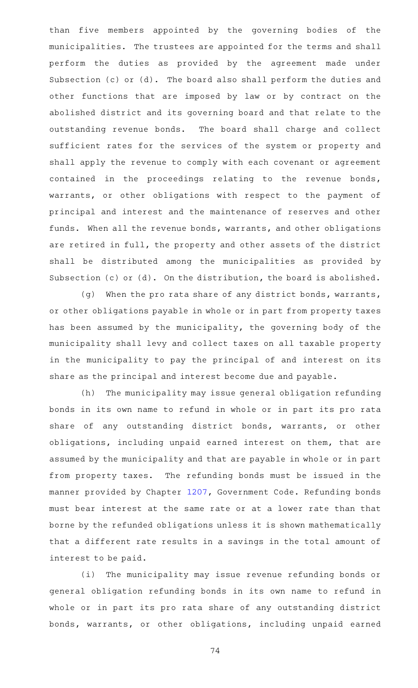than five members appointed by the governing bodies of the municipalities. The trustees are appointed for the terms and shall perform the duties as provided by the agreement made under Subsection (c) or (d). The board also shall perform the duties and other functions that are imposed by law or by contract on the abolished district and its governing board and that relate to the outstanding revenue bonds. The board shall charge and collect sufficient rates for the services of the system or property and shall apply the revenue to comply with each covenant or agreement contained in the proceedings relating to the revenue bonds, warrants, or other obligations with respect to the payment of principal and interest and the maintenance of reserves and other funds. When all the revenue bonds, warrants, and other obligations are retired in full, the property and other assets of the district shall be distributed among the municipalities as provided by Subsection (c) or (d). On the distribution, the board is abolished.

(g) When the pro rata share of any district bonds, warrants, or other obligations payable in whole or in part from property taxes has been assumed by the municipality, the governing body of the municipality shall levy and collect taxes on all taxable property in the municipality to pay the principal of and interest on its share as the principal and interest become due and payable.

(h) The municipality may issue general obligation refunding bonds in its own name to refund in whole or in part its pro rata share of any outstanding district bonds, warrants, or other obligations, including unpaid earned interest on them, that are assumed by the municipality and that are payable in whole or in part from property taxes. The refunding bonds must be issued in the manner provided by Chapter [1207,](http://www.statutes.legis.state.tx.us/GetStatute.aspx?Code=GV&Value=1207) Government Code. Refunding bonds must bear interest at the same rate or at a lower rate than that borne by the refunded obligations unless it is shown mathematically that a different rate results in a savings in the total amount of interest to be paid.

(i) The municipality may issue revenue refunding bonds or general obligation refunding bonds in its own name to refund in whole or in part its pro rata share of any outstanding district bonds, warrants, or other obligations, including unpaid earned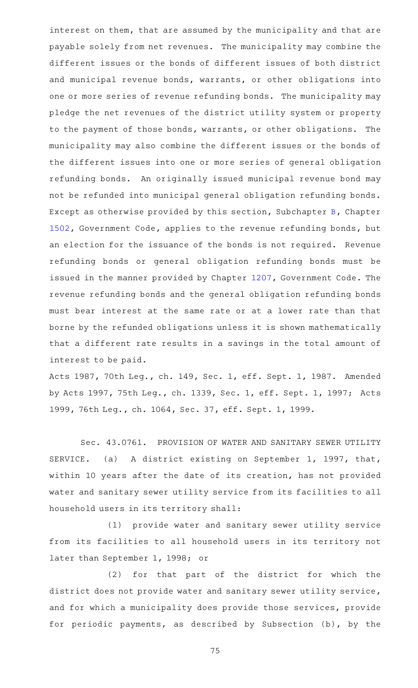interest on them, that are assumed by the municipality and that are payable solely from net revenues. The municipality may combine the different issues or the bonds of different issues of both district and municipal revenue bonds, warrants, or other obligations into one or more series of revenue refunding bonds. The municipality may pledge the net revenues of the district utility system or property to the payment of those bonds, warrants, or other obligations. The municipality may also combine the different issues or the bonds of the different issues into one or more series of general obligation refunding bonds. An originally issued municipal revenue bond may not be refunded into municipal general obligation refunding bonds. Except as otherwise provided by this section, Subchapter [B](http://www.statutes.legis.state.tx.us/GetStatute.aspx?Code=GV&Value=1502.051), Chapter [1502](http://www.statutes.legis.state.tx.us/GetStatute.aspx?Code=GV&Value=1502), Government Code, applies to the revenue refunding bonds, but an election for the issuance of the bonds is not required. Revenue refunding bonds or general obligation refunding bonds must be issued in the manner provided by Chapter [1207,](http://www.statutes.legis.state.tx.us/GetStatute.aspx?Code=GV&Value=1207) Government Code. The revenue refunding bonds and the general obligation refunding bonds must bear interest at the same rate or at a lower rate than that borne by the refunded obligations unless it is shown mathematically that a different rate results in a savings in the total amount of interest to be paid.

Acts 1987, 70th Leg., ch. 149, Sec. 1, eff. Sept. 1, 1987. Amended by Acts 1997, 75th Leg., ch. 1339, Sec. 1, eff. Sept. 1, 1997; Acts 1999, 76th Leg., ch. 1064, Sec. 37, eff. Sept. 1, 1999.

Sec. 43.0761. PROVISION OF WATER AND SANITARY SEWER UTILITY SERVICE. (a) A district existing on September 1, 1997, that, within 10 years after the date of its creation, has not provided water and sanitary sewer utility service from its facilities to all household users in its territory shall:

(1) provide water and sanitary sewer utility service from its facilities to all household users in its territory not later than September 1, 1998; or

(2) for that part of the district for which the district does not provide water and sanitary sewer utility service, and for which a municipality does provide those services, provide for periodic payments, as described by Subsection (b), by the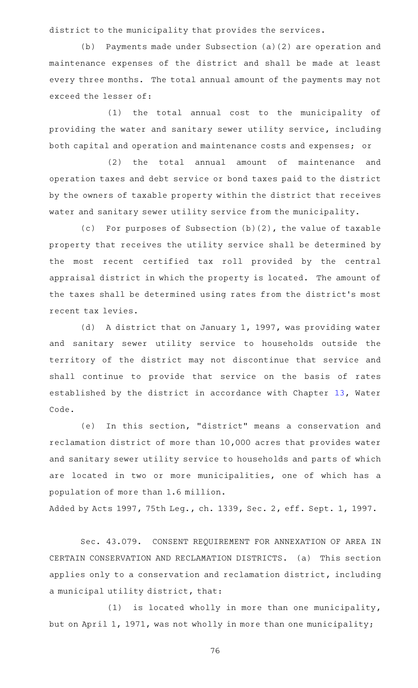district to the municipality that provides the services.

(b) Payments made under Subsection  $(a)(2)$  are operation and maintenance expenses of the district and shall be made at least every three months. The total annual amount of the payments may not exceed the lesser of:

(1) the total annual cost to the municipality of providing the water and sanitary sewer utility service, including both capital and operation and maintenance costs and expenses; or

(2) the total annual amount of maintenance and operation taxes and debt service or bond taxes paid to the district by the owners of taxable property within the district that receives water and sanitary sewer utility service from the municipality.

(c) For purposes of Subsection  $(b)(2)$ , the value of taxable property that receives the utility service shall be determined by the most recent certified tax roll provided by the central appraisal district in which the property is located. The amount of the taxes shall be determined using rates from the district 's most recent tax levies.

(d) A district that on January 1, 1997, was providing water and sanitary sewer utility service to households outside the territory of the district may not discontinue that service and shall continue to provide that service on the basis of rates established by the district in accordance with Chapter [13,](http://www.statutes.legis.state.tx.us/GetStatute.aspx?Code=WA&Value=13) Water Code.

(e) In this section, "district" means a conservation and reclamation district of more than 10,000 acres that provides water and sanitary sewer utility service to households and parts of which are located in two or more municipalities, one of which has a population of more than 1.6 million.

Added by Acts 1997, 75th Leg., ch. 1339, Sec. 2, eff. Sept. 1, 1997.

Sec. 43.079. CONSENT REQUIREMENT FOR ANNEXATION OF AREA IN CERTAIN CONSERVATION AND RECLAMATION DISTRICTS. (a) This section applies only to a conservation and reclamation district, including a municipal utility district, that:

 $(1)$  is located wholly in more than one municipality, but on April 1, 1971, was not wholly in more than one municipality;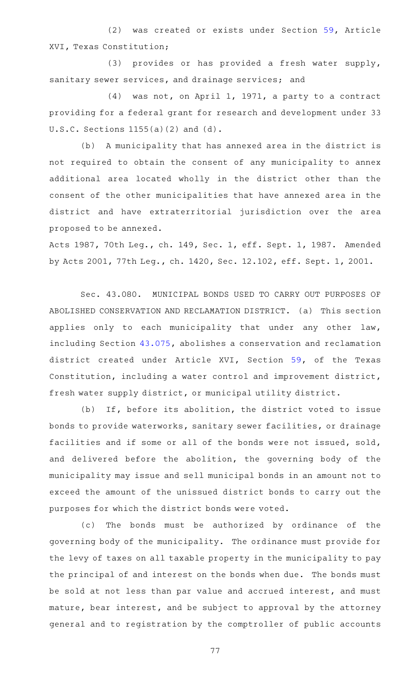(2) was created or exists under Section [59,](http://www.statutes.legis.state.tx.us/GetStatute.aspx?Code=CN&Value=16.59) Article XVI, Texas Constitution;

(3) provides or has provided a fresh water supply, sanitary sewer services, and drainage services; and

(4) was not, on April 1, 1971, a party to a contract providing for a federal grant for research and development under 33 U.S.C. Sections 1155(a)(2) and (d).

(b) A municipality that has annexed area in the district is not required to obtain the consent of any municipality to annex additional area located wholly in the district other than the consent of the other municipalities that have annexed area in the district and have extraterritorial jurisdiction over the area proposed to be annexed.

Acts 1987, 70th Leg., ch. 149, Sec. 1, eff. Sept. 1, 1987. Amended by Acts 2001, 77th Leg., ch. 1420, Sec. 12.102, eff. Sept. 1, 2001.

Sec. 43.080. MUNICIPAL BONDS USED TO CARRY OUT PURPOSES OF ABOLISHED CONSERVATION AND RECLAMATION DISTRICT. (a) This section applies only to each municipality that under any other law, including Section [43.075,](http://www.statutes.legis.state.tx.us/GetStatute.aspx?Code=LG&Value=43.075) abolishes a conservation and reclamation district created under Article XVI, Section [59](http://www.statutes.legis.state.tx.us/GetStatute.aspx?Code=CN&Value=16.59), of the Texas Constitution, including a water control and improvement district, fresh water supply district, or municipal utility district.

(b) If, before its abolition, the district voted to issue bonds to provide waterworks, sanitary sewer facilities, or drainage facilities and if some or all of the bonds were not issued, sold, and delivered before the abolition, the governing body of the municipality may issue and sell municipal bonds in an amount not to exceed the amount of the unissued district bonds to carry out the purposes for which the district bonds were voted.

(c) The bonds must be authorized by ordinance of the governing body of the municipality. The ordinance must provide for the levy of taxes on all taxable property in the municipality to pay the principal of and interest on the bonds when due. The bonds must be sold at not less than par value and accrued interest, and must mature, bear interest, and be subject to approval by the attorney general and to registration by the comptroller of public accounts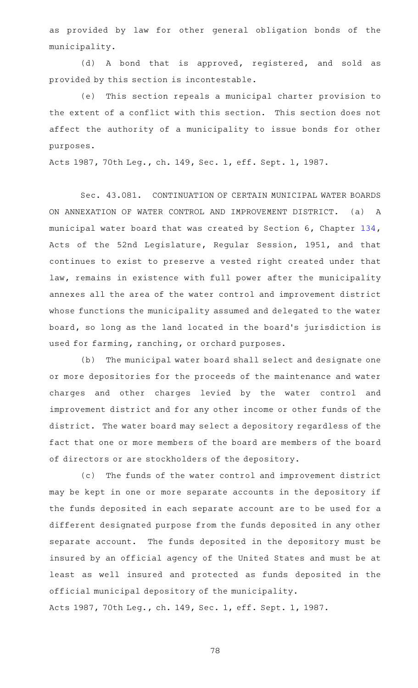as provided by law for other general obligation bonds of the municipality.

(d)AAA bond that is approved, registered, and sold as provided by this section is incontestable.

(e) This section repeals a municipal charter provision to the extent of a conflict with this section. This section does not affect the authority of a municipality to issue bonds for other purposes.

Acts 1987, 70th Leg., ch. 149, Sec. 1, eff. Sept. 1, 1987.

Sec. 43.081. CONTINUATION OF CERTAIN MUNICIPAL WATER BOARDS ON ANNEXATION OF WATER CONTROL AND IMPROVEMENT DISTRICT. (a) A municipal water board that was created by Section 6, Chapter [134](http://www.statutes.legis.state.tx.us/GetStatute.aspx?Code=LG&Value=134), Acts of the 52nd Legislature, Regular Session, 1951, and that continues to exist to preserve a vested right created under that law, remains in existence with full power after the municipality annexes all the area of the water control and improvement district whose functions the municipality assumed and delegated to the water board, so long as the land located in the board's jurisdiction is used for farming, ranching, or orchard purposes.

(b) The municipal water board shall select and designate one or more depositories for the proceeds of the maintenance and water charges and other charges levied by the water control and improvement district and for any other income or other funds of the district. The water board may select a depository regardless of the fact that one or more members of the board are members of the board of directors or are stockholders of the depository.

(c) The funds of the water control and improvement district may be kept in one or more separate accounts in the depository if the funds deposited in each separate account are to be used for a different designated purpose from the funds deposited in any other separate account. The funds deposited in the depository must be insured by an official agency of the United States and must be at least as well insured and protected as funds deposited in the official municipal depository of the municipality. Acts 1987, 70th Leg., ch. 149, Sec. 1, eff. Sept. 1, 1987.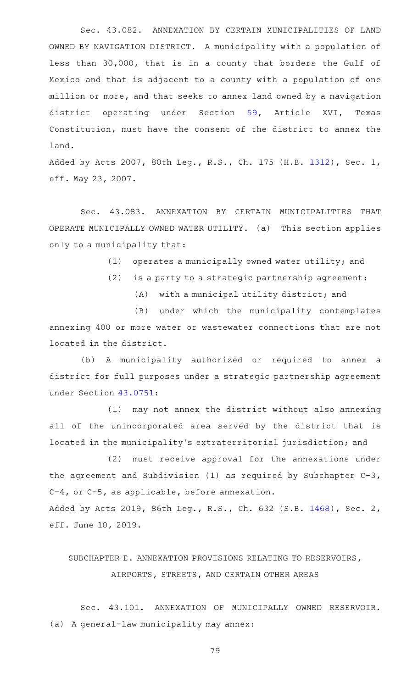Sec. 43.082. ANNEXATION BY CERTAIN MUNICIPALITIES OF LAND OWNED BY NAVIGATION DISTRICT. A municipality with a population of less than 30,000, that is in a county that borders the Gulf of Mexico and that is adjacent to a county with a population of one million or more, and that seeks to annex land owned by a navigation district operating under Section [59,](http://www.statutes.legis.state.tx.us/GetStatute.aspx?Code=CN&Value=16.59) Article XVI, Texas Constitution, must have the consent of the district to annex the land.

Added by Acts 2007, 80th Leg., R.S., Ch. 175 (H.B. [1312](http://www.legis.state.tx.us/tlodocs/80R/billtext/html/HB01312F.HTM)), Sec. 1, eff. May 23, 2007.

Sec. 43.083. ANNEXATION BY CERTAIN MUNICIPALITIES THAT OPERATE MUNICIPALLY OWNED WATER UTILITY. (a) This section applies only to a municipality that:

 $(1)$  operates a municipally owned water utility; and

- $(2)$  is a party to a strategic partnership agreement:
	- (A) with a municipal utility district; and

(B) under which the municipality contemplates annexing 400 or more water or wastewater connections that are not located in the district.

(b) A municipality authorized or required to annex a district for full purposes under a strategic partnership agreement under Section [43.0751](http://www.statutes.legis.state.tx.us/GetStatute.aspx?Code=LG&Value=43.0751):

 $(1)$  may not annex the district without also annexing all of the unincorporated area served by the district that is located in the municipality 's extraterritorial jurisdiction; and

(2) must receive approval for the annexations under the agreement and Subdivision (1) as required by Subchapter C-3, C-4, or C-5, as applicable, before annexation.

Added by Acts 2019, 86th Leg., R.S., Ch. 632 (S.B. [1468](http://www.legis.state.tx.us/tlodocs/86R/billtext/html/SB01468F.HTM)), Sec. 2, eff. June 10, 2019.

## SUBCHAPTER E. ANNEXATION PROVISIONS RELATING TO RESERVOIRS, AIRPORTS, STREETS, AND CERTAIN OTHER AREAS

Sec. 43.101. ANNEXATION OF MUNICIPALLY OWNED RESERVOIR. (a) A general-law municipality may annex: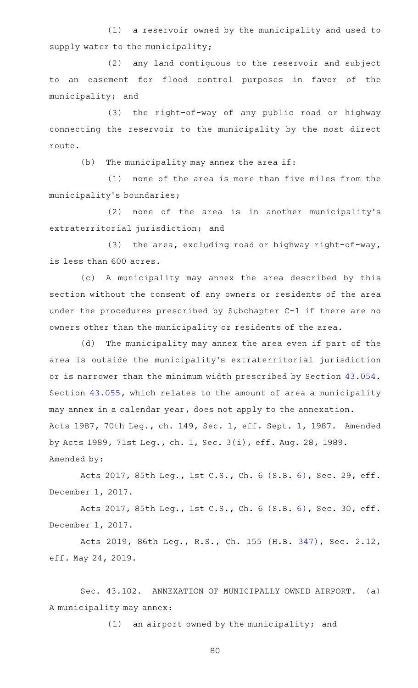(1) a reservoir owned by the municipality and used to supply water to the municipality;

(2) any land contiguous to the reservoir and subject to an easement for flood control purposes in favor of the municipality; and

(3) the right-of-way of any public road or highway connecting the reservoir to the municipality by the most direct route.

 $(b)$  The municipality may annex the area if:

 $(1)$  none of the area is more than five miles from the municipality 's boundaries;

(2) none of the area is in another municipality's extraterritorial jurisdiction; and

(3) the area, excluding road or highway right-of-way, is less than 600 acres.

(c)AAA municipality may annex the area described by this section without the consent of any owners or residents of the area under the procedures prescribed by Subchapter C-1 if there are no owners other than the municipality or residents of the area.

(d) The municipality may annex the area even if part of the area is outside the municipality 's extraterritorial jurisdiction or is narrower than the minimum width prescribed by Section [43.054](http://www.statutes.legis.state.tx.us/GetStatute.aspx?Code=LG&Value=43.054). Section [43.055](http://www.statutes.legis.state.tx.us/GetStatute.aspx?Code=LG&Value=43.055), which relates to the amount of area a municipality may annex in a calendar year, does not apply to the annexation. Acts 1987, 70th Leg., ch. 149, Sec. 1, eff. Sept. 1, 1987. Amended by Acts 1989, 71st Leg., ch. 1, Sec. 3(i), eff. Aug. 28, 1989. Amended by:

Acts 2017, 85th Leg., 1st C.S., Ch. 6 (S.B. [6](http://www.legis.state.tx.us/tlodocs/851/billtext/html/SB00006F.HTM)), Sec. 29, eff. December 1, 2017.

Acts 2017, 85th Leg., 1st C.S., Ch. 6 (S.B. [6](http://www.legis.state.tx.us/tlodocs/851/billtext/html/SB00006F.HTM)), Sec. 30, eff. December 1, 2017.

Acts 2019, 86th Leg., R.S., Ch. 155 (H.B. [347](http://www.legis.state.tx.us/tlodocs/86R/billtext/html/HB00347F.HTM)), Sec. 2.12, eff. May 24, 2019.

Sec. 43.102. ANNEXATION OF MUNICIPALLY OWNED AIRPORT. (a) A municipality may annex:

 $(1)$  an airport owned by the municipality; and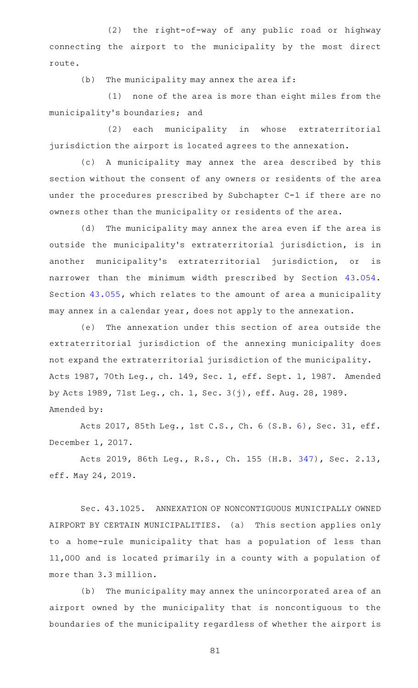(2) the right-of-way of any public road or highway connecting the airport to the municipality by the most direct route.

 $(b)$  The municipality may annex the area if:

 $(1)$  none of the area is more than eight miles from the municipality 's boundaries; and

(2) each municipality in whose extraterritorial jurisdiction the airport is located agrees to the annexation.

(c) A municipality may annex the area described by this section without the consent of any owners or residents of the area under the procedures prescribed by Subchapter C-1 if there are no owners other than the municipality or residents of the area.

(d) The municipality may annex the area even if the area is outside the municipality's extraterritorial jurisdiction, is in another municipality's extraterritorial jurisdiction, or is narrower than the minimum width prescribed by Section [43.054](http://www.statutes.legis.state.tx.us/GetStatute.aspx?Code=LG&Value=43.054). Section [43.055](http://www.statutes.legis.state.tx.us/GetStatute.aspx?Code=LG&Value=43.055), which relates to the amount of area a municipality may annex in a calendar year, does not apply to the annexation.

(e) The annexation under this section of area outside the extraterritorial jurisdiction of the annexing municipality does not expand the extraterritorial jurisdiction of the municipality. Acts 1987, 70th Leg., ch. 149, Sec. 1, eff. Sept. 1, 1987. Amended by Acts 1989, 71st Leg., ch. 1, Sec. 3(j), eff. Aug. 28, 1989. Amended by:

Acts 2017, 85th Leg., 1st C.S., Ch. 6 (S.B. [6](http://www.legis.state.tx.us/tlodocs/851/billtext/html/SB00006F.HTM)), Sec. 31, eff. December 1, 2017.

Acts 2019, 86th Leg., R.S., Ch. 155 (H.B. [347](http://www.legis.state.tx.us/tlodocs/86R/billtext/html/HB00347F.HTM)), Sec. 2.13, eff. May 24, 2019.

Sec. 43.1025. ANNEXATION OF NONCONTIGUOUS MUNICIPALLY OWNED AIRPORT BY CERTAIN MUNICIPALITIES. (a) This section applies only to a home-rule municipality that has a population of less than 11,000 and is located primarily in a county with a population of more than 3.3 million.

(b) The municipality may annex the unincorporated area of an airport owned by the municipality that is noncontiguous to the boundaries of the municipality regardless of whether the airport is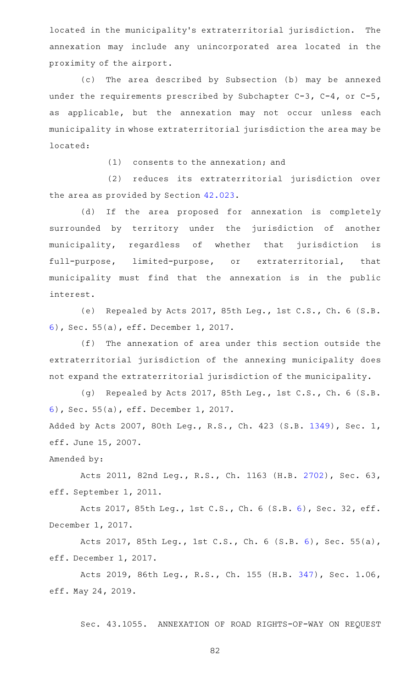located in the municipality's extraterritorial jurisdiction. The annexation may include any unincorporated area located in the proximity of the airport.

(c) The area described by Subsection (b) may be annexed under the requirements prescribed by Subchapter C-3, C-4, or C-5, as applicable, but the annexation may not occur unless each municipality in whose extraterritorial jurisdiction the area may be located:

 $(1)$  consents to the annexation; and

(2) reduces its extraterritorial jurisdiction over the area as provided by Section [42.023.](http://www.statutes.legis.state.tx.us/GetStatute.aspx?Code=LG&Value=42.023)

(d) If the area proposed for annexation is completely surrounded by territory under the jurisdiction of another municipality, regardless of whether that jurisdiction is full-purpose, limited-purpose, or extraterritorial, that municipality must find that the annexation is in the public interest.

(e) Repealed by Acts 2017, 85th Leg., 1st C.S., Ch. 6 (S.B. [6\)](http://www.legis.state.tx.us/tlodocs/851/billtext/html/SB00006F.HTM), Sec. 55(a), eff. December 1, 2017.

 $(f)$  The annexation of area under this section outside the extraterritorial jurisdiction of the annexing municipality does not expand the extraterritorial jurisdiction of the municipality.

(g) Repealed by Acts 2017, 85th Leg., 1st C.S., Ch. 6 (S.B. [6\)](http://www.legis.state.tx.us/tlodocs/851/billtext/html/SB00006F.HTM), Sec. 55(a), eff. December 1, 2017.

Added by Acts 2007, 80th Leg., R.S., Ch. 423 (S.B. [1349](http://www.legis.state.tx.us/tlodocs/80R/billtext/html/SB01349F.HTM)), Sec. 1, eff. June 15, 2007.

Amended by:

Acts 2011, 82nd Leg., R.S., Ch. 1163 (H.B. [2702](http://www.legis.state.tx.us/tlodocs/82R/billtext/html/HB02702F.HTM)), Sec. 63, eff. September 1, 2011.

Acts 2017, 85th Leg., 1st C.S., Ch. 6 (S.B. [6](http://www.legis.state.tx.us/tlodocs/851/billtext/html/SB00006F.HTM)), Sec. 32, eff. December 1, 2017.

Acts 2017, 85th Leg., 1st C.S., Ch. 6 (S.B. [6](http://www.legis.state.tx.us/tlodocs/851/billtext/html/SB00006F.HTM)), Sec. 55(a), eff. December 1, 2017.

Acts 2019, 86th Leg., R.S., Ch. 155 (H.B. [347](http://www.legis.state.tx.us/tlodocs/86R/billtext/html/HB00347F.HTM)), Sec. 1.06, eff. May 24, 2019.

Sec. 43.1055. ANNEXATION OF ROAD RIGHTS-OF-WAY ON REQUEST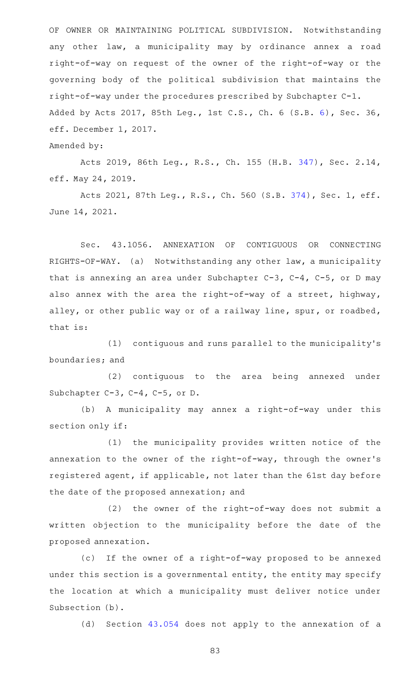OF OWNER OR MAINTAINING POLITICAL SUBDIVISION. Notwithstanding any other law, a municipality may by ordinance annex a road right-of-way on request of the owner of the right-of-way or the governing body of the political subdivision that maintains the right-of-way under the procedures prescribed by Subchapter C-1. Added by Acts 2017, 85th Leg., 1st C.S., Ch. 6 (S.B. [6\)](http://www.legis.state.tx.us/tlodocs/851/billtext/html/SB00006F.HTM), Sec. 36, eff. December 1, 2017.

Amended by:

Acts 2019, 86th Leg., R.S., Ch. 155 (H.B. [347](http://www.legis.state.tx.us/tlodocs/86R/billtext/html/HB00347F.HTM)), Sec. 2.14, eff. May 24, 2019.

Acts 2021, 87th Leg., R.S., Ch. 560 (S.B. [374](http://www.legis.state.tx.us/tlodocs/87R/billtext/html/SB00374F.HTM)), Sec. 1, eff. June 14, 2021.

Sec. 43.1056. ANNEXATION OF CONTIGUOUS OR CONNECTING RIGHTS-OF-WAY. (a) Notwithstanding any other law, a municipality that is annexing an area under Subchapter C-3, C-4, C-5, or D may also annex with the area the right-of-way of a street, highway, alley, or other public way or of a railway line, spur, or roadbed, that is:

 $(1)$  contiguous and runs parallel to the municipality's boundaries; and

(2) contiguous to the area being annexed under Subchapter C-3, C-4, C-5, or D.

(b) A municipality may annex a right-of-way under this section only if:

(1) the municipality provides written notice of the annexation to the owner of the right-of-way, through the owner 's registered agent, if applicable, not later than the 61st day before the date of the proposed annexation; and

 $(2)$  the owner of the right-of-way does not submit a written objection to the municipality before the date of the proposed annexation.

(c) If the owner of a right-of-way proposed to be annexed under this section is a governmental entity, the entity may specify the location at which a municipality must deliver notice under Subsection (b).

(d) Section [43.054](http://www.statutes.legis.state.tx.us/GetStatute.aspx?Code=LG&Value=43.054) does not apply to the annexation of a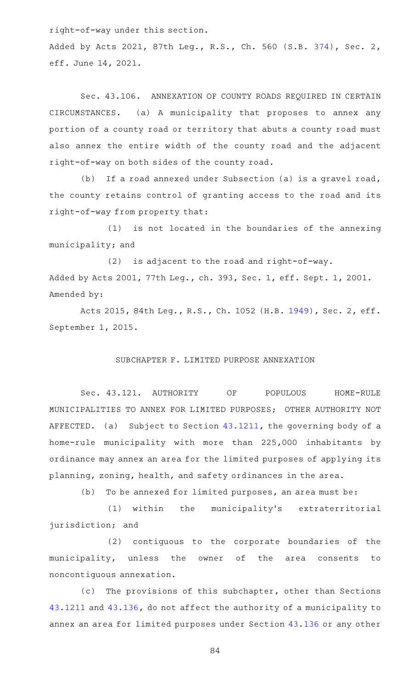right-of-way under this section.

Added by Acts 2021, 87th Leg., R.S., Ch. 560 (S.B. [374](http://www.legis.state.tx.us/tlodocs/87R/billtext/html/SB00374F.HTM)), Sec. 2, eff. June 14, 2021.

Sec. 43.106. ANNEXATION OF COUNTY ROADS REQUIRED IN CERTAIN CIRCUMSTANCES. (a) A municipality that proposes to annex any portion of a county road or territory that abuts a county road must also annex the entire width of the county road and the adjacent right-of-way on both sides of the county road.

(b) If a road annexed under Subsection (a) is a gravel road, the county retains control of granting access to the road and its right-of-way from property that:

(1) is not located in the boundaries of the annexing municipality; and

 $(2)$  is adjacent to the road and right-of-way. Added by Acts 2001, 77th Leg., ch. 393, Sec. 1, eff. Sept. 1, 2001. Amended by:

Acts 2015, 84th Leg., R.S., Ch. 1052 (H.B. [1949](http://www.legis.state.tx.us/tlodocs/84R/billtext/html/HB01949F.HTM)), Sec. 2, eff. September 1, 2015.

## SUBCHAPTER F. LIMITED PURPOSE ANNEXATION

Sec. 43.121. AUTHORITY OF POPULOUS HOME-RULE MUNICIPALITIES TO ANNEX FOR LIMITED PURPOSES; OTHER AUTHORITY NOT AFFECTED. (a) Subject to Section  $43.1211$ , the governing body of a home-rule municipality with more than 225,000 inhabitants by ordinance may annex an area for the limited purposes of applying its planning, zoning, health, and safety ordinances in the area.

 $(b)$  To be annexed for limited purposes, an area must be:

(1) within the municipality's extraterritorial jurisdiction; and

(2) contiguous to the corporate boundaries of the municipality, unless the owner of the area consents to noncontiguous annexation.

(c) The provisions of this subchapter, other than Sections [43.1211](http://www.statutes.legis.state.tx.us/GetStatute.aspx?Code=LG&Value=43.1211) and [43.136,](http://www.statutes.legis.state.tx.us/GetStatute.aspx?Code=LG&Value=43.136) do not affect the authority of a municipality to annex an area for limited purposes under Section [43.136](http://www.statutes.legis.state.tx.us/GetStatute.aspx?Code=LG&Value=43.136) or any other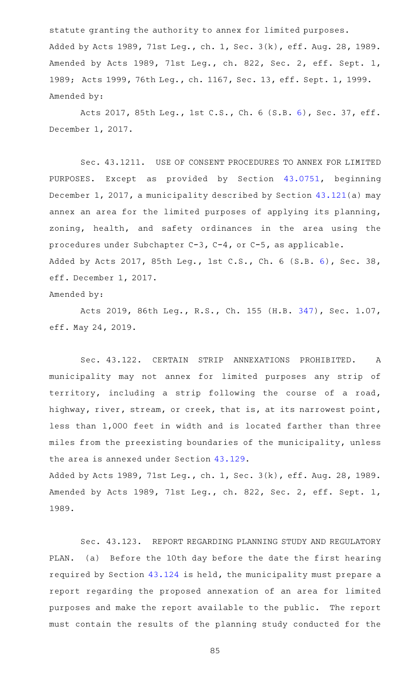statute granting the authority to annex for limited purposes. Added by Acts 1989, 71st Leg., ch. 1, Sec. 3(k), eff. Aug. 28, 1989. Amended by Acts 1989, 71st Leg., ch. 822, Sec. 2, eff. Sept. 1, 1989; Acts 1999, 76th Leg., ch. 1167, Sec. 13, eff. Sept. 1, 1999. Amended by:

Acts 2017, 85th Leg., 1st C.S., Ch. 6 (S.B. [6](http://www.legis.state.tx.us/tlodocs/851/billtext/html/SB00006F.HTM)), Sec. 37, eff. December 1, 2017.

Sec. 43.1211. USE OF CONSENT PROCEDURES TO ANNEX FOR LIMITED PURPOSES. Except as provided by Section [43.0751](http://www.statutes.legis.state.tx.us/GetStatute.aspx?Code=LG&Value=43.0751), beginning December 1, 2017, a municipality described by Section [43.121](http://www.statutes.legis.state.tx.us/GetStatute.aspx?Code=LG&Value=43.121)(a) may annex an area for the limited purposes of applying its planning, zoning, health, and safety ordinances in the area using the procedures under Subchapter C-3, C-4, or C-5, as applicable. Added by Acts 2017, 85th Leg., 1st C.S., Ch. 6 (S.B. [6\)](http://www.legis.state.tx.us/tlodocs/851/billtext/html/SB00006F.HTM), Sec. 38, eff. December 1, 2017.

Amended by:

Acts 2019, 86th Leg., R.S., Ch. 155 (H.B. [347](http://www.legis.state.tx.us/tlodocs/86R/billtext/html/HB00347F.HTM)), Sec. 1.07, eff. May 24, 2019.

Sec. 43.122. CERTAIN STRIP ANNEXATIONS PROHIBITED. A municipality may not annex for limited purposes any strip of territory, including a strip following the course of a road, highway, river, stream, or creek, that is, at its narrowest point, less than 1,000 feet in width and is located farther than three miles from the preexisting boundaries of the municipality, unless the area is annexed under Section [43.129.](http://www.statutes.legis.state.tx.us/GetStatute.aspx?Code=LG&Value=43.129)

Added by Acts 1989, 71st Leg., ch. 1, Sec. 3(k), eff. Aug. 28, 1989. Amended by Acts 1989, 71st Leg., ch. 822, Sec. 2, eff. Sept. 1, 1989.

Sec. 43.123. REPORT REGARDING PLANNING STUDY AND REGULATORY PLAN. (a) Before the 10th day before the date the first hearing required by Section [43.124](http://www.statutes.legis.state.tx.us/GetStatute.aspx?Code=LG&Value=43.124) is held, the municipality must prepare a report regarding the proposed annexation of an area for limited purposes and make the report available to the public. The report must contain the results of the planning study conducted for the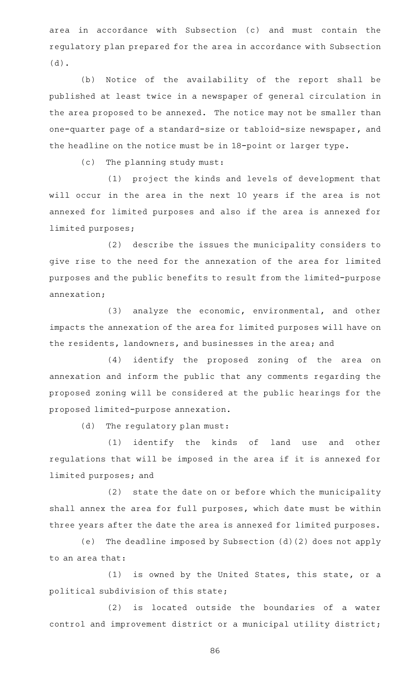area in accordance with Subsection (c) and must contain the regulatory plan prepared for the area in accordance with Subsection (d).

(b) Notice of the availability of the report shall be published at least twice in a newspaper of general circulation in the area proposed to be annexed. The notice may not be smaller than one-quarter page of a standard-size or tabloid-size newspaper, and the headline on the notice must be in 18-point or larger type.

(c) The planning study must:

(1) project the kinds and levels of development that will occur in the area in the next 10 years if the area is not annexed for limited purposes and also if the area is annexed for limited purposes;

(2) describe the issues the municipality considers to give rise to the need for the annexation of the area for limited purposes and the public benefits to result from the limited-purpose annexation;

 $(3)$  analyze the economic, environmental, and other impacts the annexation of the area for limited purposes will have on the residents, landowners, and businesses in the area; and

(4) identify the proposed zoning of the area on annexation and inform the public that any comments regarding the proposed zoning will be considered at the public hearings for the proposed limited-purpose annexation.

(d) The regulatory plan must:

(1) identify the kinds of land use and other regulations that will be imposed in the area if it is annexed for limited purposes; and

(2) state the date on or before which the municipality shall annex the area for full purposes, which date must be within three years after the date the area is annexed for limited purposes.

(e) The deadline imposed by Subsection (d)(2) does not apply to an area that:

 $(1)$  is owned by the United States, this state, or a political subdivision of this state;

 $(2)$  is located outside the boundaries of a water control and improvement district or a municipal utility district;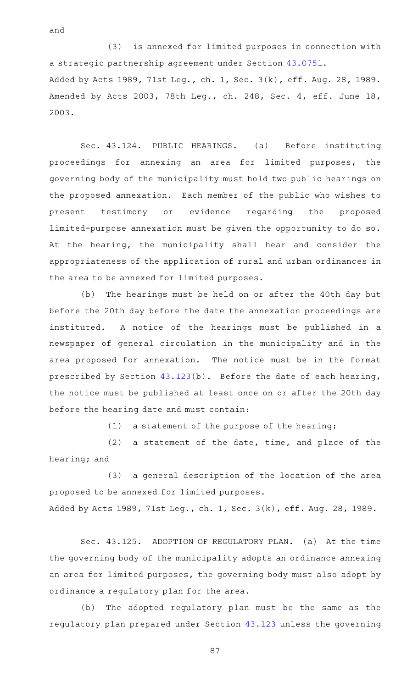(3) is annexed for limited purposes in connection with a strategic partnership agreement under Section [43.0751](http://www.statutes.legis.state.tx.us/GetStatute.aspx?Code=LG&Value=43.0751). Added by Acts 1989, 71st Leg., ch. 1, Sec. 3(k), eff. Aug. 28, 1989. Amended by Acts 2003, 78th Leg., ch. 248, Sec. 4, eff. June 18, 2003.

Sec. 43.124. PUBLIC HEARINGS. (a) Before instituting proceedings for annexing an area for limited purposes, the governing body of the municipality must hold two public hearings on the proposed annexation. Each member of the public who wishes to present testimony or evidence regarding the proposed limited-purpose annexation must be given the opportunity to do so. At the hearing, the municipality shall hear and consider the appropriateness of the application of rural and urban ordinances in the area to be annexed for limited purposes.

(b) The hearings must be held on or after the 40th day but before the 20th day before the date the annexation proceedings are instituted. A notice of the hearings must be published in a newspaper of general circulation in the municipality and in the area proposed for annexation. The notice must be in the format prescribed by Section [43.123\(](http://www.statutes.legis.state.tx.us/GetStatute.aspx?Code=LG&Value=43.123)b). Before the date of each hearing, the notice must be published at least once on or after the 20th day before the hearing date and must contain:

 $(1)$  a statement of the purpose of the hearing;

 $(2)$  a statement of the date, time, and place of the hearing; and

(3) a general description of the location of the area proposed to be annexed for limited purposes. Added by Acts 1989, 71st Leg., ch. 1, Sec. 3(k), eff. Aug. 28, 1989.

Sec. 43.125. ADOPTION OF REGULATORY PLAN. (a) At the time the governing body of the municipality adopts an ordinance annexing an area for limited purposes, the governing body must also adopt by ordinance a regulatory plan for the area.

(b) The adopted regulatory plan must be the same as the regulatory plan prepared under Section [43.123](http://www.statutes.legis.state.tx.us/GetStatute.aspx?Code=LG&Value=43.123) unless the governing

87

and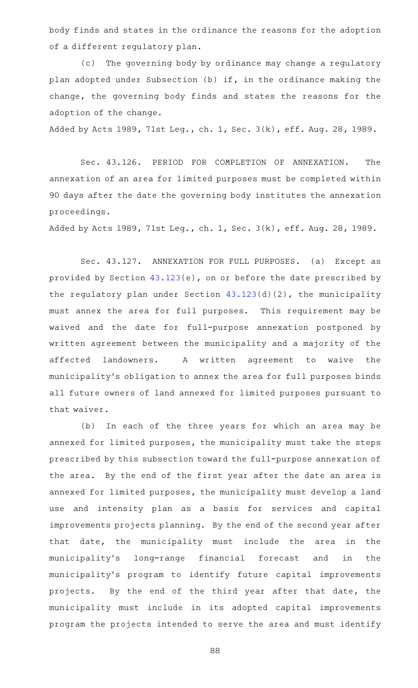body finds and states in the ordinance the reasons for the adoption of a different regulatory plan.

(c) The governing body by ordinance may change a regulatory plan adopted under Subsection (b) if, in the ordinance making the change, the governing body finds and states the reasons for the adoption of the change.

Added by Acts 1989, 71st Leg., ch. 1, Sec. 3(k), eff. Aug. 28, 1989.

Sec. 43.126. PERIOD FOR COMPLETION OF ANNEXATION. The annexation of an area for limited purposes must be completed within 90 days after the date the governing body institutes the annexation proceedings.

Added by Acts 1989, 71st Leg., ch. 1, Sec. 3(k), eff. Aug. 28, 1989.

Sec. 43.127. ANNEXATION FOR FULL PURPOSES. (a) Except as provided by Section [43.123\(](http://www.statutes.legis.state.tx.us/GetStatute.aspx?Code=LG&Value=43.123)e), on or before the date prescribed by the regulatory plan under Section [43.123\(](http://www.statutes.legis.state.tx.us/GetStatute.aspx?Code=LG&Value=43.123)d)(2), the municipality must annex the area for full purposes. This requirement may be waived and the date for full-purpose annexation postponed by written agreement between the municipality and a majority of the affected landowners. A written agreement to waive the municipality 's obligation to annex the area for full purposes binds all future owners of land annexed for limited purposes pursuant to that waiver.

(b) In each of the three years for which an area may be annexed for limited purposes, the municipality must take the steps prescribed by this subsection toward the full-purpose annexation of the area. By the end of the first year after the date an area is annexed for limited purposes, the municipality must develop a land use and intensity plan as a basis for services and capital improvements projects planning. By the end of the second year after that date, the municipality must include the area in the municipality 's long-range financial forecast and in the municipality 's program to identify future capital improvements projects. By the end of the third year after that date, the municipality must include in its adopted capital improvements program the projects intended to serve the area and must identify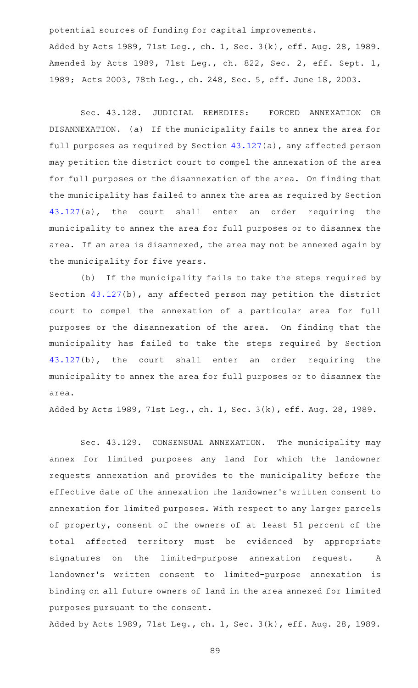potential sources of funding for capital improvements.

Added by Acts 1989, 71st Leg., ch. 1, Sec. 3(k), eff. Aug. 28, 1989. Amended by Acts 1989, 71st Leg., ch. 822, Sec. 2, eff. Sept. 1, 1989; Acts 2003, 78th Leg., ch. 248, Sec. 5, eff. June 18, 2003.

Sec. 43.128. JUDICIAL REMEDIES: FORCED ANNEXATION OR DISANNEXATION. (a) If the municipality fails to annex the area for full purposes as required by Section [43.127](http://www.statutes.legis.state.tx.us/GetStatute.aspx?Code=LG&Value=43.127)(a), any affected person may petition the district court to compel the annexation of the area for full purposes or the disannexation of the area. On finding that the municipality has failed to annex the area as required by Section [43.127](http://www.statutes.legis.state.tx.us/GetStatute.aspx?Code=LG&Value=43.127)(a), the court shall enter an order requiring the municipality to annex the area for full purposes or to disannex the area. If an area is disannexed, the area may not be annexed again by the municipality for five years.

(b) If the municipality fails to take the steps required by Section [43.127](http://www.statutes.legis.state.tx.us/GetStatute.aspx?Code=LG&Value=43.127)(b), any affected person may petition the district court to compel the annexation of a particular area for full purposes or the disannexation of the area. On finding that the municipality has failed to take the steps required by Section [43.127](http://www.statutes.legis.state.tx.us/GetStatute.aspx?Code=LG&Value=43.127)(b), the court shall enter an order requiring the municipality to annex the area for full purposes or to disannex the area.

Added by Acts 1989, 71st Leg., ch. 1, Sec. 3(k), eff. Aug. 28, 1989.

Sec. 43.129. CONSENSUAL ANNEXATION. The municipality may annex for limited purposes any land for which the landowner requests annexation and provides to the municipality before the effective date of the annexation the landowner 's written consent to annexation for limited purposes. With respect to any larger parcels of property, consent of the owners of at least 51 percent of the total affected territory must be evidenced by appropriate signatures on the limited-purpose annexation request. A landowner's written consent to limited-purpose annexation is binding on all future owners of land in the area annexed for limited purposes pursuant to the consent.

Added by Acts 1989, 71st Leg., ch. 1, Sec. 3(k), eff. Aug. 28, 1989.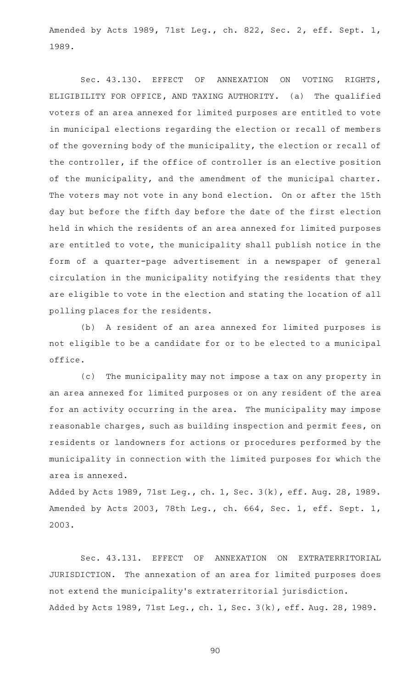Amended by Acts 1989, 71st Leg., ch. 822, Sec. 2, eff. Sept. 1, 1989.

Sec. 43.130. EFFECT OF ANNEXATION ON VOTING RIGHTS, ELIGIBILITY FOR OFFICE, AND TAXING AUTHORITY. (a) The qualified voters of an area annexed for limited purposes are entitled to vote in municipal elections regarding the election or recall of members of the governing body of the municipality, the election or recall of the controller, if the office of controller is an elective position of the municipality, and the amendment of the municipal charter. The voters may not vote in any bond election. On or after the 15th day but before the fifth day before the date of the first election held in which the residents of an area annexed for limited purposes are entitled to vote, the municipality shall publish notice in the form of a quarter-page advertisement in a newspaper of general circulation in the municipality notifying the residents that they are eligible to vote in the election and stating the location of all polling places for the residents.

(b) A resident of an area annexed for limited purposes is not eligible to be a candidate for or to be elected to a municipal office.

(c) The municipality may not impose a tax on any property in an area annexed for limited purposes or on any resident of the area for an activity occurring in the area. The municipality may impose reasonable charges, such as building inspection and permit fees, on residents or landowners for actions or procedures performed by the municipality in connection with the limited purposes for which the area is annexed.

Added by Acts 1989, 71st Leg., ch. 1, Sec. 3(k), eff. Aug. 28, 1989. Amended by Acts 2003, 78th Leg., ch. 664, Sec. 1, eff. Sept. 1, 2003.

Sec. 43.131. EFFECT OF ANNEXATION ON EXTRATERRITORIAL JURISDICTION. The annexation of an area for limited purposes does not extend the municipality 's extraterritorial jurisdiction. Added by Acts 1989, 71st Leg., ch. 1, Sec. 3(k), eff. Aug. 28, 1989.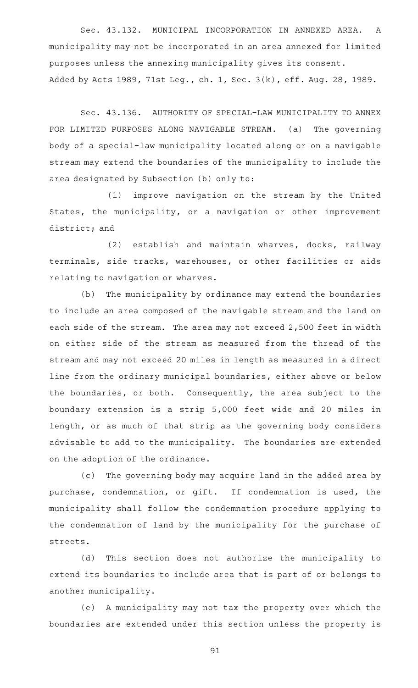Sec. 43.132. MUNICIPAL INCORPORATION IN ANNEXED AREA. A municipality may not be incorporated in an area annexed for limited purposes unless the annexing municipality gives its consent. Added by Acts 1989, 71st Leg., ch. 1, Sec. 3(k), eff. Aug. 28, 1989.

Sec. 43.136. AUTHORITY OF SPECIAL-LAW MUNICIPALITY TO ANNEX FOR LIMITED PURPOSES ALONG NAVIGABLE STREAM. (a) The governing body of a special-law municipality located along or on a navigable stream may extend the boundaries of the municipality to include the area designated by Subsection (b) only to:

(1) improve navigation on the stream by the United States, the municipality, or a navigation or other improvement district; and

(2) establish and maintain wharves, docks, railway terminals, side tracks, warehouses, or other facilities or aids relating to navigation or wharves.

(b) The municipality by ordinance may extend the boundaries to include an area composed of the navigable stream and the land on each side of the stream. The area may not exceed 2,500 feet in width on either side of the stream as measured from the thread of the stream and may not exceed 20 miles in length as measured in a direct line from the ordinary municipal boundaries, either above or below the boundaries, or both. Consequently, the area subject to the boundary extension is a strip 5,000 feet wide and 20 miles in length, or as much of that strip as the governing body considers advisable to add to the municipality. The boundaries are extended on the adoption of the ordinance.

(c) The governing body may acquire land in the added area by purchase, condemnation, or gift. If condemnation is used, the municipality shall follow the condemnation procedure applying to the condemnation of land by the municipality for the purchase of streets.

(d) This section does not authorize the municipality to extend its boundaries to include area that is part of or belongs to another municipality.

(e) A municipality may not tax the property over which the boundaries are extended under this section unless the property is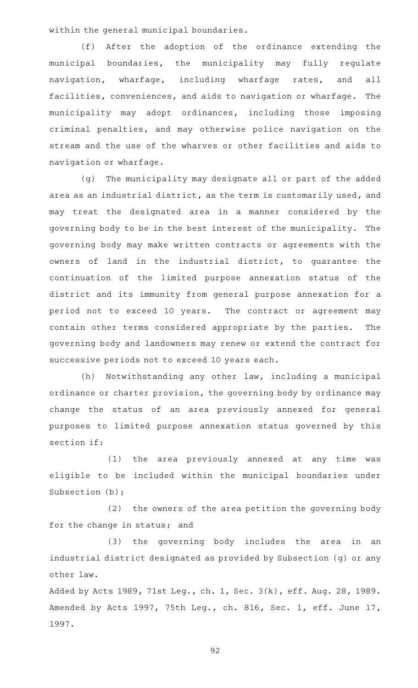within the general municipal boundaries.

(f) After the adoption of the ordinance extending the municipal boundaries, the municipality may fully regulate navigation, wharfage, including wharfage rates, and all facilities, conveniences, and aids to navigation or wharfage. The municipality may adopt ordinances, including those imposing criminal penalties, and may otherwise police navigation on the stream and the use of the wharves or other facilities and aids to navigation or wharfage.

(g) The municipality may designate all or part of the added area as an industrial district, as the term is customarily used, and may treat the designated area in a manner considered by the governing body to be in the best interest of the municipality. The governing body may make written contracts or agreements with the owners of land in the industrial district, to guarantee the continuation of the limited purpose annexation status of the district and its immunity from general purpose annexation for a period not to exceed 10 years. The contract or agreement may contain other terms considered appropriate by the parties. The governing body and landowners may renew or extend the contract for successive periods not to exceed 10 years each.

(h) Notwithstanding any other law, including a municipal ordinance or charter provision, the governing body by ordinance may change the status of an area previously annexed for general purposes to limited purpose annexation status governed by this section if:

(1) the area previously annexed at any time was eligible to be included within the municipal boundaries under Subsection (b);

(2) the owners of the area petition the governing body for the change in status; and

(3) the governing body includes the area in an industrial district designated as provided by Subsection (g) or any other law.

Added by Acts 1989, 71st Leg., ch. 1, Sec. 3(k), eff. Aug. 28, 1989. Amended by Acts 1997, 75th Leg., ch. 816, Sec. 1, eff. June 17, 1997.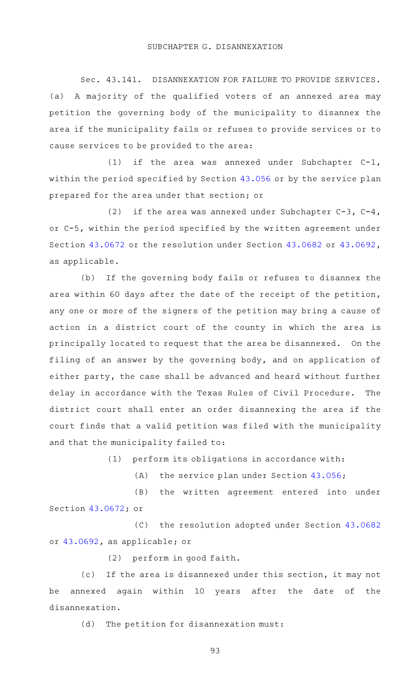Sec. 43.141. DISANNEXATION FOR FAILURE TO PROVIDE SERVICES. (a) A majority of the qualified voters of an annexed area may petition the governing body of the municipality to disannex the area if the municipality fails or refuses to provide services or to cause services to be provided to the area:

(1) if the area was annexed under Subchapter  $C-1$ , within the period specified by Section [43.056](http://www.statutes.legis.state.tx.us/GetStatute.aspx?Code=LG&Value=43.056) or by the service plan prepared for the area under that section; or

(2) if the area was annexed under Subchapter  $C-3$ ,  $C-4$ , or C-5, within the period specified by the written agreement under Section [43.0672](http://www.statutes.legis.state.tx.us/GetStatute.aspx?Code=LG&Value=43.0672) or the resolution under Section [43.0682](http://www.statutes.legis.state.tx.us/GetStatute.aspx?Code=LG&Value=43.0682) or [43.0692](http://www.statutes.legis.state.tx.us/GetStatute.aspx?Code=LG&Value=43.0692), as applicable.

(b) If the governing body fails or refuses to disannex the area within 60 days after the date of the receipt of the petition, any one or more of the signers of the petition may bring a cause of action in a district court of the county in which the area is principally located to request that the area be disannexed. On the filing of an answer by the governing body, and on application of either party, the case shall be advanced and heard without further delay in accordance with the Texas Rules of Civil Procedure. The district court shall enter an order disannexing the area if the court finds that a valid petition was filed with the municipality and that the municipality failed to:

 $(1)$  perform its obligations in accordance with:

(A) the service plan under Section  $43.056$ ;

(B) the written agreement entered into under Section [43.0672;](http://www.statutes.legis.state.tx.us/GetStatute.aspx?Code=LG&Value=43.0672) or

 $(C)$  the resolution adopted under Section [43.0682](http://www.statutes.legis.state.tx.us/GetStatute.aspx?Code=LG&Value=43.0682) or [43.0692,](http://www.statutes.legis.state.tx.us/GetStatute.aspx?Code=LG&Value=43.0692) as applicable; or

(2) perform in good faith.

(c) If the area is disannexed under this section, it may not be annexed again within 10 years after the date of the disannexation.

(d) The petition for disannexation must: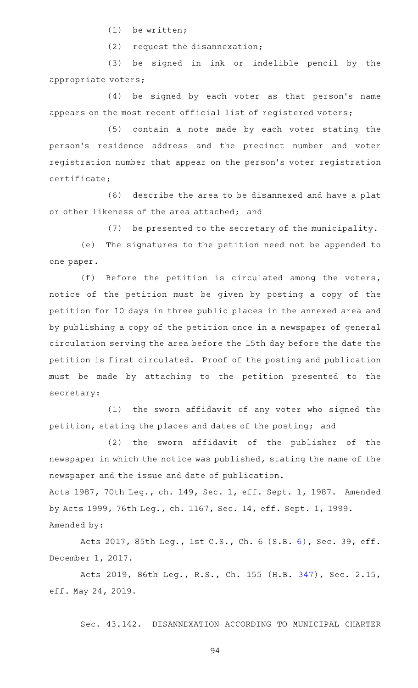$(1)$  be written;

 $(2)$  request the disannexation;

(3) be signed in ink or indelible pencil by the appropriate voters;

(4) be signed by each voter as that person's name appears on the most recent official list of registered voters;

(5) contain a note made by each voter stating the person 's residence address and the precinct number and voter registration number that appear on the person 's voter registration certificate;

(6) describe the area to be disannexed and have a plat or other likeness of the area attached; and

(7) be presented to the secretary of the municipality.

(e) The signatures to the petition need not be appended to one paper.

(f) Before the petition is circulated among the voters, notice of the petition must be given by posting a copy of the petition for 10 days in three public places in the annexed area and by publishing a copy of the petition once in a newspaper of general circulation serving the area before the 15th day before the date the petition is first circulated. Proof of the posting and publication must be made by attaching to the petition presented to the secretary:

(1) the sworn affidavit of any voter who signed the petition, stating the places and dates of the posting; and

(2) the sworn affidavit of the publisher of the newspaper in which the notice was published, stating the name of the newspaper and the issue and date of publication.

Acts 1987, 70th Leg., ch. 149, Sec. 1, eff. Sept. 1, 1987. Amended by Acts 1999, 76th Leg., ch. 1167, Sec. 14, eff. Sept. 1, 1999. Amended by:

Acts 2017, 85th Leg., 1st C.S., Ch. 6 (S.B. [6](http://www.legis.state.tx.us/tlodocs/851/billtext/html/SB00006F.HTM)), Sec. 39, eff. December 1, 2017.

Acts 2019, 86th Leg., R.S., Ch. 155 (H.B. [347](http://www.legis.state.tx.us/tlodocs/86R/billtext/html/HB00347F.HTM)), Sec. 2.15, eff. May 24, 2019.

Sec. 43.142. DISANNEXATION ACCORDING TO MUNICIPAL CHARTER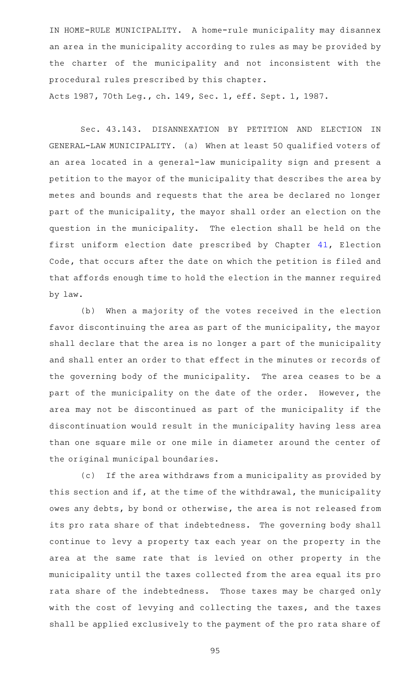IN HOME-RULE MUNICIPALITY. A home-rule municipality may disannex an area in the municipality according to rules as may be provided by the charter of the municipality and not inconsistent with the procedural rules prescribed by this chapter.

Acts 1987, 70th Leg., ch. 149, Sec. 1, eff. Sept. 1, 1987.

Sec. 43.143. DISANNEXATION BY PETITION AND ELECTION IN GENERAL-LAW MUNICIPALITY. (a) When at least 50 qualified voters of an area located in a general-law municipality sign and present a petition to the mayor of the municipality that describes the area by metes and bounds and requests that the area be declared no longer part of the municipality, the mayor shall order an election on the question in the municipality. The election shall be held on the first uniform election date prescribed by Chapter [41](http://www.statutes.legis.state.tx.us/GetStatute.aspx?Code=EL&Value=41), Election Code, that occurs after the date on which the petition is filed and that affords enough time to hold the election in the manner required by law.

(b) When a majority of the votes received in the election favor discontinuing the area as part of the municipality, the mayor shall declare that the area is no longer a part of the municipality and shall enter an order to that effect in the minutes or records of the governing body of the municipality. The area ceases to be a part of the municipality on the date of the order. However, the area may not be discontinued as part of the municipality if the discontinuation would result in the municipality having less area than one square mile or one mile in diameter around the center of the original municipal boundaries.

(c) If the area withdraws from a municipality as provided by this section and if, at the time of the withdrawal, the municipality owes any debts, by bond or otherwise, the area is not released from its pro rata share of that indebtedness. The governing body shall continue to levy a property tax each year on the property in the area at the same rate that is levied on other property in the municipality until the taxes collected from the area equal its pro rata share of the indebtedness. Those taxes may be charged only with the cost of levying and collecting the taxes, and the taxes shall be applied exclusively to the payment of the pro rata share of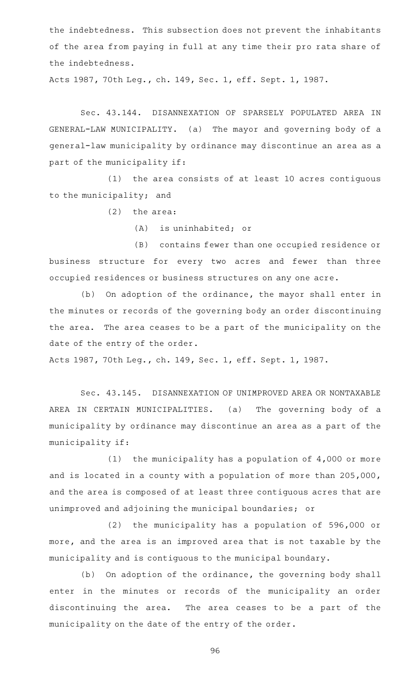the indebtedness. This subsection does not prevent the inhabitants of the area from paying in full at any time their pro rata share of the indebtedness.

Acts 1987, 70th Leg., ch. 149, Sec. 1, eff. Sept. 1, 1987.

Sec. 43.144. DISANNEXATION OF SPARSELY POPULATED AREA IN GENERAL-LAW MUNICIPALITY. (a) The mayor and governing body of a general-law municipality by ordinance may discontinue an area as a part of the municipality if:

 $(1)$  the area consists of at least 10 acres contiguous to the municipality; and

 $(2)$  the area:

 $(A)$  is uninhabited; or

(B) contains fewer than one occupied residence or business structure for every two acres and fewer than three occupied residences or business structures on any one acre.

(b) On adoption of the ordinance, the mayor shall enter in the minutes or records of the governing body an order discontinuing the area. The area ceases to be a part of the municipality on the date of the entry of the order.

Acts 1987, 70th Leg., ch. 149, Sec. 1, eff. Sept. 1, 1987.

Sec. 43.145. DISANNEXATION OF UNIMPROVED AREA OR NONTAXABLE AREA IN CERTAIN MUNICIPALITIES. (a) The governing body of a municipality by ordinance may discontinue an area as a part of the municipality if:

(1) the municipality has a population of  $4,000$  or more and is located in a county with a population of more than 205,000, and the area is composed of at least three contiguous acres that are unimproved and adjoining the municipal boundaries; or

 $(2)$  the municipality has a population of 596,000 or more, and the area is an improved area that is not taxable by the municipality and is contiguous to the municipal boundary.

(b) On adoption of the ordinance, the governing body shall enter in the minutes or records of the municipality an order discontinuing the area. The area ceases to be a part of the municipality on the date of the entry of the order.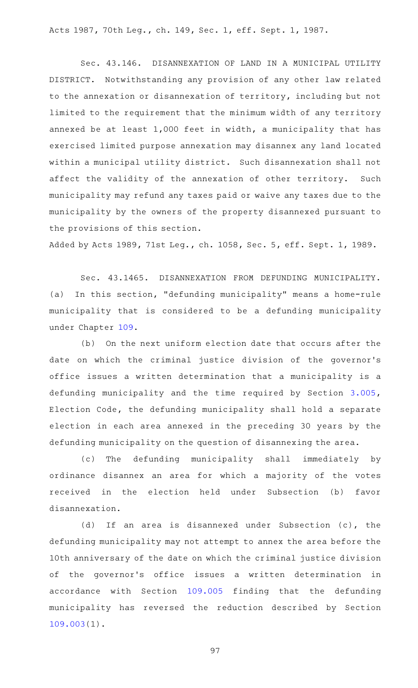Acts 1987, 70th Leg., ch. 149, Sec. 1, eff. Sept. 1, 1987.

Sec. 43.146. DISANNEXATION OF LAND IN A MUNICIPAL UTILITY DISTRICT. Notwithstanding any provision of any other law related to the annexation or disannexation of territory, including but not limited to the requirement that the minimum width of any territory annexed be at least 1,000 feet in width, a municipality that has exercised limited purpose annexation may disannex any land located within a municipal utility district. Such disannexation shall not affect the validity of the annexation of other territory. Such municipality may refund any taxes paid or waive any taxes due to the municipality by the owners of the property disannexed pursuant to the provisions of this section.

Added by Acts 1989, 71st Leg., ch. 1058, Sec. 5, eff. Sept. 1, 1989.

Sec. 43.1465. DISANNEXATION FROM DEFUNDING MUNICIPALITY. (a) In this section, "defunding municipality" means a home-rule municipality that is considered to be a defunding municipality under Chapter [109](http://www.statutes.legis.state.tx.us/GetStatute.aspx?Code=LG&Value=109).

(b) On the next uniform election date that occurs after the date on which the criminal justice division of the governor 's office issues a written determination that a municipality is a defunding municipality and the time required by Section [3.005](http://www.statutes.legis.state.tx.us/GetStatute.aspx?Code=EL&Value=3.005), Election Code, the defunding municipality shall hold a separate election in each area annexed in the preceding 30 years by the defunding municipality on the question of disannexing the area.

(c) The defunding municipality shall immediately by ordinance disannex an area for which a majority of the votes received in the election held under Subsection (b) favor disannexation.

(d) If an area is disannexed under Subsection  $(c)$ , the defunding municipality may not attempt to annex the area before the 10th anniversary of the date on which the criminal justice division of the governor 's office issues a written determination in accordance with Section [109.005](http://www.statutes.legis.state.tx.us/GetStatute.aspx?Code=LG&Value=109.005) finding that the defunding municipality has reversed the reduction described by Section [109.003\(](http://www.statutes.legis.state.tx.us/GetStatute.aspx?Code=LG&Value=109.003)1).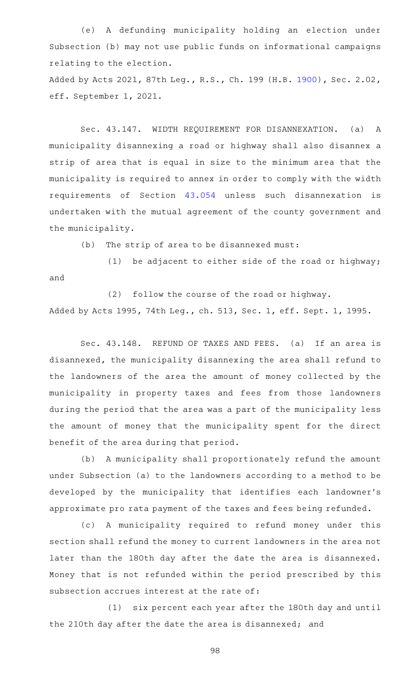(e)AAA defunding municipality holding an election under Subsection (b) may not use public funds on informational campaigns relating to the election.

Added by Acts 2021, 87th Leg., R.S., Ch. 199 (H.B. [1900](http://www.legis.state.tx.us/tlodocs/87R/billtext/html/HB01900F.HTM)), Sec. 2.02, eff. September 1, 2021.

Sec. 43.147. WIDTH REQUIREMENT FOR DISANNEXATION. (a) A municipality disannexing a road or highway shall also disannex a strip of area that is equal in size to the minimum area that the municipality is required to annex in order to comply with the width requirements of Section [43.054](http://www.statutes.legis.state.tx.us/GetStatute.aspx?Code=LG&Value=43.054) unless such disannexation is undertaken with the mutual agreement of the county government and the municipality.

 $(b)$  The strip of area to be disannexed must:

 $(1)$  be adjacent to either side of the road or highway; and

(2) follow the course of the road or highway. Added by Acts 1995, 74th Leg., ch. 513, Sec. 1, eff. Sept. 1, 1995.

Sec. 43.148. REFUND OF TAXES AND FEES. (a) If an area is disannexed, the municipality disannexing the area shall refund to the landowners of the area the amount of money collected by the municipality in property taxes and fees from those landowners during the period that the area was a part of the municipality less the amount of money that the municipality spent for the direct benefit of the area during that period.

(b) A municipality shall proportionately refund the amount under Subsection (a) to the landowners according to a method to be developed by the municipality that identifies each landowner 's approximate pro rata payment of the taxes and fees being refunded.

(c)AAA municipality required to refund money under this section shall refund the money to current landowners in the area not later than the 180th day after the date the area is disannexed. Money that is not refunded within the period prescribed by this subsection accrues interest at the rate of:

(1) six percent each year after the 180th day and until the 210th day after the date the area is disannexed; and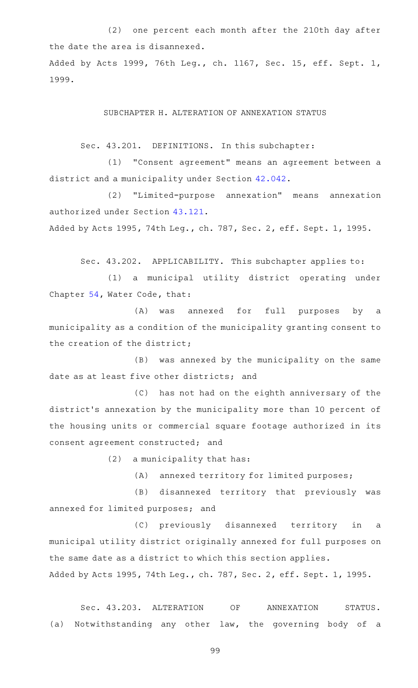(2) one percent each month after the 210th day after the date the area is disannexed. Added by Acts 1999, 76th Leg., ch. 1167, Sec. 15, eff. Sept. 1, 1999.

SUBCHAPTER H. ALTERATION OF ANNEXATION STATUS

Sec. 43.201. DEFINITIONS. In this subchapter:

(1) "Consent agreement" means an agreement between a district and a municipality under Section [42.042](http://www.statutes.legis.state.tx.us/GetStatute.aspx?Code=LG&Value=42.042).

(2) "Limited-purpose annexation" means annexation authorized under Section [43.121](http://www.statutes.legis.state.tx.us/GetStatute.aspx?Code=LG&Value=43.121).

Added by Acts 1995, 74th Leg., ch. 787, Sec. 2, eff. Sept. 1, 1995.

Sec. 43.202. APPLICABILITY. This subchapter applies to:

(1) a municipal utility district operating under Chapter [54,](http://www.statutes.legis.state.tx.us/GetStatute.aspx?Code=WA&Value=54) Water Code, that:

(A) was annexed for full purposes by a municipality as a condition of the municipality granting consent to the creation of the district;

(B) was annexed by the municipality on the same date as at least five other districts; and

(C) has not had on the eighth anniversary of the district 's annexation by the municipality more than 10 percent of the housing units or commercial square footage authorized in its consent agreement constructed; and

 $(2)$  a municipality that has:

(A) annexed territory for limited purposes;

(B) disannexed territory that previously was annexed for limited purposes; and

(C) previously disannexed territory in a municipal utility district originally annexed for full purposes on the same date as a district to which this section applies. Added by Acts 1995, 74th Leg., ch. 787, Sec. 2, eff. Sept. 1, 1995.

Sec. 43.203. ALTERATION OF ANNEXATION STATUS. (a) Notwithstanding any other law, the governing body of a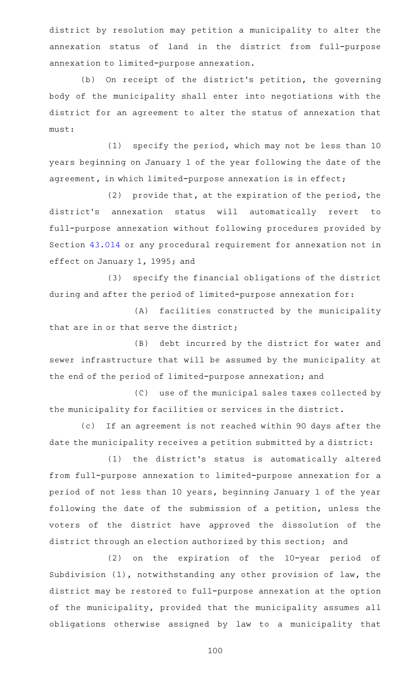district by resolution may petition a municipality to alter the annexation status of land in the district from full-purpose annexation to limited-purpose annexation.

(b) On receipt of the district's petition, the governing body of the municipality shall enter into negotiations with the district for an agreement to alter the status of annexation that must:

 $(1)$  specify the period, which may not be less than 10 years beginning on January 1 of the year following the date of the agreement, in which limited-purpose annexation is in effect;

(2) provide that, at the expiration of the period, the district 's annexation status will automatically revert to full-purpose annexation without following procedures provided by Section [43.014](http://www.statutes.legis.state.tx.us/GetStatute.aspx?Code=LG&Value=43.014) or any procedural requirement for annexation not in effect on January 1, 1995; and

(3) specify the financial obligations of the district during and after the period of limited-purpose annexation for:

(A) facilities constructed by the municipality that are in or that serve the district;

(B) debt incurred by the district for water and sewer infrastructure that will be assumed by the municipality at the end of the period of limited-purpose annexation; and

(C) use of the municipal sales taxes collected by the municipality for facilities or services in the district.

(c) If an agreement is not reached within 90 days after the date the municipality receives a petition submitted by a district:

(1) the district's status is automatically altered from full-purpose annexation to limited-purpose annexation for a period of not less than 10 years, beginning January 1 of the year following the date of the submission of a petition, unless the voters of the district have approved the dissolution of the district through an election authorized by this section; and

 $(2)$  on the expiration of the 10-year period of Subdivision (1), notwithstanding any other provision of law, the district may be restored to full-purpose annexation at the option of the municipality, provided that the municipality assumes all obligations otherwise assigned by law to a municipality that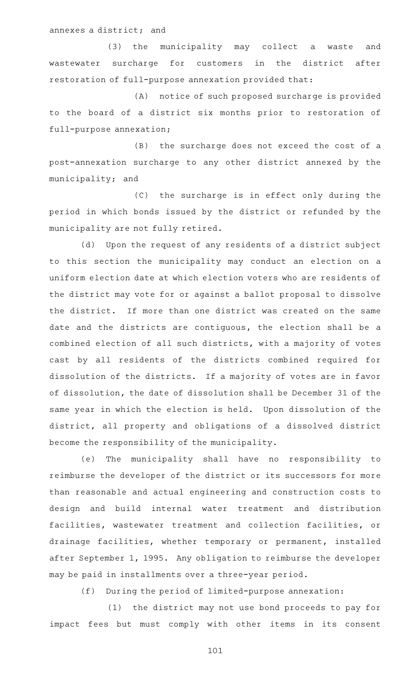annexes a district; and

(3) the municipality may collect a waste and wastewater surcharge for customers in the district after restoration of full-purpose annexation provided that:

(A) notice of such proposed surcharge is provided to the board of a district six months prior to restoration of full-purpose annexation;

(B) the surcharge does not exceed the cost of a post-annexation surcharge to any other district annexed by the municipality; and

(C) the surcharge is in effect only during the period in which bonds issued by the district or refunded by the municipality are not fully retired.

(d) Upon the request of any residents of a district subject to this section the municipality may conduct an election on a uniform election date at which election voters who are residents of the district may vote for or against a ballot proposal to dissolve the district. If more than one district was created on the same date and the districts are contiguous, the election shall be a combined election of all such districts, with a majority of votes cast by all residents of the districts combined required for dissolution of the districts. If a majority of votes are in favor of dissolution, the date of dissolution shall be December 31 of the same year in which the election is held. Upon dissolution of the district, all property and obligations of a dissolved district become the responsibility of the municipality.

(e) The municipality shall have no responsibility to reimburse the developer of the district or its successors for more than reasonable and actual engineering and construction costs to design and build internal water treatment and distribution facilities, wastewater treatment and collection facilities, or drainage facilities, whether temporary or permanent, installed after September 1, 1995. Any obligation to reimburse the developer may be paid in installments over a three-year period.

(f) During the period of limited-purpose annexation:

(1) the district may not use bond proceeds to pay for impact fees but must comply with other items in its consent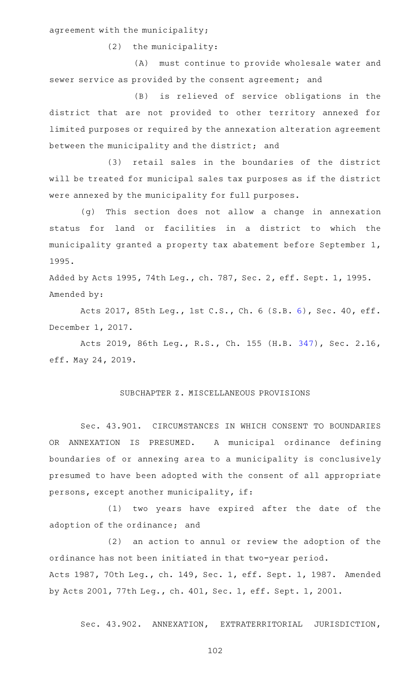agreement with the municipality;

 $(2)$  the municipality:

(A) must continue to provide wholesale water and sewer service as provided by the consent agreement; and

(B) is relieved of service obligations in the district that are not provided to other territory annexed for limited purposes or required by the annexation alteration agreement between the municipality and the district; and

(3) retail sales in the boundaries of the district will be treated for municipal sales tax purposes as if the district were annexed by the municipality for full purposes.

(g) This section does not allow a change in annexation status for land or facilities in a district to which the municipality granted a property tax abatement before September 1, 1995.

Added by Acts 1995, 74th Leg., ch. 787, Sec. 2, eff. Sept. 1, 1995. Amended by:

Acts 2017, 85th Leg., 1st C.S., Ch. 6 (S.B. [6](http://www.legis.state.tx.us/tlodocs/851/billtext/html/SB00006F.HTM)), Sec. 40, eff. December 1, 2017.

Acts 2019, 86th Leg., R.S., Ch. 155 (H.B. [347](http://www.legis.state.tx.us/tlodocs/86R/billtext/html/HB00347F.HTM)), Sec. 2.16, eff. May 24, 2019.

## SUBCHAPTER Z. MISCELLANEOUS PROVISIONS

Sec. 43.901. CIRCUMSTANCES IN WHICH CONSENT TO BOUNDARIES OR ANNEXATION IS PRESUMED. A municipal ordinance defining boundaries of or annexing area to a municipality is conclusively presumed to have been adopted with the consent of all appropriate persons, except another municipality, if:

(1) two years have expired after the date of the adoption of the ordinance; and

(2) an action to annul or review the adoption of the ordinance has not been initiated in that two-year period. Acts 1987, 70th Leg., ch. 149, Sec. 1, eff. Sept. 1, 1987. Amended by Acts 2001, 77th Leg., ch. 401, Sec. 1, eff. Sept. 1, 2001.

Sec. 43.902. ANNEXATION, EXTRATERRITORIAL JURISDICTION,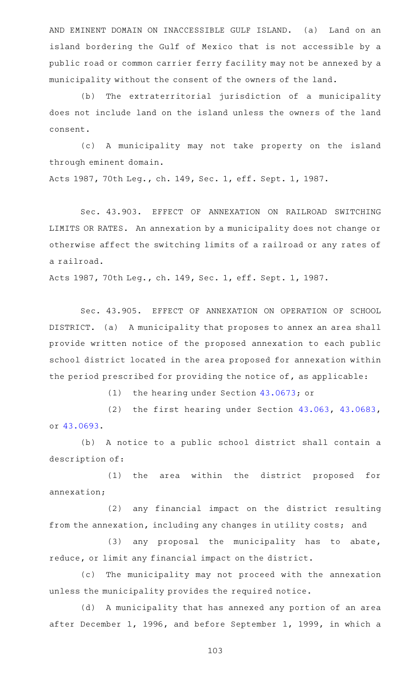AND EMINENT DOMAIN ON INACCESSIBLE GULF ISLAND. (a) Land on an island bordering the Gulf of Mexico that is not accessible by a public road or common carrier ferry facility may not be annexed by a municipality without the consent of the owners of the land.

(b) The extraterritorial jurisdiction of a municipality does not include land on the island unless the owners of the land consent.

(c)AAA municipality may not take property on the island through eminent domain.

Acts 1987, 70th Leg., ch. 149, Sec. 1, eff. Sept. 1, 1987.

Sec. 43.903. EFFECT OF ANNEXATION ON RAILROAD SWITCHING LIMITS OR RATES. An annexation by a municipality does not change or otherwise affect the switching limits of a railroad or any rates of a railroad.

Acts 1987, 70th Leg., ch. 149, Sec. 1, eff. Sept. 1, 1987.

Sec. 43.905. EFFECT OF ANNEXATION ON OPERATION OF SCHOOL DISTRICT. (a) A municipality that proposes to annex an area shall provide written notice of the proposed annexation to each public school district located in the area proposed for annexation within the period prescribed for providing the notice of, as applicable:

(1) the hearing under Section [43.0673](http://www.statutes.legis.state.tx.us/GetStatute.aspx?Code=LG&Value=43.0673); or

(2) the first hearing under Section  $43.063$ ,  $43.0683$ , or [43.0693.](http://www.statutes.legis.state.tx.us/GetStatute.aspx?Code=LG&Value=43.0693)

(b) A notice to a public school district shall contain a description of:

(1) the area within the district proposed for annexation;

(2) any financial impact on the district resulting from the annexation, including any changes in utility costs; and

(3) any proposal the municipality has to abate, reduce, or limit any financial impact on the district.

(c) The municipality may not proceed with the annexation unless the municipality provides the required notice.

(d) A municipality that has annexed any portion of an area after December 1, 1996, and before September 1, 1999, in which a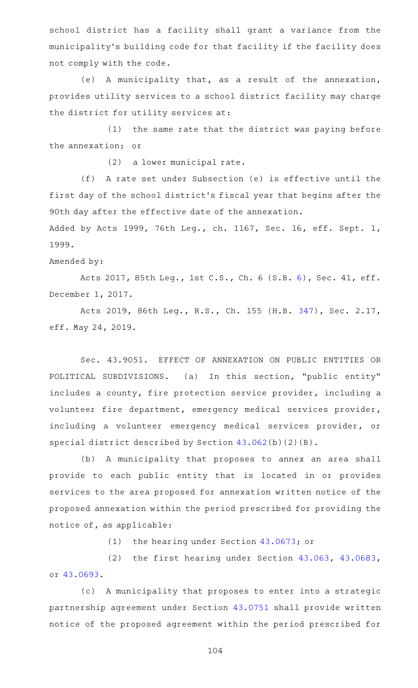school district has a facility shall grant a variance from the municipality 's building code for that facility if the facility does not comply with the code.

(e) A municipality that, as a result of the annexation, provides utility services to a school district facility may charge the district for utility services at:

 $(1)$  the same rate that the district was paying before the annexation; or

 $(2)$  a lower municipal rate.

(f) A rate set under Subsection (e) is effective until the first day of the school district 's fiscal year that begins after the 90th day after the effective date of the annexation.

Added by Acts 1999, 76th Leg., ch. 1167, Sec. 16, eff. Sept. 1, 1999.

Amended by:

Acts 2017, 85th Leg., 1st C.S., Ch. 6 (S.B. [6](http://www.legis.state.tx.us/tlodocs/851/billtext/html/SB00006F.HTM)), Sec. 41, eff. December 1, 2017.

Acts 2019, 86th Leg., R.S., Ch. 155 (H.B. [347](http://www.legis.state.tx.us/tlodocs/86R/billtext/html/HB00347F.HTM)), Sec. 2.17, eff. May 24, 2019.

Sec. 43.9051. EFFECT OF ANNEXATION ON PUBLIC ENTITIES OR POLITICAL SUBDIVISIONS. (a) In this section, "public entity" includes a county, fire protection service provider, including a volunteer fire department, emergency medical services provider, including a volunteer emergency medical services provider, or special district described by Section [43.062\(](http://www.statutes.legis.state.tx.us/GetStatute.aspx?Code=LG&Value=43.062)b)(2)(B).

(b) A municipality that proposes to annex an area shall provide to each public entity that is located in or provides services to the area proposed for annexation written notice of the proposed annexation within the period prescribed for providing the notice of, as applicable:

(1) the hearing under Section [43.0673](http://www.statutes.legis.state.tx.us/GetStatute.aspx?Code=LG&Value=43.0673); or

(2) the first hearing under Section  $43.063$ ,  $43.0683$ , or [43.0693.](http://www.statutes.legis.state.tx.us/GetStatute.aspx?Code=LG&Value=43.0693)

(c) A municipality that proposes to enter into a strategic partnership agreement under Section [43.0751](http://www.statutes.legis.state.tx.us/GetStatute.aspx?Code=LG&Value=43.0751) shall provide written notice of the proposed agreement within the period prescribed for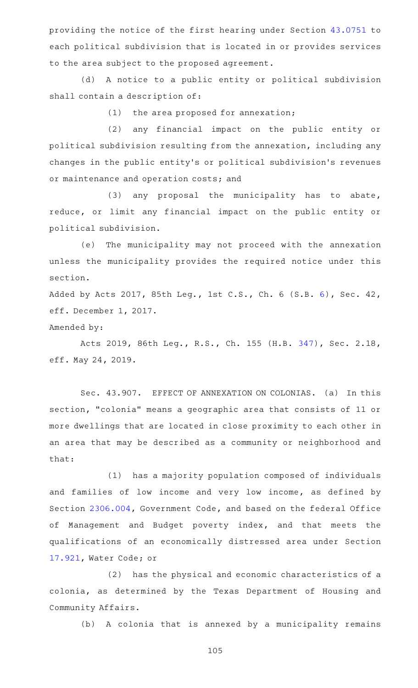providing the notice of the first hearing under Section [43.0751](http://www.statutes.legis.state.tx.us/GetStatute.aspx?Code=LG&Value=43.0751) to each political subdivision that is located in or provides services to the area subject to the proposed agreement.

(d) A notice to a public entity or political subdivision shall contain a description of:

 $(1)$  the area proposed for annexation;

(2) any financial impact on the public entity or political subdivision resulting from the annexation, including any changes in the public entity 's or political subdivision 's revenues or maintenance and operation costs; and

 $(3)$  any proposal the municipality has to abate, reduce, or limit any financial impact on the public entity or political subdivision.

(e) The municipality may not proceed with the annexation unless the municipality provides the required notice under this section.

Added by Acts 2017, 85th Leg., 1st C.S., Ch. 6 (S.B. [6\)](http://www.legis.state.tx.us/tlodocs/851/billtext/html/SB00006F.HTM), Sec. 42, eff. December 1, 2017.

Amended by:

Acts 2019, 86th Leg., R.S., Ch. 155 (H.B. [347](http://www.legis.state.tx.us/tlodocs/86R/billtext/html/HB00347F.HTM)), Sec. 2.18, eff. May 24, 2019.

Sec. 43.907. EFFECT OF ANNEXATION ON COLONIAS. (a) In this section, "colonia" means a geographic area that consists of 11 or more dwellings that are located in close proximity to each other in an area that may be described as a community or neighborhood and that:

(1) has a majority population composed of individuals and families of low income and very low income, as defined by Section [2306.004](http://www.statutes.legis.state.tx.us/GetStatute.aspx?Code=GV&Value=2306.004), Government Code, and based on the federal Office of Management and Budget poverty index, and that meets the qualifications of an economically distressed area under Section [17.921](http://www.statutes.legis.state.tx.us/GetStatute.aspx?Code=WA&Value=17.921), Water Code; or

(2) has the physical and economic characteristics of a colonia, as determined by the Texas Department of Housing and Community Affairs.

(b) A colonia that is annexed by a municipality remains